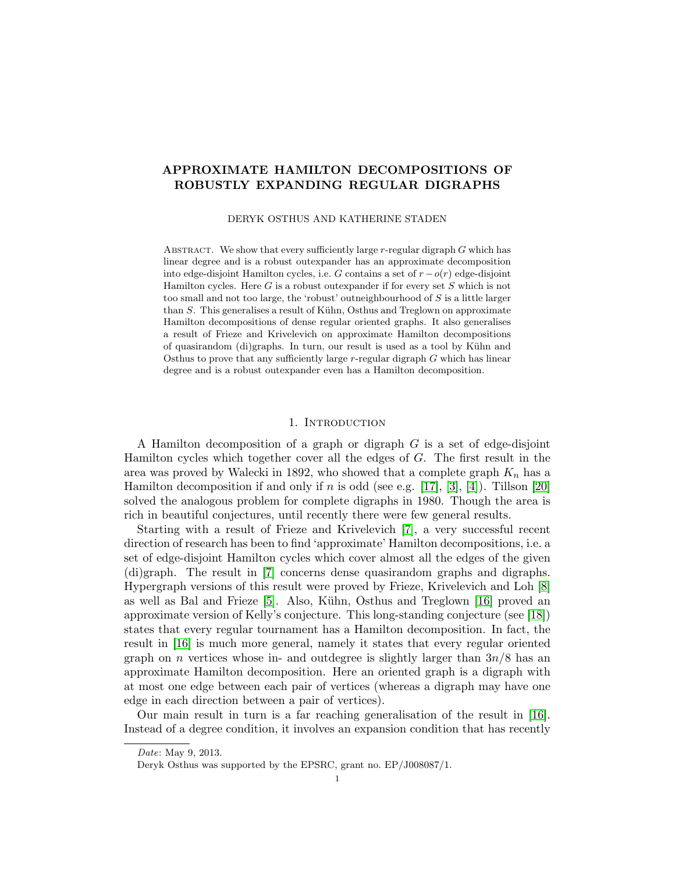# APPROXIMATE HAMILTON DECOMPOSITIONS OF ROBUSTLY EXPANDING REGULAR DIGRAPHS

DERYK OSTHUS AND KATHERINE STADEN

ABSTRACT. We show that every sufficiently large  $r$ -regular digraph  $G$  which has linear degree and is a robust outexpander has an approximate decomposition into edge-disjoint Hamilton cycles, i.e. G contains a set of  $r - o(r)$  edge-disjoint Hamilton cycles. Here  $G$  is a robust outexpander if for every set  $S$  which is not too small and not too large, the 'robust' outneighbourhood of S is a little larger than S. This generalises a result of Kühn, Osthus and Treglown on approximate Hamilton decompositions of dense regular oriented graphs. It also generalises a result of Frieze and Krivelevich on approximate Hamilton decompositions of quasirandom (di)graphs. In turn, our result is used as a tool by Kühn and Osthus to prove that any sufficiently large  $r$ -regular digraph  $G$  which has linear degree and is a robust outexpander even has a Hamilton decomposition.

### 1. INTRODUCTION

A Hamilton decomposition of a graph or digraph  $G$  is a set of edge-disjoint Hamilton cycles which together cover all the edges of G. The first result in the area was proved by Walecki in 1892, who showed that a complete graph  $K_n$  has a Hamilton decomposition if and only if n is odd (see e.g. [\[17\]](#page-43-0), [\[3\]](#page-42-0), [\[4\]](#page-42-1)). Tillson [\[20\]](#page-43-1) solved the analogous problem for complete digraphs in 1980. Though the area is rich in beautiful conjectures, until recently there were few general results.

Starting with a result of Frieze and Krivelevich [\[7\]](#page-42-2), a very successful recent direction of research has been to find 'approximate' Hamilton decompositions, i.e. a set of edge-disjoint Hamilton cycles which cover almost all the edges of the given (di)graph. The result in [\[7\]](#page-42-2) concerns dense quasirandom graphs and digraphs. Hypergraph versions of this result were proved by Frieze, Krivelevich and Loh [\[8\]](#page-43-2) as well as Bal and Frieze  $[5]$ . Also, Kühn, Osthus and Treglown  $[16]$  proved an approximate version of Kelly's conjecture. This long-standing conjecture (see [\[18\]](#page-43-4)) states that every regular tournament has a Hamilton decomposition. In fact, the result in [\[16\]](#page-43-3) is much more general, namely it states that every regular oriented graph on *n* vertices whose in- and outdegree is slightly larger than  $3n/8$  has an approximate Hamilton decomposition. Here an oriented graph is a digraph with at most one edge between each pair of vertices (whereas a digraph may have one edge in each direction between a pair of vertices).

Our main result in turn is a far reaching generalisation of the result in [\[16\]](#page-43-3). Instead of a degree condition, it involves an expansion condition that has recently

Date: May 9, 2013.

Deryk Osthus was supported by the EPSRC, grant no. EP/J008087/1.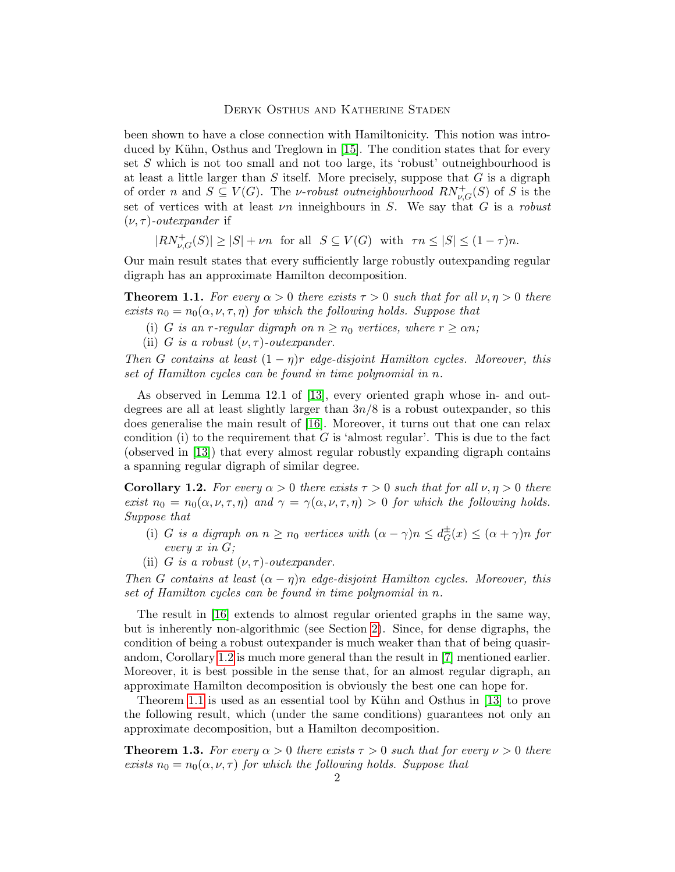been shown to have a close connection with Hamiltonicity. This notion was intro-duced by Kühn, Osthus and Treglown in [\[15\]](#page-43-5). The condition states that for every set  $S$  which is not too small and not too large, its 'robust' outneighbourhood is at least a little larger than  $S$  itself. More precisely, suppose that  $G$  is a digraph of order n and  $S \subseteq V(G)$ . The *v*-robust outneighbourhood  $RN_{\nu,G}^+(S)$  of S is the set of vertices with at least  $\nu$ n inneighbours in S. We say that G is a robust  $(\nu, \tau)$ -outexpander if

$$
|RN_{\nu,G}^+(S)| \ge |S| + \nu n \text{ for all } S \subseteq V(G) \text{ with } \tau n \le |S| \le (1 - \tau)n.
$$

Our main result states that every sufficiently large robustly outexpanding regular digraph has an approximate Hamilton decomposition.

<span id="page-1-1"></span>**Theorem 1.1.** For every  $\alpha > 0$  there exists  $\tau > 0$  such that for all  $\nu, \eta > 0$  there exists  $n_0 = n_0(\alpha, \nu, \tau, \eta)$  for which the following holds. Suppose that

- (i) G is an r-regular digraph on  $n > n_0$  vertices, where  $r > \alpha n$ ;
- (ii) G is a robust  $(\nu, \tau)$ -outexpander.

Then G contains at least  $(1 - \eta)r$  edge-disjoint Hamilton cycles. Moreover, this set of Hamilton cycles can be found in time polynomial in n.

As observed in Lemma 12.1 of [\[13\]](#page-43-6), every oriented graph whose in- and outdegrees are all at least slightly larger than  $3n/8$  is a robust outexpander, so this does generalise the main result of [\[16\]](#page-43-3). Moreover, it turns out that one can relax condition (i) to the requirement that  $G$  is 'almost regular'. This is due to the fact (observed in [\[13\]](#page-43-6)) that every almost regular robustly expanding digraph contains a spanning regular digraph of similar degree.

<span id="page-1-0"></span>**Corollary 1.2.** For every  $\alpha > 0$  there exists  $\tau > 0$  such that for all  $\nu, \eta > 0$  there exist  $n_0 = n_0(\alpha, \nu, \tau, \eta)$  and  $\gamma = \gamma(\alpha, \nu, \tau, \eta) > 0$  for which the following holds. Suppose that

- (i) G is a digraph on  $n \geq n_0$  vertices with  $(\alpha \gamma)n \leq d_G^{\pm}$  $_G^{\pm}(x) \leq (\alpha + \gamma)n$  for every x in G;
- (ii) G is a robust  $(\nu, \tau)$ -outexpander.

Then G contains at least  $(\alpha - \eta)n$  edge-disjoint Hamilton cycles. Moreover, this set of Hamilton cycles can be found in time polynomial in n.

The result in [\[16\]](#page-43-3) extends to almost regular oriented graphs in the same way, but is inherently non-algorithmic (see Section [2\)](#page-2-0). Since, for dense digraphs, the condition of being a robust outexpander is much weaker than that of being quasirandom, Corollary [1.2](#page-1-0) is much more general than the result in [\[7\]](#page-42-2) mentioned earlier. Moreover, it is best possible in the sense that, for an almost regular digraph, an approximate Hamilton decomposition is obviously the best one can hope for.

Theorem [1.1](#page-1-1) is used as an essential tool by Kühn and Osthus in  $[13]$  to prove the following result, which (under the same conditions) guarantees not only an approximate decomposition, but a Hamilton decomposition.

<span id="page-1-2"></span>**Theorem 1.3.** For every  $\alpha > 0$  there exists  $\tau > 0$  such that for every  $\nu > 0$  there exists  $n_0 = n_0(\alpha, \nu, \tau)$  for which the following holds. Suppose that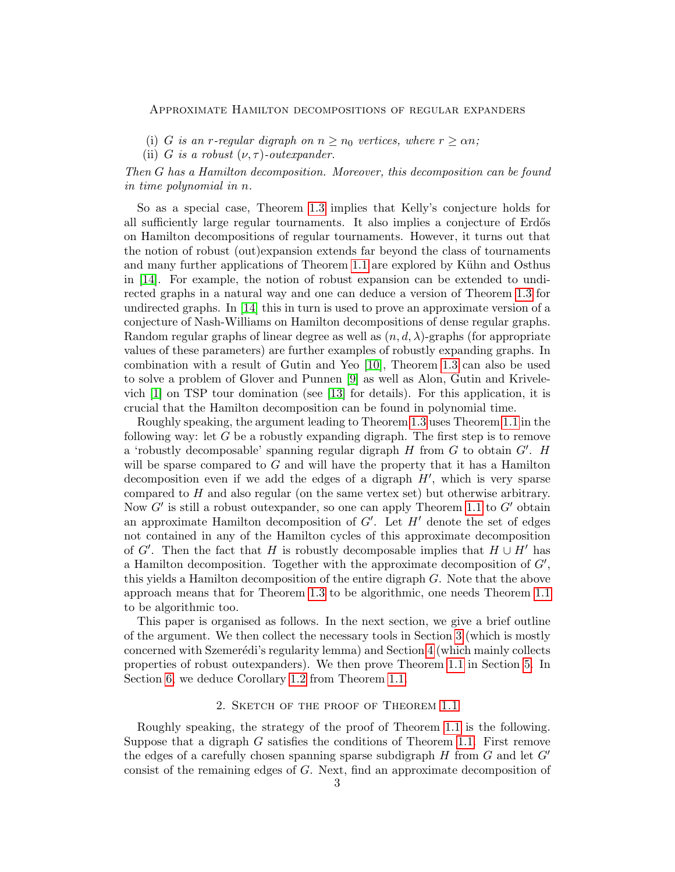#### Approximate Hamilton decompositions of regular expanders

- (i) G is an r-regular digraph on  $n \geq n_0$  vertices, where  $r \geq \alpha n$ ;
- (ii) G is a robust  $(\nu, \tau)$ -outexpander.

Then G has a Hamilton decomposition. Moreover, this decomposition can be found in time polynomial in n.

So as a special case, Theorem [1.3](#page-1-2) implies that Kelly's conjecture holds for all sufficiently large regular tournaments. It also implies a conjecture of Erdős on Hamilton decompositions of regular tournaments. However, it turns out that the notion of robust (out)expansion extends far beyond the class of tournaments and many further applications of Theorem [1.1](#page-1-1) are explored by Kühn and Osthus in [\[14\]](#page-43-7). For example, the notion of robust expansion can be extended to undirected graphs in a natural way and one can deduce a version of Theorem [1.3](#page-1-2) for undirected graphs. In [\[14\]](#page-43-7) this in turn is used to prove an approximate version of a conjecture of Nash-Williams on Hamilton decompositions of dense regular graphs. Random regular graphs of linear degree as well as  $(n, d, \lambda)$ -graphs (for appropriate values of these parameters) are further examples of robustly expanding graphs. In combination with a result of Gutin and Yeo [\[10\]](#page-43-8), Theorem [1.3](#page-1-2) can also be used to solve a problem of Glover and Punnen [\[9\]](#page-43-9) as well as Alon, Gutin and Krivelevich [\[1\]](#page-42-4) on TSP tour domination (see [\[13\]](#page-43-6) for details). For this application, it is crucial that the Hamilton decomposition can be found in polynomial time.

Roughly speaking, the argument leading to Theorem [1.3](#page-1-2) uses Theorem [1.1](#page-1-1) in the following way: let G be a robustly expanding digraph. The first step is to remove a 'robustly decomposable' spanning regular digraph  $H$  from  $G$  to obtain  $G'$ .  $H$ will be sparse compared to  $G$  and will have the property that it has a Hamilton decomposition even if we add the edges of a digraph  $H'$ , which is very sparse compared to  $H$  and also regular (on the same vertex set) but otherwise arbitrary. Now  $G'$  is still a robust outexpander, so one can apply Theorem [1.1](#page-1-1) to  $G'$  obtain an approximate Hamilton decomposition of  $G'$ . Let  $H'$  denote the set of edges not contained in any of the Hamilton cycles of this approximate decomposition of G'. Then the fact that H is robustly decomposable implies that  $H \cup H'$  has a Hamilton decomposition. Together with the approximate decomposition of  $G'$ , this yields a Hamilton decomposition of the entire digraph G. Note that the above approach means that for Theorem [1.3](#page-1-2) to be algorithmic, one needs Theorem [1.1](#page-1-1) to be algorithmic too.

This paper is organised as follows. In the next section, we give a brief outline of the argument. We then collect the necessary tools in Section [3](#page-5-0) (which is mostly concerned with Szemerédi's regularity lemma) and Section [4](#page-12-0) (which mainly collects properties of robust outexpanders). We then prove Theorem [1.1](#page-1-1) in Section [5.](#page-15-0) In Section [6,](#page-42-5) we deduce Corollary [1.2](#page-1-0) from Theorem [1.1.](#page-1-1)

#### 2. Sketch of the proof of Theorem [1.1](#page-1-1)

<span id="page-2-0"></span>Roughly speaking, the strategy of the proof of Theorem [1.1](#page-1-1) is the following. Suppose that a digraph  $G$  satisfies the conditions of Theorem [1.1.](#page-1-1) First remove the edges of a carefully chosen spanning sparse subdigraph  $H$  from  $G$  and let  $G'$ consist of the remaining edges of G. Next, find an approximate decomposition of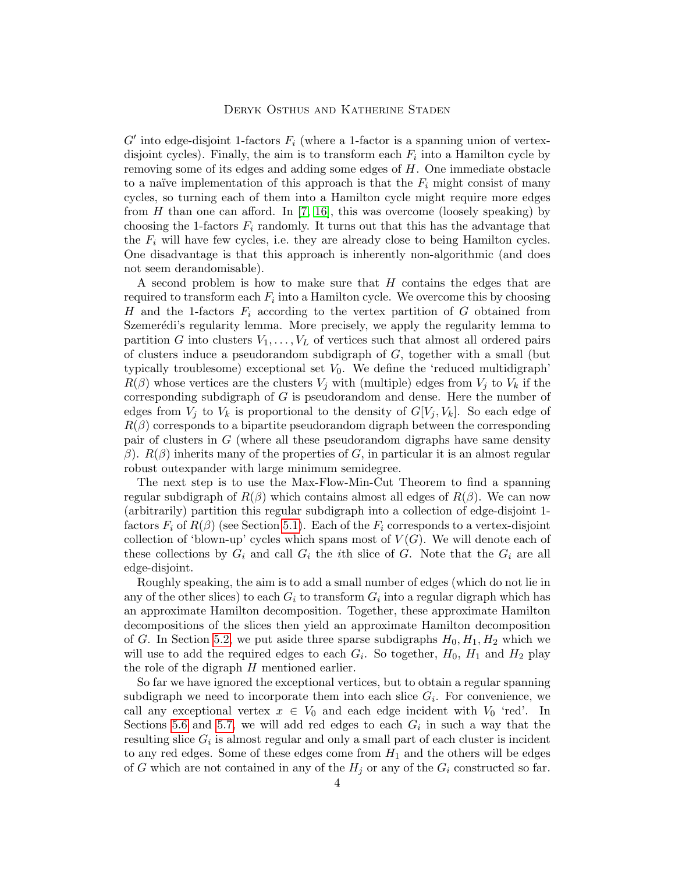$G'$  into edge-disjoint 1-factors  $F_i$  (where a 1-factor is a spanning union of vertexdisjoint cycles). Finally, the aim is to transform each  $F_i$  into a Hamilton cycle by removing some of its edges and adding some edges of H. One immediate obstacle to a naïve implementation of this approach is that the  $F_i$  might consist of many cycles, so turning each of them into a Hamilton cycle might require more edges from H than one can afford. In [\[7,](#page-42-2) [16\]](#page-43-3), this was overcome (loosely speaking) by choosing the 1-factors  $F_i$  randomly. It turns out that this has the advantage that the  $F_i$  will have few cycles, i.e. they are already close to being Hamilton cycles. One disadvantage is that this approach is inherently non-algorithmic (and does not seem derandomisable).

A second problem is how to make sure that  $H$  contains the edges that are required to transform each  $F_i$  into a Hamilton cycle. We overcome this by choosing H and the 1-factors  $F_i$  according to the vertex partition of G obtained from Szemerédi's regularity lemma. More precisely, we apply the regularity lemma to partition G into clusters  $V_1, \ldots, V_L$  of vertices such that almost all ordered pairs of clusters induce a pseudorandom subdigraph of  $G$ , together with a small (but typically troublesome) exceptional set  $V_0$ . We define the 'reduced multidigraph'  $R(\beta)$  whose vertices are the clusters  $V_j$  with (multiple) edges from  $V_j$  to  $V_k$  if the corresponding subdigraph of  $G$  is pseudorandom and dense. Here the number of edges from  $V_j$  to  $V_k$  is proportional to the density of  $G[V_j, V_k]$ . So each edge of  $R(\beta)$  corresponds to a bipartite pseudorandom digraph between the corresponding pair of clusters in G (where all these pseudorandom digraphs have same density β).  $R(β)$  inherits many of the properties of G, in particular it is an almost regular robust outexpander with large minimum semidegree.

The next step is to use the Max-Flow-Min-Cut Theorem to find a spanning regular subdigraph of  $R(\beta)$  which contains almost all edges of  $R(\beta)$ . We can now (arbitrarily) partition this regular subdigraph into a collection of edge-disjoint 1 factors  $F_i$  of  $R(\beta)$  (see Section [5.1\)](#page-15-1). Each of the  $F_i$  corresponds to a vertex-disjoint collection of 'blown-up' cycles which spans most of  $V(G)$ . We will denote each of these collections by  $G_i$  and call  $G_i$  the *i*th slice of G. Note that the  $G_i$  are all edge-disjoint.

Roughly speaking, the aim is to add a small number of edges (which do not lie in any of the other slices) to each  $G_i$  to transform  $G_i$  into a regular digraph which has an approximate Hamilton decomposition. Together, these approximate Hamilton decompositions of the slices then yield an approximate Hamilton decomposition of G. In Section [5.2,](#page-17-0) we put aside three sparse subdigraphs  $H_0, H_1, H_2$  which we will use to add the required edges to each  $G_i$ . So together,  $H_0$ ,  $H_1$  and  $H_2$  play the role of the digraph H mentioned earlier.

So far we have ignored the exceptional vertices, but to obtain a regular spanning subdigraph we need to incorporate them into each slice  $G_i$ . For convenience, we call any exceptional vertex  $x \in V_0$  and each edge incident with  $V_0$  'red'. In Sections [5.6](#page-27-0) and [5.7,](#page-30-0) we will add red edges to each  $G_i$  in such a way that the resulting slice  $G_i$  is almost regular and only a small part of each cluster is incident to any red edges. Some of these edges come from  $H_1$  and the others will be edges of G which are not contained in any of the  $H_j$  or any of the  $G_i$  constructed so far.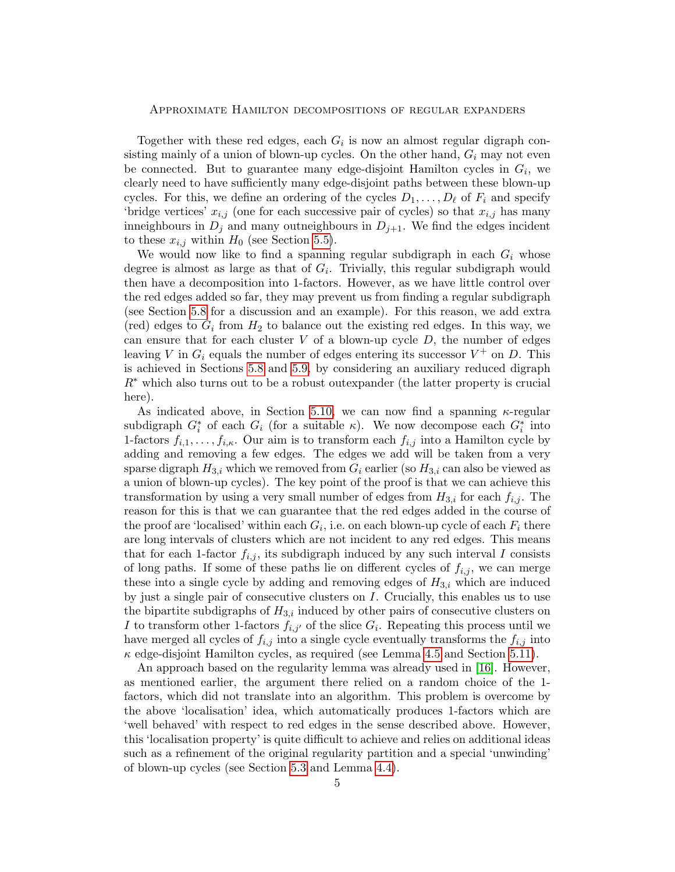#### Approximate Hamilton decompositions of regular expanders

Together with these red edges, each  $G_i$  is now an almost regular digraph consisting mainly of a union of blown-up cycles. On the other hand,  $G_i$  may not even be connected. But to guarantee many edge-disjoint Hamilton cycles in  $G_i$ , we clearly need to have sufficiently many edge-disjoint paths between these blown-up cycles. For this, we define an ordering of the cycles  $D_1, \ldots, D_\ell$  of  $F_i$  and specify 'bridge vertices'  $x_{i,j}$  (one for each successive pair of cycles) so that  $x_{i,j}$  has many inneighbours in  $D_j$  and many outneighbours in  $D_{j+1}$ . We find the edges incident to these  $x_{i,j}$  within  $H_0$  (see Section [5.5\)](#page-24-0).

We would now like to find a spanning regular subdigraph in each  $G_i$  whose degree is almost as large as that of  $G_i$ . Trivially, this regular subdigraph would then have a decomposition into 1-factors. However, as we have little control over the red edges added so far, they may prevent us from finding a regular subdigraph (see Section [5.8](#page-32-0) for a discussion and an example). For this reason, we add extra (red) edges to  $G_i$  from  $H_2$  to balance out the existing red edges. In this way, we can ensure that for each cluster  $V$  of a blown-up cycle  $D$ , the number of edges leaving V in  $G_i$  equals the number of edges entering its successor  $V^+$  on D. This is achieved in Sections [5.8](#page-32-0) and [5.9,](#page-36-0) by considering an auxiliary reduced digraph  $R^*$  which also turns out to be a robust outexpander (the latter property is crucial here).

As indicated above, in Section [5.10,](#page-37-0) we can now find a spanning  $\kappa$ -regular subdigraph  $G_i^*$  of each  $G_i$  (for a suitable  $\kappa$ ). We now decompose each  $G_i^*$  into 1-factors  $f_{i,1}, \ldots, f_{i,\kappa}$ . Our aim is to transform each  $f_{i,j}$  into a Hamilton cycle by adding and removing a few edges. The edges we add will be taken from a very sparse digraph  $H_{3,i}$  which we removed from  $G_i$  earlier (so  $H_{3,i}$  can also be viewed as a union of blown-up cycles). The key point of the proof is that we can achieve this transformation by using a very small number of edges from  $H_{3,i}$  for each  $f_{i,j}$ . The reason for this is that we can guarantee that the red edges added in the course of the proof are 'localised' within each  $G_i$ , i.e. on each blown-up cycle of each  $F_i$  there are long intervals of clusters which are not incident to any red edges. This means that for each 1-factor  $f_{i,j}$ , its subdigraph induced by any such interval I consists of long paths. If some of these paths lie on different cycles of  $f_{i,j}$ , we can merge these into a single cycle by adding and removing edges of  $H_{3,i}$  which are induced by just a single pair of consecutive clusters on I. Crucially, this enables us to use the bipartite subdigraphs of  $H_{3,i}$  induced by other pairs of consecutive clusters on I to transform other 1-factors  $f_{i,j'}$  of the slice  $G_i$ . Repeating this process until we have merged all cycles of  $f_{i,j}$  into a single cycle eventually transforms the  $f_{i,j}$  into  $\kappa$  edge-disjoint Hamilton cycles, as required (see Lemma [4.5](#page-15-2) and Section [5.11\)](#page-39-0).

An approach based on the regularity lemma was already used in [\[16\]](#page-43-3). However, as mentioned earlier, the argument there relied on a random choice of the 1 factors, which did not translate into an algorithm. This problem is overcome by the above 'localisation' idea, which automatically produces 1-factors which are 'well behaved' with respect to red edges in the sense described above. However, this 'localisation property' is quite difficult to achieve and relies on additional ideas such as a refinement of the original regularity partition and a special 'unwinding' of blown-up cycles (see Section [5.3](#page-18-0) and Lemma [4.4\)](#page-13-0).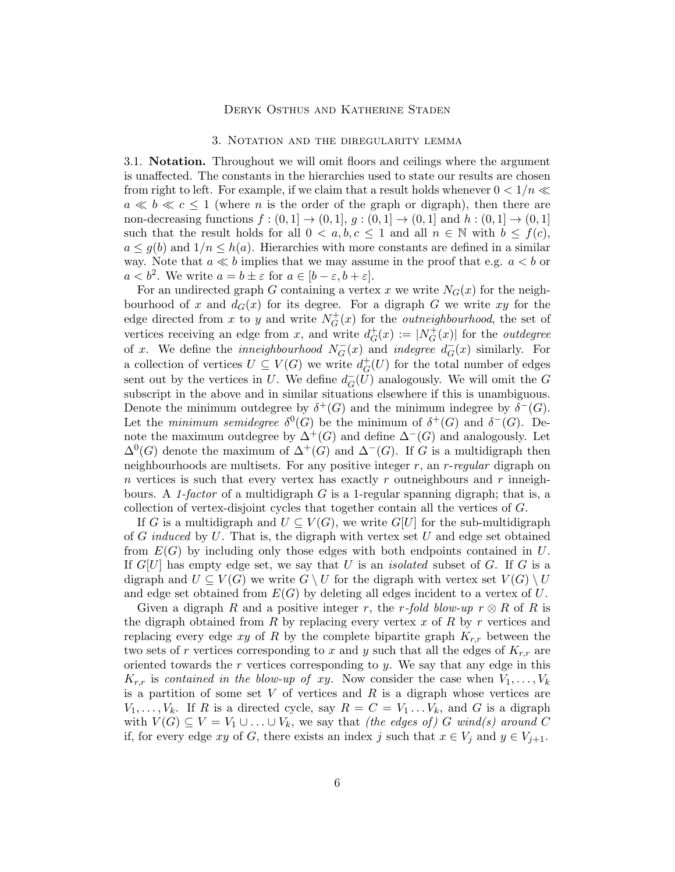### 3. Notation and the diregularity lemma

<span id="page-5-0"></span>3.1. Notation. Throughout we will omit floors and ceilings where the argument is unaffected. The constants in the hierarchies used to state our results are chosen from right to left. For example, if we claim that a result holds whenever  $0 < 1/n \ll$  $a \ll b \ll c \leq 1$  (where *n* is the order of the graph or digraph), then there are non-decreasing functions  $f:(0,1] \rightarrow (0,1], g:(0,1] \rightarrow (0,1]$  and  $h:(0,1] \rightarrow (0,1]$ such that the result holds for all  $0 < a, b, c \le 1$  and all  $n \in \mathbb{N}$  with  $b \le f(c)$ ,  $a \leq g(b)$  and  $1/n \leq h(a)$ . Hierarchies with more constants are defined in a similar way. Note that  $a \ll b$  implies that we may assume in the proof that e.g.  $a < b$  or  $a < b^2$ . We write  $a = b \pm \varepsilon$  for  $a \in [b - \varepsilon, b + \varepsilon]$ .

For an undirected graph G containing a vertex x we write  $N_G(x)$  for the neighbourhood of x and  $d_G(x)$  for its degree. For a digraph G we write xy for the edge directed from x to y and write  $N_G^+$  $_G^+(x)$  for the *outneighbourhood*, the set of vertices receiving an edge from x, and write  $d_G^+$  $G^+(x) := |N_G^+|$  $\mathcal{L}_G^+(x)$  for the *outdegree* of x. We define the *inneighbourhood*  $N_G^ \overline{G}(x)$  and *indegree*  $d_{\overline{G}}^ \overline{G}(x)$  similarly. For a collection of vertices  $U \subseteq V(G)$  we write  $d_G^+$  $_G^+(U)$  for the total number of edges sent out by the vertices in U. We define  $d_G^ _G^-(U)$  analogously. We will omit the G subscript in the above and in similar situations elsewhere if this is unambiguous. Denote the minimum outdegree by  $\delta^+(G)$  and the minimum indegree by  $\delta^-(G)$ . Let the minimum semidegree  $\delta^0(G)$  be the minimum of  $\delta^+(G)$  and  $\delta^-(G)$ . Denote the maximum outdegree by  $\Delta^+(G)$  and define  $\Delta^-(G)$  and analogously. Let  $\Delta^{0}(G)$  denote the maximum of  $\Delta^{+}(G)$  and  $\Delta^{-}(G)$ . If G is a multidigraph then neighbourhoods are multisets. For any positive integer  $r$ , an  $r$ -regular digraph on  $n$  vertices is such that every vertex has exactly r outneighbours and r inneighbours. A 1-factor of a multidigraph  $G$  is a 1-regular spanning digraph; that is, a collection of vertex-disjoint cycles that together contain all the vertices of G.

If G is a multidigraph and  $U \subseteq V(G)$ , we write  $G[U]$  for the sub-multidigraph of G induced by U. That is, the digraph with vertex set U and edge set obtained from  $E(G)$  by including only those edges with both endpoints contained in U. If  $G[U]$  has empty edge set, we say that U is an *isolated* subset of G. If G is a digraph and  $U \subseteq V(G)$  we write  $G \setminus U$  for the digraph with vertex set  $V(G) \setminus U$ and edge set obtained from  $E(G)$  by deleting all edges incident to a vertex of U.

Given a digraph R and a positive integer r, the r-fold blow-up  $r \otimes R$  of R is the digraph obtained from  $R$  by replacing every vertex  $x$  of  $R$  by  $r$  vertices and replacing every edge xy of R by the complete bipartite graph  $K_{r,r}$  between the two sets of r vertices corresponding to x and y such that all the edges of  $K_{r,r}$  are oriented towards the  $r$  vertices corresponding to  $y$ . We say that any edge in this  $K_{r,r}$  is contained in the blow-up of xy. Now consider the case when  $V_1, \ldots, V_k$ is a partition of some set  $V$  of vertices and  $R$  is a digraph whose vertices are  $V_1, \ldots, V_k$ . If R is a directed cycle, say  $R = C = V_1 \ldots V_k$ , and G is a digraph with  $V(G) \subseteq V = V_1 \cup ... \cup V_k$ , we say that *(the edges of)* G wind(s) around C if, for every edge xy of G, there exists an index j such that  $x \in V_j$  and  $y \in V_{j+1}$ .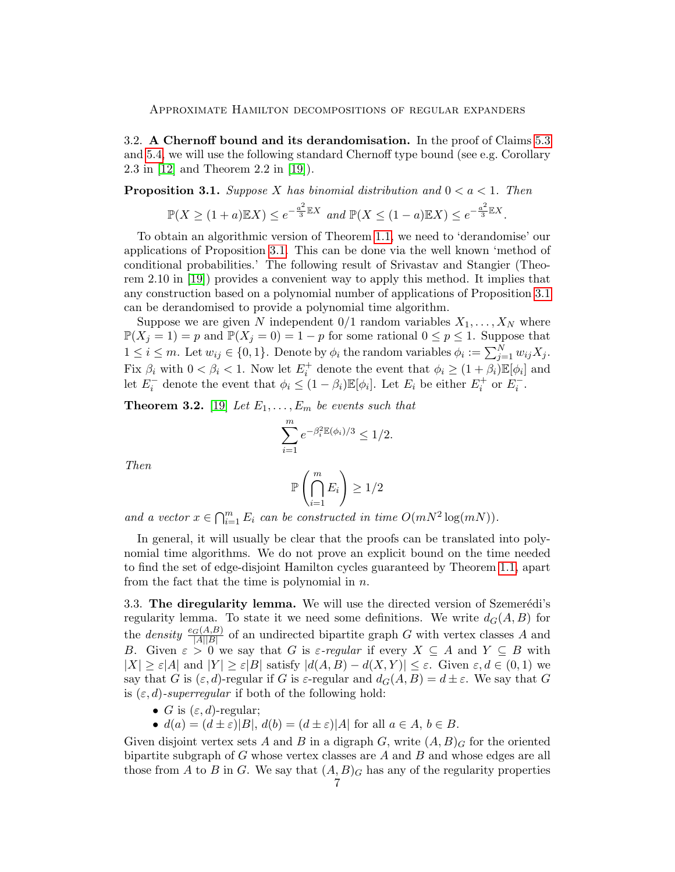Approximate Hamilton decompositions of regular expanders

3.2. A Chernoff bound and its derandomisation. In the proof of Claims [5.3](#page-28-0) and [5.4,](#page-31-0) we will use the following standard Chernoff type bound (see e.g. Corollary 2.3 in [\[12\]](#page-43-10) and Theorem 2.2 in [\[19\]](#page-43-11)).

<span id="page-6-0"></span>**Proposition 3.1.** Suppose X has binomial distribution and  $0 < a < 1$ . Then

$$
\mathbb{P}(X \ge (1+a)\mathbb{E}X) \le e^{-\frac{a^2}{3}\mathbb{E}X} \text{ and } \mathbb{P}(X \le (1-a)\mathbb{E}X) \le e^{-\frac{a^2}{3}\mathbb{E}X}.
$$

To obtain an algorithmic version of Theorem [1.1,](#page-1-1) we need to 'derandomise' our applications of Proposition [3.1.](#page-6-0) This can be done via the well known 'method of conditional probabilities.' The following result of Srivastav and Stangier (Theorem 2.10 in [\[19\]](#page-43-11)) provides a convenient way to apply this method. It implies that any construction based on a polynomial number of applications of Proposition [3.1](#page-6-0) can be derandomised to provide a polynomial time algorithm.

Suppose we are given N independent  $0/1$  random variables  $X_1, \ldots, X_N$  where  $\mathbb{P}(X_j = 1) = p$  and  $\mathbb{P}(X_j = 0) = 1 - p$  for some rational  $0 \le p \le 1$ . Suppose that  $1 \leq i \leq m$ . Let  $w_{ij} \in \{0, 1\}$ . Denote by  $\phi_i$  the random variables  $\phi_i := \sum_{j=1}^N w_{ij} X_j$ . Fix  $\beta_i$  with  $0 < \beta_i < 1$ . Now let  $E_i^+$  denote the event that  $\phi_i \geq (1 + \beta_i) \mathbb{E}[\phi_i]$  and let  $E_i^-$  denote the event that  $\phi_i \leq (1-\beta_i)\mathbb{E}[\phi_i]$ . Let  $E_i$  be either  $E_i^+$  or  $E_i^-$ .

<span id="page-6-1"></span>**Theorem 3.2.** [\[19\]](#page-43-11) Let  $E_1, \ldots, E_m$  be events such that

$$
\sum_{i=1}^{m} e^{-\beta_i^2 \mathbb{E}(\phi_i)/3} \le 1/2.
$$

Then

$$
\mathbb{P}\left(\bigcap_{i=1}^m E_i\right) \ge 1/2
$$

and a vector  $x \in \bigcap_{i=1}^m E_i$  can be constructed in time  $O(mN^2 \log(mN)).$ 

In general, it will usually be clear that the proofs can be translated into polynomial time algorithms. We do not prove an explicit bound on the time needed to find the set of edge-disjoint Hamilton cycles guaranteed by Theorem [1.1,](#page-1-1) apart from the fact that the time is polynomial in  $n$ .

3.3. The diregularity lemma. We will use the directed version of Szemerédi's regularity lemma. To state it we need some definitions. We write  $d_G(A, B)$  for the *density*  $\frac{e_G(A,B)}{|A||B|}$  of an undirected bipartite graph G with vertex classes A and B. Given  $\varepsilon > 0$  we say that G is  $\varepsilon$ -regular if every  $X \subseteq A$  and  $Y \subseteq B$  with  $|X| \geq \varepsilon |A|$  and  $|Y| \geq \varepsilon |B|$  satisfy  $|d(A, B) - d(X, Y)| \leq \varepsilon$ . Given  $\varepsilon, d \in (0, 1)$  we say that G is  $(\varepsilon, d)$ -regular if G is  $\varepsilon$ -regular and  $d_G(A, B) = d \pm \varepsilon$ . We say that G is  $(\varepsilon, d)$ -superregular if both of the following hold:

- G is  $(\varepsilon, d)$ -regular;
- $d(a) = (d \pm \varepsilon)|B|, d(b) = (d \pm \varepsilon)|A|$  for all  $a \in A, b \in B$ .

Given disjoint vertex sets A and B in a digraph G, write  $(A, B)<sub>G</sub>$  for the oriented bipartite subgraph of  $G$  whose vertex classes are  $A$  and  $B$  and whose edges are all those from A to B in G. We say that  $(A, B)<sub>G</sub>$  has any of the regularity properties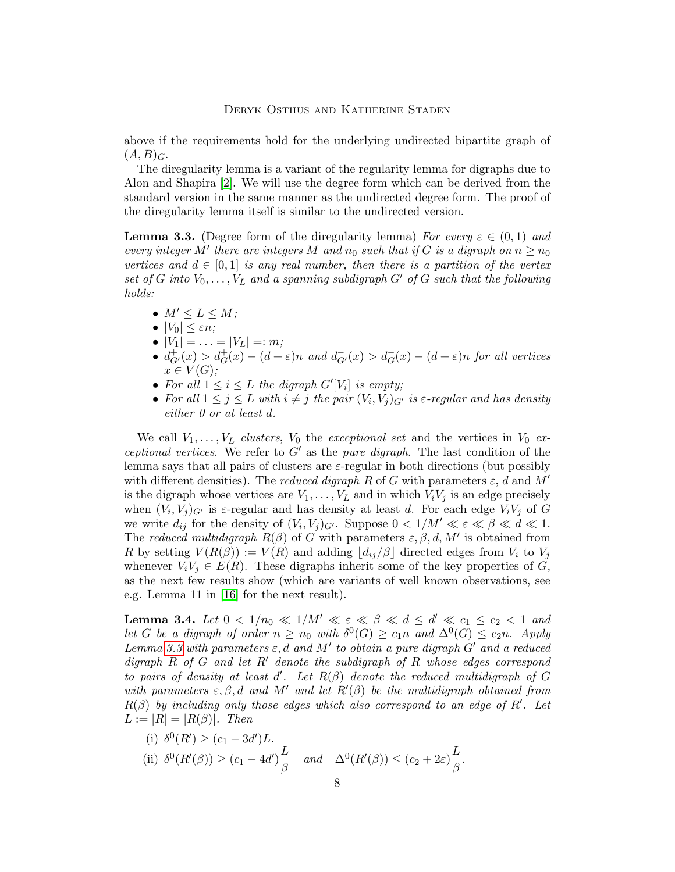above if the requirements hold for the underlying undirected bipartite graph of  $(A, B)<sub>G</sub>$ .

The diregularity lemma is a variant of the regularity lemma for digraphs due to Alon and Shapira [\[2\]](#page-42-6). We will use the degree form which can be derived from the standard version in the same manner as the undirected degree form. The proof of the diregularity lemma itself is similar to the undirected version.

<span id="page-7-0"></span>**Lemma 3.3.** (Degree form of the diregularity lemma) For every  $\varepsilon \in (0,1)$  and every integer M' there are integers M and  $n_0$  such that if G is a digraph on  $n \geq n_0$ vertices and  $d \in [0,1]$  is any real number, then there is a partition of the vertex set of G into  $V_0, \ldots, V_L$  and a spanning subdigraph G' of G such that the following holds:

- $M' \le L \le M;$
- $|V_0| \leq \varepsilon n$ ;
- $\bullet \ |V_1| = \ldots = |V_L| =: m;$
- $d_{G'}^+(x) > d_G^+(x) (d+\varepsilon)n$  and  $d_{G'}^-(x) > d_G^-(x) (d+\varepsilon)n$  for all vertices  $x \in V(G)$ ;
- For all  $1 \leq i \leq L$  the digraph  $G'[V_i]$  is empty;
- For all  $1 \leq j \leq L$  with  $i \neq j$  the pair  $(V_i, V_j)_{G'}$  is  $\varepsilon$ -regular and has density either 0 or at least d.

We call  $V_1, \ldots, V_L$  clusters,  $V_0$  the exceptional set and the vertices in  $V_0$  exceptional vertices. We refer to  $G'$  as the pure digraph. The last condition of the lemma says that all pairs of clusters are  $\varepsilon$ -regular in both directions (but possibly with different densities). The reduced digraph R of G with parameters  $\varepsilon$ , d and M' is the digraph whose vertices are  $V_1, \ldots, V_L$  and in which  $V_iV_j$  is an edge precisely when  $(V_i, V_j)_{G'}$  is  $\varepsilon$ -regular and has density at least d. For each edge  $V_i V_j$  of G we write  $d_{ij}$  for the density of  $(V_i, V_j)_{G'}$ . Suppose  $0 < 1/M' \ll \varepsilon \ll \beta \ll d \ll 1$ . The reduced multidigraph  $R(\beta)$  of G with parameters  $\varepsilon, \beta, d, M'$  is obtained from R by setting  $V(R(\beta)) := V(R)$  and adding  $|d_{ij}/\beta|$  directed edges from  $V_i$  to  $V_j$ whenever  $V_iV_j \in E(R)$ . These digraphs inherit some of the key properties of G, as the next few results show (which are variants of well known observations, see e.g. Lemma 11 in [\[16\]](#page-43-3) for the next result).

<span id="page-7-1"></span>**Lemma 3.4.** Let  $0 < 1/n_0 \ll 1/M' \ll \varepsilon \ll \beta \ll d \le d' \ll c_1 \le c_2 < 1$  and let G be a digraph of order  $n \ge n_0$  with  $\delta^0(G) \ge c_1 n$  and  $\Delta^0(G) \le c_2 n$ . Apply Lemma [3.3](#page-7-0) with parameters  $\varepsilon$ , d and M' to obtain a pure digraph  $G'$  and a reduced digraph  $R$  of  $G$  and let  $R'$  denote the subdigraph of  $R$  whose edges correspond to pairs of density at least d'. Let  $R(\beta)$  denote the reduced multidigraph of G with parameters  $\varepsilon, \beta, d$  and M' and let  $R'(\beta)$  be the multidigraph obtained from  $R(\beta)$  by including only those edges which also correspond to an edge of R'. Let  $L := |R| = |R(\beta)|$ . Then

(i) 
$$
\delta^0(R') \ge (c_1 - 3d')L
$$
.  
\n(ii)  $\delta^0(R'(\beta)) \ge (c_1 - 4d')\frac{L}{\beta}$  and  $\Delta^0(R'(\beta)) \le (c_2 + 2\varepsilon)\frac{L}{\beta}$ .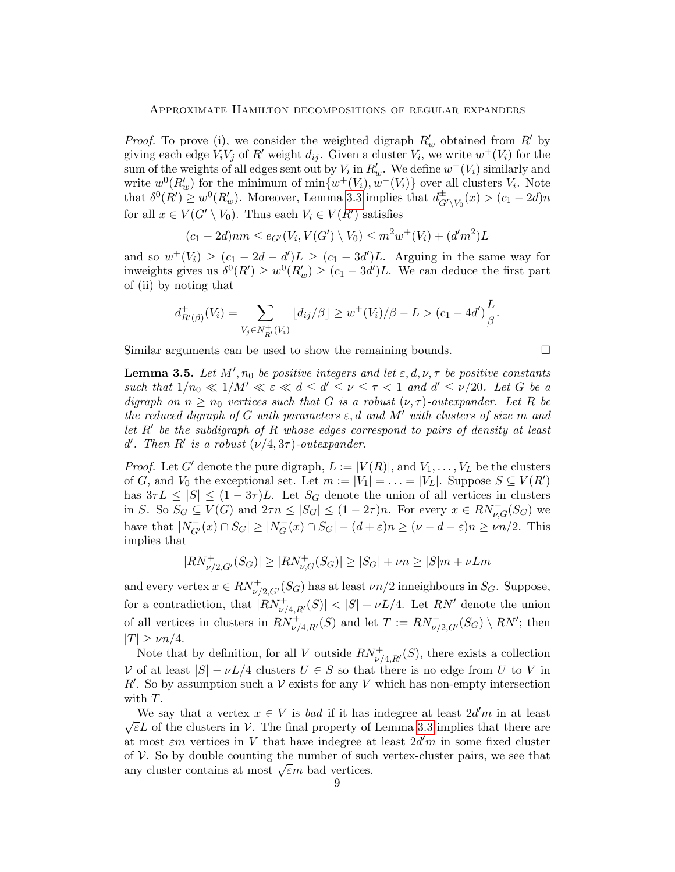*Proof.* To prove (i), we consider the weighted digraph  $R'_w$  obtained from  $R'$  by giving each edge  $V_i V_j$  of  $R'$  weight  $d_{ij}$ . Given a cluster  $V_i$ , we write  $w^+(V_i)$  for the sum of the weights of all edges sent out by  $V_i$  in  $R'_w$ . We define  $w^-(V_i)$  similarly and write  $w^0(R'_w)$  for the minimum of  $\min\{w^+(V_i), w^-(V_i)\}$  over all clusters  $V_i$ . Note that  $\delta^0(R') \geq w^0(R'_w)$ . Moreover, Lemma [3.3](#page-7-0) implies that  $d_{G' \setminus V_0}^{\pm}(x) > (c_1 - 2d)n$ for all  $x \in V(G' \setminus V_0)$ . Thus each  $V_i \in V(R')$  satisfies

$$
(c_1 - 2d)nm \le e_{G'}(V_i, V(G') \setminus V_0) \le m^2w^+(V_i) + (d'm^2)L
$$

and so  $w^+(V_i) \ge (c_1 - 2d - d')L \ge (c_1 - 3d')L$ . Arguing in the same way for inweights gives us  $\delta^0(R') \geq w^0(R_w') \geq (c_1 - 3d')L$ . We can deduce the first part of (ii) by noting that

$$
d_{R'(\beta)}^+(V_i) = \sum_{V_j \in N_{R'}^+(V_i)} \lfloor d_{ij}/\beta \rfloor \geq w^+(V_i)/\beta - L > (c_1 - 4d')\frac{L}{\beta}.
$$

Similar arguments can be used to show the remaining bounds.  $\square$ 

<span id="page-8-0"></span>**Lemma 3.5.** Let  $M', n_0$  be positive integers and let  $\varepsilon, d, \nu, \tau$  be positive constants such that  $1/n_0 \ll 1/M' \ll \varepsilon \ll d \leq d' \leq \nu \leq \tau < 1$  and  $d' \leq \nu/20$ . Let G be a digraph on  $n \geq n_0$  vertices such that G is a robust  $(\nu, \tau)$ -outexpander. Let R be the reduced digraph of G with parameters  $\varepsilon$ , d and M' with clusters of size m and let  $R'$  be the subdigraph of  $R$  whose edges correspond to pairs of density at least d'. Then R' is a robust  $(\nu/4, 3\tau)$ -outexpander.

*Proof.* Let G' denote the pure digraph,  $L := |V(R)|$ , and  $V_1, \ldots, V_L$  be the clusters of G, and  $V_0$  the exceptional set. Let  $m := |V_1| = \ldots = |V_L|$ . Suppose  $S \subseteq V(R')$ has  $3\tau L \leq |S| \leq (1-3\tau)L$ . Let  $S_G$  denote the union of all vertices in clusters in S. So  $S_G \subseteq V(G)$  and  $2\tau n \leq |S_G| \leq (1 - 2\tau)n$ . For every  $x \in RN_{\nu,G}^+(S_G)$  we have that  $|N_{G'}^-(x) \cap S_G| \geq |N_G^-|$  $G_G(x) \cap S_G$  –  $(d+\varepsilon)n \geq (\nu - d - \varepsilon)n \geq \nu n/2$ . This implies that

$$
|RN^+_{\nu/2, G'}(S_G)| \ge |RN^+_{\nu, G}(S_G)| \ge |S_G| + \nu n \ge |S|m + \nu Lm
$$

and every vertex  $x \in RN_{\nu/2, G'}^+(S_G)$  has at least  $\nu n/2$  inneighbours in  $S_G$ . Suppose, for a contradiction, that  $|RN^+_{\nu/4,R'}(S)| < |S| + \nu L/4$ . Let  $RN'$  denote the union of all vertices in clusters in  $RN_{\nu/4,R'}^+(S)$  and let  $T := RN_{\nu/2,G'}^+(S_G) \setminus RN'$ ; then  $|T| \ge \nu n/4.$ 

Note that by definition, for all V outside  $RN_{\nu/4,R'}^+(S)$ , there exists a collection V of at least  $|S| - \nu L/4$  clusters  $U \in S$  so that there is no edge from U to V in  $R'$ . So by assumption such a  $\mathcal V$  exists for any V which has non-empty intersection with T.

We say that a vertex  $x \in V$  is *bad* if it has indegree at least  $2d'm$  in at least We say that a vertex  $x \in V$  is *blue* if it has indegree at least  $2a m$  in at least  $\sqrt{\varepsilon}L$  of the clusters in V. The final property of Lemma [3.3](#page-7-0) implies that there are at most  $\varepsilon m$  vertices in V that have indegree at least  $2d'm$  in some fixed cluster of  $V$ . So by double counting the number of such vertex-cluster pairs, we see that or  $\nu$ . So by double counting the number of such<br>any cluster contains at most  $\sqrt{\varepsilon}m$  bad vertices.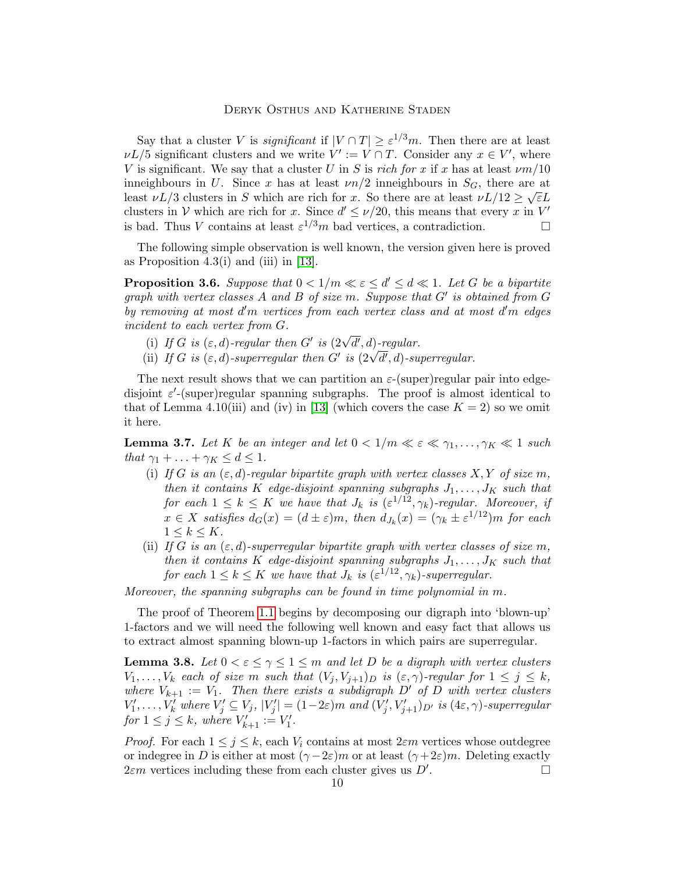Say that a cluster V is *significant* if  $|V \cap T| \ge \varepsilon^{1/3}m$ . Then there are at least  $\nu L/5$  significant clusters and we write  $V' := V \cap T$ . Consider any  $x \in V'$ , where V is significant. We say that a cluster U in S is rich for x if x has at least  $\nu m/10$ inneighbours in U. Since x has at least  $\nu$ n/2 inneighbours in  $S_G$ , there are at least  $\nu L/3$  clusters in S which are rich for x. So there are at least  $\nu L/12 \ge \sqrt{\varepsilon}L$ clusters in V which are rich for x. Since  $d' \le \nu/20$ , this means that every x in V' is bad. Thus V contains at least  $\varepsilon^{1/3}m$  bad vertices, a contradiction.

The following simple observation is well known, the version given here is proved as Proposition 4.3(i) and (iii) in [\[13\]](#page-43-6).

<span id="page-9-1"></span>**Proposition 3.6.** Suppose that  $0 < 1/m \ll \varepsilon \le d' \le d \ll 1$ . Let G be a bipartite graph with vertex classes  $A$  and  $B$  of size  $m$ . Suppose that  $G'$  is obtained from  $G$ by removing at most  $d'm$  vertices from each vertex class and at most  $d'm$  edges incident to each vertex from G.

- (i) If G is  $(\varepsilon, d)$ -regular then G' is  $(2\sqrt{d'}, d)$ -regular.
- (i) If G is  $(\varepsilon, d)$ -regular then G is  $(2\sqrt{d'}, d)$ -regular.<br>(ii) If G is  $(\varepsilon, d)$ -superregular then G' is  $(2\sqrt{d'}, d)$ -superregular.

The next result shows that we can partition an  $\varepsilon$ -(super)regular pair into edgedisjoint  $\varepsilon'$ -(super)regular spanning subgraphs. The proof is almost identical to that of Lemma 4.10(iii) and (iv) in [\[13\]](#page-43-6) (which covers the case  $K = 2$ ) so we omit it here.

<span id="page-9-0"></span>**Lemma 3.7.** Let K be an integer and let  $0 < 1/m \ll \varepsilon \ll \gamma_1, \ldots, \gamma_K \ll 1$  such that  $\gamma_1 + \ldots + \gamma_K \leq d \leq 1$ .

- (i) If G is an  $(\varepsilon, d)$ -regular bipartite graph with vertex classes X, Y of size m, then it contains K edge-disjoint spanning subgraphs  $J_1, \ldots, J_K$  such that for each  $1 \leq k \leq K$  we have that  $J_k$  is  $(\varepsilon^{1/12}, \gamma_k)$ -regular. Moreover, if  $x \in X$  satisfies  $d_G(x) = (d \pm \varepsilon)m$ , then  $d_{J_k}(x) = (\gamma_k \pm \varepsilon^{1/12})m$  for each  $1 \leq k \leq K$ .
- (ii) If G is an  $(\varepsilon, d)$ -superregular bipartite graph with vertex classes of size m, then it contains K edge-disjoint spanning subgraphs  $J_1, \ldots, J_K$  such that for each  $1 \leq k \leq K$  we have that  $J_k$  is  $(\varepsilon^{1/12}, \gamma_k)$ -superregular.

Moreover, the spanning subgraphs can be found in time polynomial in m.

The proof of Theorem [1.1](#page-1-1) begins by decomposing our digraph into 'blown-up' 1-factors and we will need the following well known and easy fact that allows us to extract almost spanning blown-up 1-factors in which pairs are superregular.

<span id="page-9-2"></span>**Lemma 3.8.** Let  $0 < \varepsilon \leq \gamma \leq 1 \leq m$  and let D be a digraph with vertex clusters  $V_1, \ldots, V_k$  each of size m such that  $(V_j, V_{j+1})$  is  $(\varepsilon, \gamma)$ -regular for  $1 \leq j \leq k$ , where  $V_{k+1} := V_1$ . Then there exists a subdigraph D' of D with vertex clusters  $V'_1, \ldots, V'_k$  where  $V'_j \subseteq V_j$ ,  $|V'_j| = (1-2\varepsilon)m$  and  $(V'_j, V'_{j+1})_{D'}$  is  $(4\varepsilon, \gamma)$ -superregular  $for 1 \leq j \leq k, where V'_{k+1} := V'_{1}.$ 

*Proof.* For each  $1 \leq j \leq k$ , each  $V_i$  contains at most  $2\varepsilon m$  vertices whose outdegree or indegree in D is either at most  $(\gamma - 2\varepsilon)m$  or at least  $(\gamma + 2\varepsilon)m$ . Deleting exactly  $2\varepsilon m$  vertices including these from each cluster gives us  $D'$ . .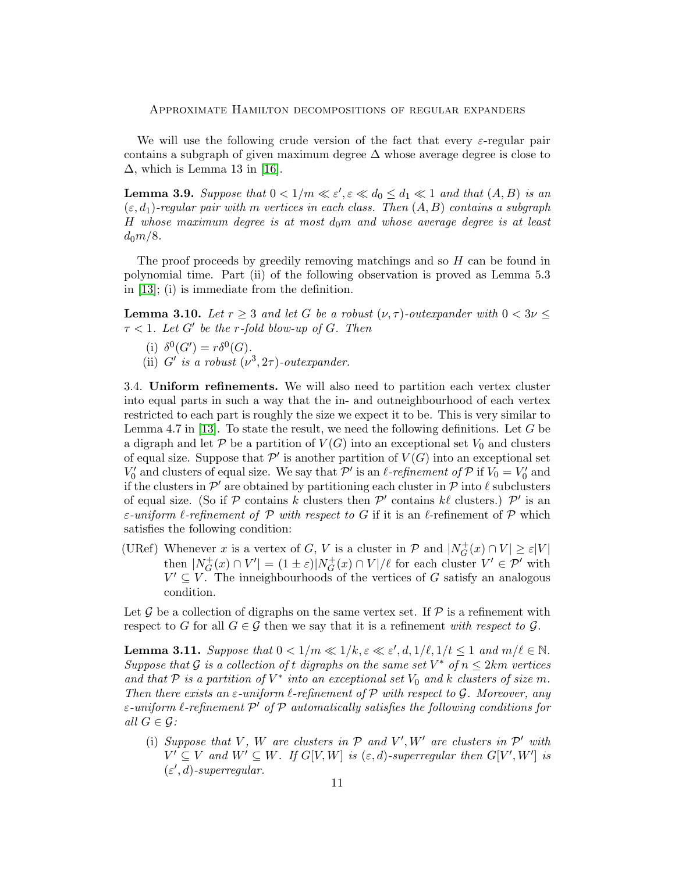Approximate Hamilton decompositions of regular expanders

We will use the following crude version of the fact that every  $\varepsilon$ -regular pair contains a subgraph of given maximum degree  $\Delta$  whose average degree is close to  $\Delta$ , which is Lemma 13 in [\[16\]](#page-43-3).

<span id="page-10-3"></span>**Lemma 3.9.** Suppose that  $0 < 1/m \ll \varepsilon'$ ,  $\varepsilon \ll d_0 \leq d_1 \ll 1$  and that  $(A, B)$  is an  $(\varepsilon, d_1)$ -regular pair with m vertices in each class. Then  $(A, B)$  contains a subgraph H whose maximum degree is at most  $d_0$ m and whose average degree is at least  $d_0m/8$ .

The proof proceeds by greedily removing matchings and so  $H$  can be found in polynomial time. Part (ii) of the following observation is proved as Lemma 5.3 in [\[13\]](#page-43-6); (i) is immediate from the definition.

<span id="page-10-2"></span>**Lemma 3.10.** Let  $r \geq 3$  and let G be a robust  $(\nu, \tau)$ -outexpander with  $0 < 3\nu \leq$  $\tau < 1$ . Let G' be the r-fold blow-up of G. Then

- (i)  $\delta^0(G') = r\delta^0(G)$ .
- (ii) G' is a robust  $(\nu^3, 2\tau)$ -outexpander.

<span id="page-10-1"></span>3.4. Uniform refinements. We will also need to partition each vertex cluster into equal parts in such a way that the in- and outneighbourhood of each vertex restricted to each part is roughly the size we expect it to be. This is very similar to Lemma 4.7 in [\[13\]](#page-43-6). To state the result, we need the following definitions. Let  $G$  be a digraph and let P be a partition of  $V(G)$  into an exceptional set  $V_0$  and clusters of equal size. Suppose that  $\mathcal{P}'$  is another partition of  $V(G)$  into an exceptional set  $V'_0$  and clusters of equal size. We say that  $\mathcal{P}'$  is an  $\ell$ -refinement of  $\mathcal{P}$  if  $V_0 = V'_0$  and if the clusters in  $\mathcal{P}'$  are obtained by partitioning each cluster in  $\mathcal P$  into  $\ell$  subclusters of equal size. (So if  $P$  contains k clusters then  $P'$  contains kl clusters.)  $P'$  is an  $\varepsilon$ -uniform  $\ell$ -refinement of P with respect to G if it is an  $\ell$ -refinement of P which satisfies the following condition:

(URef) Whenever x is a vertex of G, V is a cluster in  $\mathcal{P}$  and  $|N_G^+|$  $\mathcal{L}_G^+(x) \cap V \geq \varepsilon |V|$ then  $|N_G^+|$  $G_G^+(x) \cap V' = (1 \pm \varepsilon)|N_G^+$  $G_G^+(x) \cap V'/\ell$  for each cluster  $V' \in \mathcal{P}'$  with  $V' \subseteq V$ . The inneighbourhoods of the vertices of G satisfy an analogous condition.

Let  $\mathcal G$  be a collection of digraphs on the same vertex set. If  $\mathcal P$  is a refinement with respect to G for all  $G \in \mathcal{G}$  then we say that it is a refinement with respect to  $\mathcal{G}$ .

<span id="page-10-0"></span>**Lemma 3.11.** Suppose that  $0 < 1/m \ll 1/k$ ,  $\varepsilon \ll \varepsilon', d, 1/\ell, 1/t \leq 1$  and  $m/\ell \in \mathbb{N}$ . Suppose that G is a collection of t digraphs on the same set  $V^*$  of  $n \leq 2km$  vertices and that  $P$  is a partition of  $V^*$  into an exceptional set  $V_0$  and k clusters of size m. Then there exists an  $\varepsilon$ -uniform  $\ell$ -refinement of  $\mathcal P$  with respect to  $\mathcal G$ . Moreover, any  $\varepsilon$ -uniform  $\ell$ -refinement  $\mathcal{P}'$  of  $\mathcal P$  automatically satisfies the following conditions for all  $G \in \mathcal{G}$ :

(i) Suppose that V, W are clusters in  $P$  and  $V', W'$  are clusters in  $P'$  with  $V' \subseteq V$  and  $W' \subseteq W$ . If  $G[V, W]$  is  $(\varepsilon, d)$ -superregular then  $G[V', W']$  is  $(\varepsilon', d)$ -superregular.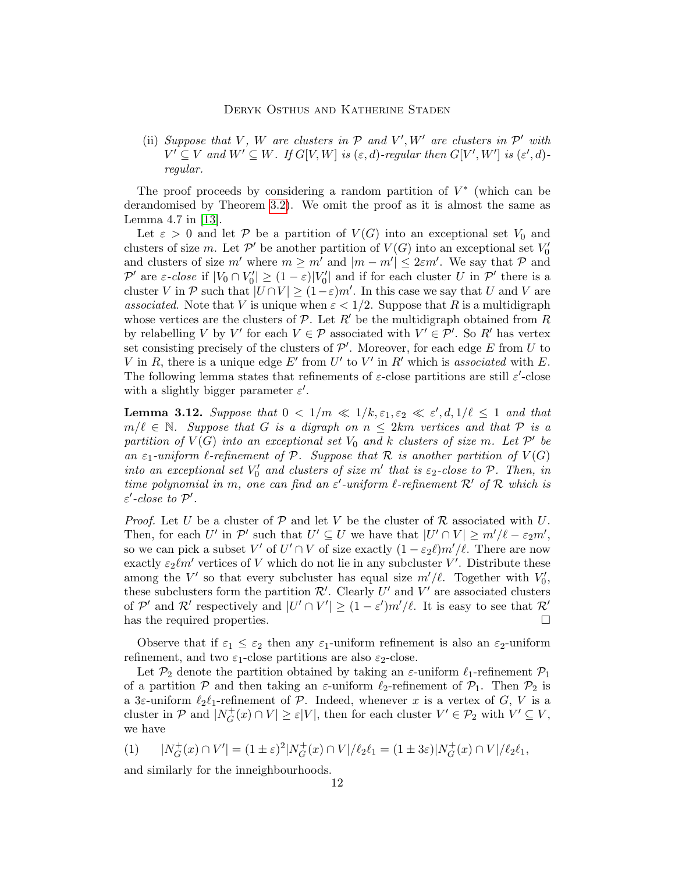(ii) Suppose that V, W are clusters in  $P$  and  $V', W'$  are clusters in  $P'$  with  $V' \subseteq V$  and  $W' \subseteq W$ . If  $G[V, W]$  is  $(\varepsilon, d)$ -regular then  $G[V', W']$  is  $(\varepsilon', d)$ regular.

The proof proceeds by considering a random partition of  $V^*$  (which can be derandomised by Theorem [3.2\)](#page-6-1). We omit the proof as it is almost the same as Lemma 4.7 in [\[13\]](#page-43-6).

Let  $\varepsilon > 0$  and let P be a partition of  $V(G)$  into an exceptional set  $V_0$  and clusters of size m. Let  $\mathcal{P}'$  be another partition of  $V(G)$  into an exceptional set  $V'_0$ and clusters of size m' where  $m \ge m'$  and  $|m - m'| \le 2 \varepsilon m'$ . We say that  $P$  and P' are  $\varepsilon$ -close if  $|V_0 \cap V'_0| \ge (1 - \varepsilon)|V'_0|$  and if for each cluster U in P' there is a cluster V in P such that  $|U \cap V| \ge (1 - \varepsilon)m'$ . In this case we say that U and V are associated. Note that V is unique when  $\varepsilon < 1/2$ . Suppose that R is a multidigraph whose vertices are the clusters of  $\mathcal{P}$ . Let R' be the multidigraph obtained from R by relabelling V by V' for each  $V \in \mathcal{P}$  associated with  $V' \in \mathcal{P}'$ . So R' has vertex set consisting precisely of the clusters of  $\mathcal{P}'$ . Moreover, for each edge E from U to V in R, there is a unique edge E' from U' to V' in R' which is associated with E. The following lemma states that refinements of  $\varepsilon$ -close partitions are still  $\varepsilon'$ -close with a slightly bigger parameter  $\varepsilon'$ .

<span id="page-11-0"></span>**Lemma 3.12.** Suppose that  $0 < 1/m \ll 1/k, \epsilon_1, \epsilon_2 \ll \epsilon', d, 1/\ell \leq 1$  and that  $m/\ell \in \mathbb{N}$ . Suppose that G is a digraph on  $n \leq 2km$  vertices and that P is a partition of  $V(G)$  into an exceptional set  $V_0$  and k clusters of size m. Let  $\mathcal{P}'$  be an  $\varepsilon_1$ -uniform  $\ell$ -refinement of  $\mathcal P$ . Suppose that  $\mathcal R$  is another partition of  $V(G)$ into an exceptional set  $V'_0$  and clusters of size m' that is  $\varepsilon_2$ -close to  $P$ . Then, in time polynomial in m, one can find an  $\varepsilon'$ -uniform  $\ell$ -refinement  $\mathcal{R}'$  of  $\mathcal R$  which is  $\varepsilon'$ -close to  $\mathcal{P}'$ .

*Proof.* Let U be a cluster of  $P$  and let V be the cluster of R associated with U. Then, for each U' in  $\mathcal{P}'$  such that  $U' \subseteq U$  we have that  $|U' \cap V| \geq m'/\ell - \varepsilon_2 m'$ , so we can pick a subset  $V'$  of  $U' \cap V$  of size exactly  $(1 - \varepsilon_2 \ell) m'/\ell$ . There are now exactly  $\varepsilon_2 \ell m'$  vertices of V which do not lie in any subcluster V'. Distribute these among the V' so that every subcluster has equal size  $m'/\ell$ . Together with  $V'_0$ , these subclusters form the partition  $\mathcal{R}'$ . Clearly U' and V' are associated clusters of P' and R' respectively and  $|U' \cap V'| \geq (1 - \varepsilon')m'/\ell$ . It is easy to see that R' has the required properties.  $\Box$ 

Observe that if  $\varepsilon_1 \leq \varepsilon_2$  then any  $\varepsilon_1$ -uniform refinement is also an  $\varepsilon_2$ -uniform refinement, and two  $\varepsilon_1$ -close partitions are also  $\varepsilon_2$ -close.

Let  $\mathcal{P}_2$  denote the partition obtained by taking an  $\varepsilon$ -uniform  $\ell_1$ -refinement  $\mathcal{P}_1$ of a partition P and then taking an  $\varepsilon$ -uniform  $\ell_2$ -refinement of  $\mathcal{P}_1$ . Then  $\mathcal{P}_2$  is a 3 $\varepsilon$ -uniform  $\ell_2\ell_1$ -refinement of  $\mathcal P$ . Indeed, whenever x is a vertex of G, V is a cluster in  $\mathcal{P}$  and  $|N_G^+|$  $\mathcal{L}_G^+(x) \cap V \geq \varepsilon |V|$ , then for each cluster  $V' \in \mathcal{P}_2$  with  $V' \subseteq V$ , we have

<span id="page-11-1"></span>(1) 
$$
|N_G^+(x) \cap V'| = (1 \pm \varepsilon)^2 |N_G^+(x) \cap V| / \ell_2 \ell_1 = (1 \pm 3\varepsilon) |N_G^+(x) \cap V| / \ell_2 \ell_1,
$$

and similarly for the inneighbourhoods.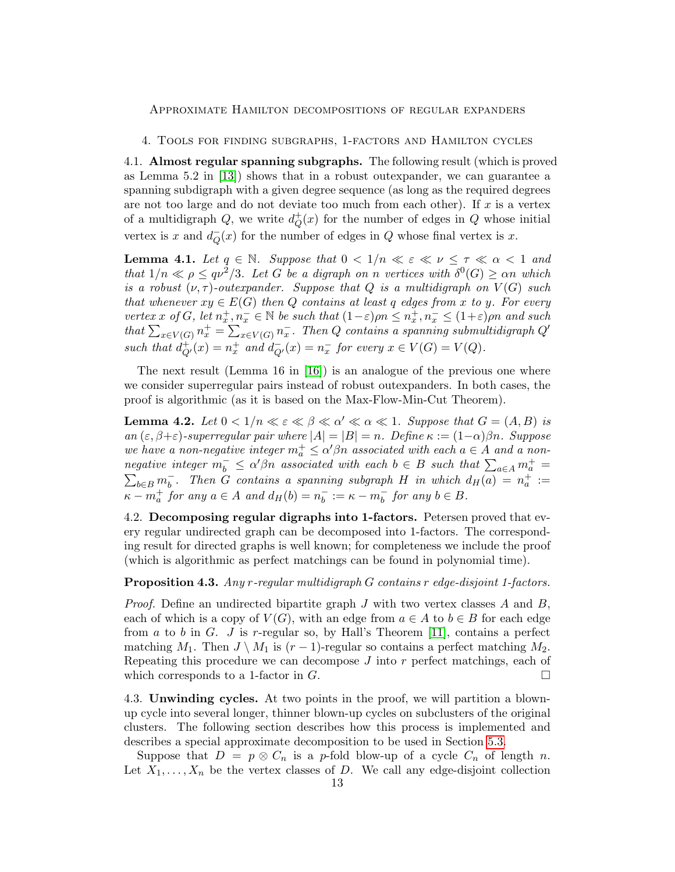#### Approximate Hamilton decompositions of regular expanders

#### <span id="page-12-0"></span>4. Tools for finding subgraphs, 1-factors and Hamilton cycles

4.1. Almost regular spanning subgraphs. The following result (which is proved as Lemma 5.2 in [\[13\]](#page-43-6)) shows that in a robust outexpander, we can guarantee a spanning subdigraph with a given degree sequence (as long as the required degrees are not too large and do not deviate too much from each other). If  $x$  is a vertex of a multidigraph  $Q$ , we write  $d^+$  $_Q^+(x)$  for the number of edges in Q whose initial vertex is x and  $d_O^ \overline{Q}(x)$  for the number of edges in Q whose final vertex is x.

<span id="page-12-1"></span>**Lemma 4.1.** Let  $q \in \mathbb{N}$ . Suppose that  $0 < 1/n \ll \varepsilon \ll \nu \leq \tau \ll \alpha < 1$  and that  $1/n \ll \rho \le q\nu^2/3$ . Let G be a digraph on n vertices with  $\delta^0(G) \ge \alpha n$  which is a robust  $(\nu, \tau)$ -outexpander. Suppose that Q is a multidigraph on  $V(G)$  such that whenever  $xy \in E(G)$  then Q contains at least q edges from x to y. For every vertex x of G, let  $n_x^+, n_x^- \in \mathbb{N}$  be such that  $(1-\varepsilon)\rho n \leq n_x^+, n_x^- \leq (1+\varepsilon)\rho n$  and such that  $\sum_{x \in V(G)} n_x^+ = \sum_{x \in V(G)} n_x^-$ . Then Q contains a spanning submultidigraph Q' such that  $d_{Q'}^+(x) = n_x^+$  and  $d_{Q'}^-(x) = n_x^-$  for every  $x \in V(G) = V(Q)$ .

The next result (Lemma 16 in [\[16\]](#page-43-3)) is an analogue of the previous one where we consider superregular pairs instead of robust outexpanders. In both cases, the proof is algorithmic (as it is based on the Max-Flow-Min-Cut Theorem).

<span id="page-12-3"></span>**Lemma 4.2.** Let  $0 < 1/n \ll \varepsilon \ll \beta \ll \alpha' \ll \alpha \ll 1$ . Suppose that  $G = (A, B)$  is an  $(\varepsilon, \beta + \varepsilon)$ -superregular pair where  $|A| = |B| = n$ . Define  $\kappa := (1-\alpha)\beta n$ . Suppose we have a non-negative integer  $m_a^+ \leq \alpha' \beta n$  associated with each  $a \in A$  and a nonnegative integer  $m_b^- \le \alpha' \beta n$  associated with each  $b \in B$  such that  $\sum_{a \in A} m_a^+ =$  $\sum_{b\in B} m_b^-$ . Then G contains a spanning subgraph H in which  $d_H(a) = n_a^+ :=$  $\kappa - m_a^+$  for any  $a \in A$  and  $d_H(b) = n_b^ \overline{b} := \kappa - m_b^-$  for any  $b \in B$ .

4.2. Decomposing regular digraphs into 1-factors. Petersen proved that every regular undirected graph can be decomposed into 1-factors. The corresponding result for directed graphs is well known; for completeness we include the proof (which is algorithmic as perfect matchings can be found in polynomial time).

<span id="page-12-2"></span>Proposition 4.3. Any r-regular multidigraph G contains r edge-disjoint 1-factors.

*Proof.* Define an undirected bipartite graph  $J$  with two vertex classes  $A$  and  $B$ , each of which is a copy of  $V(G)$ , with an edge from  $a \in A$  to  $b \in B$  for each edge from a to b in G. J is r-regular so, by Hall's Theorem [\[11\]](#page-43-12), contains a perfect matching  $M_1$ . Then  $J \setminus M_1$  is  $(r-1)$ -regular so contains a perfect matching  $M_2$ . Repeating this procedure we can decompose  $J$  into  $r$  perfect matchings, each of which corresponds to a 1-factor in  $G$ .

4.3. Unwinding cycles. At two points in the proof, we will partition a blownup cycle into several longer, thinner blown-up cycles on subclusters of the original clusters. The following section describes how this process is implemented and describes a special approximate decomposition to be used in Section [5.3.](#page-18-0)

Suppose that  $D = p \otimes C_n$  is a p-fold blow-up of a cycle  $C_n$  of length n. Let  $X_1, \ldots, X_n$  be the vertex classes of D. We call any edge-disjoint collection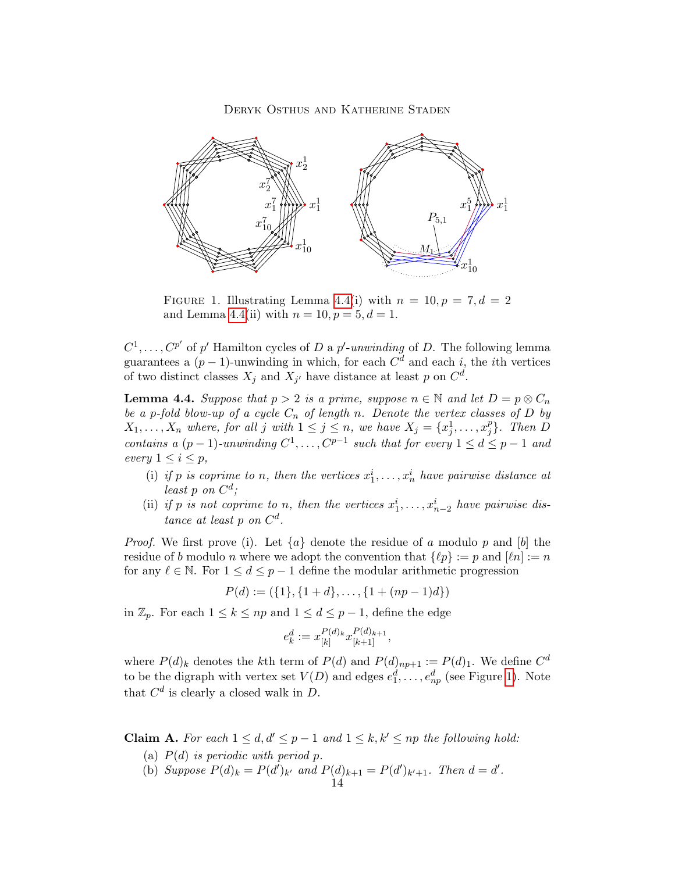

<span id="page-13-1"></span>FIGURE 1. Illustrating Lemma [4.4\(](#page-13-0)i) with  $n = 10, p = 7, d = 2$ and Lemma [4.4\(](#page-13-0)ii) with  $n = 10, p = 5, d = 1$ .

 $C^1, \ldots, C^{p'}$  of p' Hamilton cycles of D a p'-unwinding of D. The following lemma guarantees a  $(p-1)$ -unwinding in which, for each  $C<sup>d</sup>$  and each i, the ith vertices of two distinct classes  $X_j$  and  $X_{j'}$  have distance at least p on  $C^d$ .

<span id="page-13-0"></span>**Lemma 4.4.** Suppose that  $p > 2$  is a prime, suppose  $n \in \mathbb{N}$  and let  $D = p \otimes C_n$ be a p-fold blow-up of a cycle  $C_n$  of length n. Denote the vertex classes of D by  $X_1, \ldots, X_n$  where, for all j with  $1 \leq j \leq n$ , we have  $X_j = \{x_j^1, \ldots, x_j^p\}$  $_{j}^{p}$  }. Then D contains a  $(p-1)$ -unwinding  $C^1, \ldots, C^{p-1}$  such that for every  $1 \leq d \leq p-1$  and every  $1 \leq i \leq p$ ,

- (i) if p is coprime to n, then the vertices  $x_1^i, \ldots, x_n^i$  have pairwise distance at least p on  $C^d$ ;
- (ii) if p is not coprime to n, then the vertices  $x_1^i, \ldots, x_{n-2}^i$  have pairwise distance at least  $p$  on  $C^d$ .

*Proof.* We first prove (i). Let  $\{a\}$  denote the residue of a modulo p and [b] the residue of b modulo n where we adopt the convention that  $\{\ell p\} := p$  and  $[\ell n] := n$ for any  $\ell \in \mathbb{N}$ . For  $1 \leq d \leq p-1$  define the modular arithmetic progression

$$
P(d) := (\{1\}, \{1+d\}, \dots, \{1+(np-1)d\})
$$

in  $\mathbb{Z}_p$ . For each  $1 \leq k \leq np$  and  $1 \leq d \leq p-1$ , define the edge

$$
e_k^d := x_{[k]}^{P(d)_k} x_{[k+1]}^{P(d)_{k+1}},
$$

where  $P(d)_k$  denotes the kth term of  $P(d)$  and  $P(d)_{np+1} := P(d)_1$ . We define  $C^d$ to be the digraph with vertex set  $V(D)$  and edges  $e_1^d, \ldots, e_{np}^d$  (see Figure [1\)](#page-13-1). Note that  $C^d$  is clearly a closed walk in D.

Claim A. For each  $1 ≤ d, d' ≤ p - 1$  and  $1 ≤ k, k' ≤ np$  the following hold:

- (a)  $P(d)$  is periodic with period p.
- (b) Suppose  $P(d)_k = P(d')_{k'}$  and  $P(d)_{k+1} = P(d')_{k'+1}$ . Then  $d = d'$ .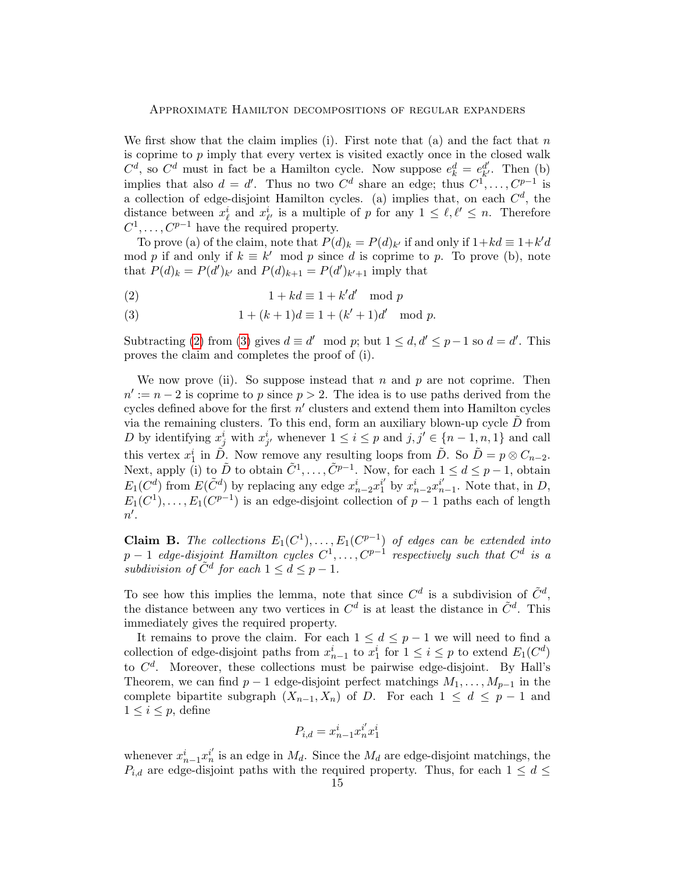We first show that the claim implies (i). First note that (a) and the fact that  $n$ is coprime to p imply that every vertex is visited exactly once in the closed walk  $C^d$ , so  $C^d$  must in fact be a Hamilton cycle. Now suppose  $e^d_k = e^{d'}_{k'}$  $\frac{d'}{k'}$ . Then (b) implies that also  $d = d'$ . Thus no two  $C^d$  share an edge; thus  $C^1, \ldots, C^{p-1}$  is a collection of edge-disjoint Hamilton cycles. (a) implies that, on each  $C^d$ , the distance between  $x_{\ell}^{i}$  and  $x_{\ell'}^{i}$  is a multiple of p for any  $1 \leq \ell, \ell' \leq n$ . Therefore  $C^1, \ldots, C^{p-1}$  have the required property.

To prove (a) of the claim, note that  $P(d)_k = P(d)_{k'}$  if and only if  $1+kd \equiv 1+k'd$ mod p if and only if  $k \equiv k' \mod p$  since d is coprime to p. To prove (b), note that  $P(d)_k = P(d')_{k'}$  and  $P(d)_{k+1} = P(d')_{k'+1}$  imply that

- <span id="page-14-0"></span>(2)  $1 + kd \equiv 1 + k'd' \mod p$
- <span id="page-14-1"></span>(3)  $1 + (k+1)d \equiv 1 + (k'+1)d' \mod p.$

Subtracting [\(2\)](#page-14-0) from [\(3\)](#page-14-1) gives  $d \equiv d' \mod p$ ; but  $1 \leq d, d' \leq p-1$  so  $d = d'$ . This proves the claim and completes the proof of (i).

We now prove (ii). So suppose instead that n and p are not coprime. Then  $n' := n - 2$  is coprime to p since  $p > 2$ . The idea is to use paths derived from the cycles defined above for the first  $n'$  clusters and extend them into Hamilton cycles via the remaining clusters. To this end, form an auxiliary blown-up cycle  $\overline{D}$  from D by identifying  $x_j^i$  with  $x_{j'}^i$  whenever  $1 \leq i \leq p$  and  $j, j' \in \{n-1, n, 1\}$  and call this vertex  $x_1^i$  in  $\tilde{D}$ . Now remove any resulting loops from  $\tilde{D}$ . So  $\tilde{D} = p \otimes C_{n-2}$ . Next, apply (i) to  $\tilde{D}$  to obtain  $\tilde{C}^1, \ldots, \tilde{C}^{p-1}$ . Now, for each  $1 \leq d \leq p-1$ , obtain  $E_1(C^d)$  from  $E(\tilde{C}^d)$  by replacing any edge  $x_{n-2}^i x_1^{i'}$  by  $x_{n-2}^i x_n^{i'}$  $_{n-1}^{i'}$ . Note that, in D,  $E_1(C^1), \ldots, E_1(C^{p-1})$  is an edge-disjoint collection of  $p-1$  paths each of length  $n'.$ 

**Claim B.** The collections  $E_1(C^1), \ldots, E_1(C^{p-1})$  of edges can be extended into  $p-1$  edge-disjoint Hamilton cycles  $C^1, \ldots, C^{p-1}$  respectively such that  $C^d$  is a subdivision of  $\tilde{C}^d$  for each  $1 \leq d \leq p-1$ .

To see how this implies the lemma, note that since  $C^d$  is a subdivision of  $\tilde{C}^d$ , the distance between any two vertices in  $C<sup>d</sup>$  is at least the distance in  $\tilde{C}<sup>d</sup>$ . This immediately gives the required property.

It remains to prove the claim. For each  $1 \leq d \leq p-1$  we will need to find a collection of edge-disjoint paths from  $x_{n-1}^i$  to  $x_1^i$  for  $1 \leq i \leq p$  to extend  $E_1(C^d)$ to  $C<sup>d</sup>$ . Moreover, these collections must be pairwise edge-disjoint. By Hall's Theorem, we can find  $p-1$  edge-disjoint perfect matchings  $M_1, \ldots, M_{p-1}$  in the complete bipartite subgraph  $(X_{n-1}, X_n)$  of D. For each  $1 \leq d \leq p-1$  and  $1 \leq i \leq p$ , define

$$
P_{i,d} = x_{n-1}^i x_n^{i'} x_1^i
$$

whenever  $x_{n-1}^i x_n^{i'}$  is an edge in  $M_d$ . Since the  $M_d$  are edge-disjoint matchings, the  $P_{i,d}$  are edge-disjoint paths with the required property. Thus, for each  $1 \leq d \leq$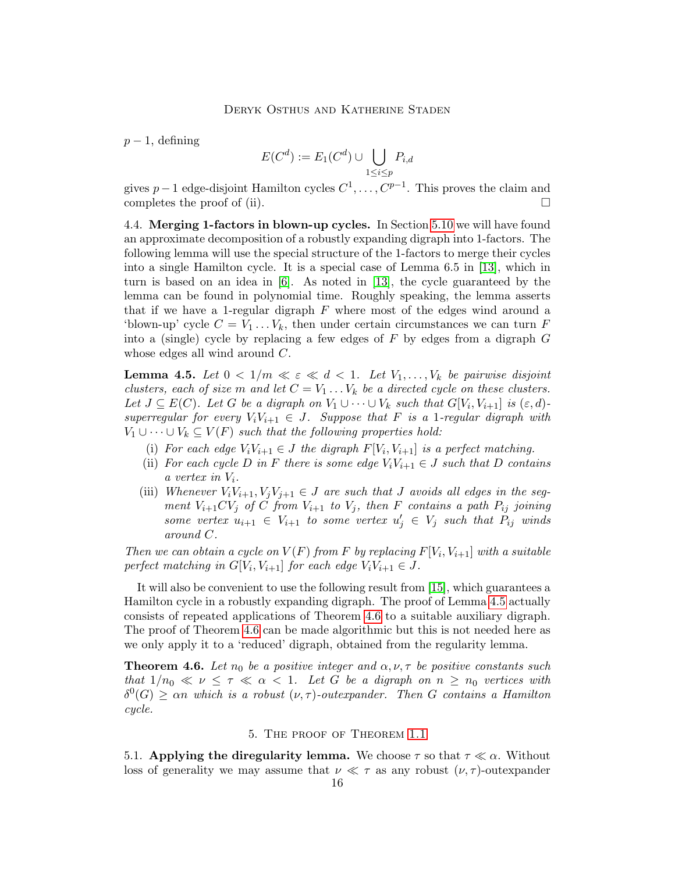$p-1$ , defining

$$
E(C^d) := E_1(C^d) \cup \bigcup_{1 \le i \le p} P_{i,d}
$$

gives  $p-1$  edge-disjoint Hamilton cycles  $C^1, \ldots, C^{p-1}$ . This proves the claim and completes the proof of (ii).

4.4. Merging 1-factors in blown-up cycles. In Section [5.10](#page-37-0) we will have found an approximate decomposition of a robustly expanding digraph into 1-factors. The following lemma will use the special structure of the 1-factors to merge their cycles into a single Hamilton cycle. It is a special case of Lemma 6.5 in [\[13\]](#page-43-6), which in turn is based on an idea in [\[6\]](#page-42-7). As noted in [\[13\]](#page-43-6), the cycle guaranteed by the lemma can be found in polynomial time. Roughly speaking, the lemma asserts that if we have a 1-regular digraph  $F$  where most of the edges wind around a 'blown-up' cycle  $C = V_1 \ldots V_k$ , then under certain circumstances we can turn F into a (single) cycle by replacing a few edges of  $F$  by edges from a digraph  $G$ whose edges all wind around C.

<span id="page-15-2"></span>**Lemma 4.5.** Let  $0 < 1/m \ll \varepsilon \ll d < 1$ . Let  $V_1, \ldots, V_k$  be pairwise disjoint clusters, each of size m and let  $C = V_1 \dots V_k$  be a directed cycle on these clusters. Let  $J \subseteq E(C)$ . Let G be a digraph on  $V_1 \cup \cdots \cup V_k$  such that  $G[V_i, V_{i+1}]$  is  $(\varepsilon, d)$ superregular for every  $V_iV_{i+1} \in J$ . Suppose that F is a 1-regular digraph with  $V_1 \cup \cdots \cup V_k \subseteq V(F)$  such that the following properties hold:

- (i) For each edge  $V_iV_{i+1} \in J$  the digraph  $F[V_i, V_{i+1}]$  is a perfect matching.
- (ii) For each cycle D in F there is some edge  $V_iV_{i+1} \in J$  such that D contains a vertex in  $V_i$ .
- (iii) Whenever  $V_iV_{i+1}, V_jV_{j+1} \in J$  are such that J avoids all edges in the segment  $V_{i+1}CV_j$  of C from  $V_{i+1}$  to  $V_j$ , then F contains a path  $P_{ij}$  joining some vertex  $u_{i+1} \in V_{i+1}$  to some vertex  $u'_j \in V_j$  such that  $P_{ij}$  winds around C.

Then we can obtain a cycle on  $V(F)$  from F by replacing  $F[V_i, V_{i+1}]$  with a suitable perfect matching in  $G[V_i, V_{i+1}]$  for each edge  $V_iV_{i+1} \in J$ .

It will also be convenient to use the following result from [\[15\]](#page-43-5), which guarantees a Hamilton cycle in a robustly expanding digraph. The proof of Lemma [4.5](#page-15-2) actually consists of repeated applications of Theorem [4.6](#page-15-3) to a suitable auxiliary digraph. The proof of Theorem [4.6](#page-15-3) can be made algorithmic but this is not needed here as we only apply it to a 'reduced' digraph, obtained from the regularity lemma.

<span id="page-15-3"></span>**Theorem 4.6.** Let  $n_0$  be a positive integer and  $\alpha, \nu, \tau$  be positive constants such that  $1/n_0 \ll \nu \leq \tau \ll \alpha < 1$ . Let G be a digraph on  $n \geq n_0$  vertices with  $\delta^0(G) \geq \alpha n$  which is a robust  $(\nu, \tau)$ -outexpander. Then G contains a Hamilton cycle.

### 5. The proof of Theorem [1.1](#page-1-1)

<span id="page-15-1"></span><span id="page-15-0"></span>5.1. Applying the diregularity lemma. We choose  $\tau$  so that  $\tau \ll \alpha$ . Without loss of generality we may assume that  $\nu \ll \tau$  as any robust  $(\nu, \tau)$ -outexpander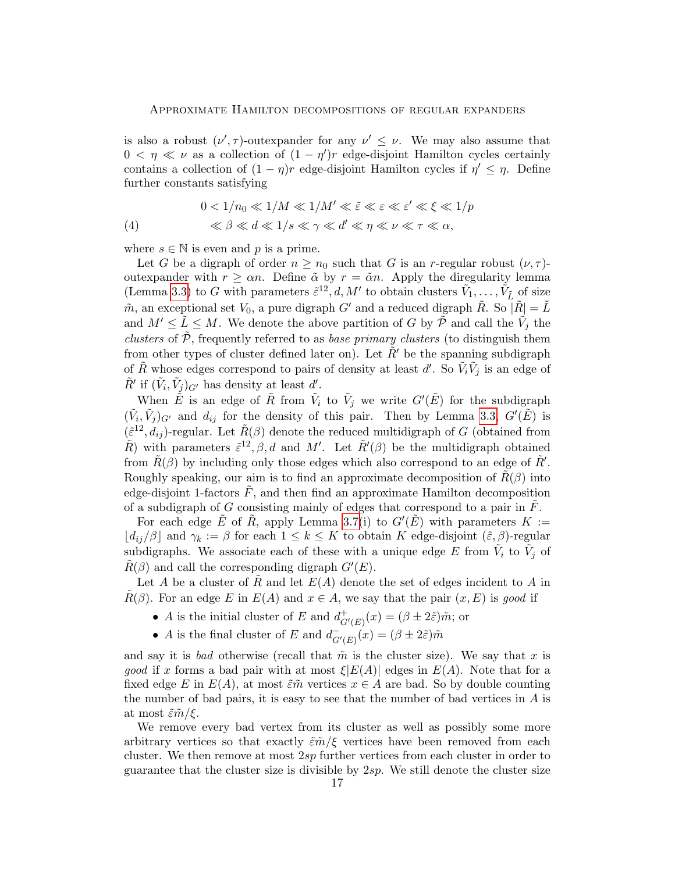is also a robust  $(\nu', \tau)$ -outexpander for any  $\nu' \leq \nu$ . We may also assume that  $0 < \eta \ll \nu$  as a collection of  $(1 - \eta')r$  edge-disjoint Hamilton cycles certainly contains a collection of  $(1 - \eta)r$  edge-disjoint Hamilton cycles if  $\eta' \leq \eta$ . Define further constants satisfying

<span id="page-16-0"></span>(4) 
$$
0 < 1/n_0 \ll 1/M \ll 1/M' \ll \tilde{\varepsilon} \ll \varepsilon \ll \varepsilon' \ll \xi \ll 1/p
$$

$$
\ll \beta \ll d \ll 1/s \ll \gamma \ll d' \ll \eta \ll \nu \ll \tau \ll \alpha,
$$

where  $s \in \mathbb{N}$  is even and p is a prime.

Let G be a digraph of order  $n \geq n_0$  such that G is an r-regular robust  $(\nu, \tau)$ outexpander with  $r \geq \alpha n$ . Define  $\tilde{\alpha}$  by  $r = \tilde{\alpha} n$ . Apply the diregularity lemma (Lemma [3.3\)](#page-7-0) to G with parameters  $\tilde{\varepsilon}^{12}, d, M'$  to obtain clusters  $\tilde{V}_1, \ldots, \tilde{V}_{\tilde{L}}$  of size  $\tilde{m}$ , an exceptional set  $V_0$ , a pure digraph  $G'$  and a reduced digraph  $\tilde{R}$ . So  $|\tilde{R}| = \tilde{L}$ and  $M' \leq \tilde{L} \leq M$ . We denote the above partition of G by  $\tilde{\mathcal{P}}$  and call the  $\tilde{V}_j$  the *clusters* of  $\tilde{\mathcal{P}}$ , frequently referred to as *base primary clusters* (to distinguish them from other types of cluster defined later on). Let  $R'$  be the spanning subdigraph of  $\tilde{R}$  whose edges correspond to pairs of density at least d'. So  $\tilde{V}_i \tilde{V}_j$  is an edge of  $\tilde{R}'$  if  $(\tilde{V}_i, \tilde{V}_j)_{G'}$  has density at least d'.

When  $\tilde{E}$  is an edge of  $\tilde{R}$  from  $\tilde{V}_i$  to  $\tilde{V}_j$  we write  $G'(\tilde{E})$  for the subdigraph  $(\tilde{V}_i, \tilde{V}_j)_{G'}$  and  $d_{ij}$  for the density of this pair. Then by Lemma [3.3,](#page-7-0)  $G'(\tilde{E})$  is  $(\tilde{\varepsilon}^{12}, \dot{d}_{ij})$ -regular. Let  $\tilde{R}(\beta)$  denote the reduced multidigraph of G (obtained from  $\tilde{R}$ ) with parameters  $\tilde{\varepsilon}^{12}$ ,  $\beta$ , d and M'. Let  $\tilde{R}'(\beta)$  be the multidigraph obtained from  $\tilde{R}(\beta)$  by including only those edges which also correspond to an edge of  $\tilde{R}'$ . Roughly speaking, our aim is to find an approximate decomposition of  $R(\beta)$  into edge-disjoint 1-factors  $\ddot{F}$ , and then find an approximate Hamilton decomposition of a subdigraph of G consisting mainly of edges that correspond to a pair in  $\tilde{F}$ .

For each edge  $\tilde{E}$  of  $\tilde{R}$ , apply Lemma [3.7\(](#page-9-0)i) to  $G'(\tilde{E})$  with parameters  $K :=$  $\lfloor d_{ij}/\beta \rfloor$  and  $\gamma_k := \beta$  for each  $1 \leq k \leq K$  to obtain K edge-disjoint  $(\tilde{\varepsilon}, \beta)$ -regular subdigraphs. We associate each of these with a unique edge E from  $\tilde{V}_i$  to  $\tilde{V}_j$  of  $\tilde{R}(\beta)$  and call the corresponding digraph  $G'(E)$ .

Let A be a cluster of R and let  $E(A)$  denote the set of edges incident to A in  $R(\beta)$ . For an edge E in  $E(A)$  and  $x \in A$ , we say that the pair  $(x, E)$  is good if

- A is the initial cluster of E and  $d^+_{G'(E)}(x) = (\beta \pm 2\tilde{\varepsilon})\tilde{m}$ ; or
- A is the final cluster of E and  $d_{G'(E)}^-(x) = (\beta \pm 2\tilde{\varepsilon})\tilde{m}$

and say it is bad otherwise (recall that  $\tilde{m}$  is the cluster size). We say that x is *good* if x forms a bad pair with at most  $\xi |E(A)|$  edges in  $E(A)$ . Note that for a fixed edge E in  $E(A)$ , at most  $\tilde{\varepsilon}$ m̃ vertices  $x \in A$  are bad. So by double counting the number of bad pairs, it is easy to see that the number of bad vertices in  $A$  is at most  $\tilde{\varepsilon} \tilde{m}/\xi$ .

We remove every bad vertex from its cluster as well as possibly some more arbitrary vertices so that exactly  $\tilde{\epsilon} \tilde{m}/\xi$  vertices have been removed from each cluster. We then remove at most 2sp further vertices from each cluster in order to guarantee that the cluster size is divisible by  $2sp$ . We still denote the cluster size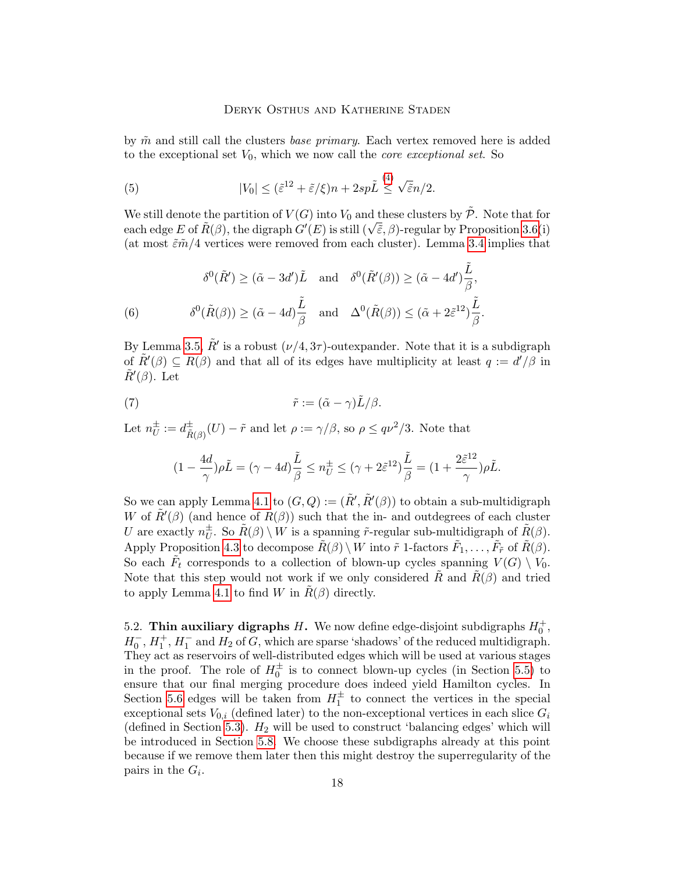by  $\tilde{m}$  and still call the clusters base primary. Each vertex removed here is added to the exceptional set  $V_0$ , which we now call the *core exceptional set*. So

<span id="page-17-2"></span>(5) 
$$
|V_0| \leq (\tilde{\varepsilon}^{12} + \tilde{\varepsilon}/\xi)n + 2sp\tilde{L} \leq \sqrt{\tilde{\varepsilon}}n/2.
$$

We still denote the partition of  $V(G)$  into  $V_0$  and these clusters by  $\tilde{\mathcal{P}}$ . Note that for we still denote the partition of  $V(G)$  into  $V_0$  and these clusters by P. Note that for<br>each edge E of  $\tilde{R}(\beta)$ , the digraph  $G'(E)$  is still  $(\sqrt{\tilde{\varepsilon}}, \beta)$ -regular by Proposition [3.6\(](#page-9-1)i) (at most  $\tilde{\varepsilon} \tilde{m}/4$  vertices were removed from each cluster). Lemma [3.4](#page-7-1) implies that

<span id="page-17-1"></span>(6) 
$$
\delta^{0}(\tilde{R}') \geq (\tilde{\alpha} - 3d')\tilde{L} \text{ and } \delta^{0}(\tilde{R}'(\beta)) \geq (\tilde{\alpha} - 4d')\frac{\tilde{L}}{\beta},
$$

$$
\delta^{0}(\tilde{R}(\beta)) \geq (\tilde{\alpha} - 4d)\frac{\tilde{L}}{\beta} \text{ and } \Delta^{0}(\tilde{R}(\beta)) \leq (\tilde{\alpha} + 2\tilde{\epsilon}^{12})\frac{\tilde{L}}{\beta}.
$$

By Lemma [3.5,](#page-8-0)  $\tilde{R}'$  is a robust  $(\nu/4, 3\tau)$ -outexpander. Note that it is a subdigraph of  $\tilde{R}'(\beta) \subseteq \tilde{R}(\beta)$  and that all of its edges have multiplicity at least  $q := d'/\beta$  in  $\tilde{R}'(\beta)$ . Let

(7) 
$$
\tilde{r} := (\tilde{\alpha} - \gamma) \tilde{L}/\beta.
$$

Let  $n_{II}^{\pm}$  $\stackrel{\pm}{U}:=d^{\pm}_{\tilde{R}}$  $\frac{dE}{dR(\beta)}(U) - \tilde{r}$  and let  $\rho := \gamma/\beta$ , so  $\rho \leq q\nu^2/3$ . Note that

<span id="page-17-3"></span>
$$
(1 - \frac{4d}{\gamma})\rho \tilde{L} = (\gamma - 4d)\frac{\tilde{L}}{\beta} \le n_U^{\pm} \le (\gamma + 2\tilde{\varepsilon}^{12})\frac{\tilde{L}}{\beta} = (1 + \frac{2\tilde{\varepsilon}^{12}}{\gamma})\rho \tilde{L}.
$$

So we can apply Lemma [4.1](#page-12-1) to  $(G, Q) := (\tilde{R}', \tilde{R}'(\beta))$  to obtain a sub-multidigraph W of  $\tilde{R}'(\beta)$  (and hence of  $\tilde{R}(\beta)$ ) such that the in- and outdegrees of each cluster U are exactly  $n_U^{\pm}$  $\stackrel{\pm}{U}$ . So  $\tilde{R}(\beta) \setminus W$  is a spanning  $\tilde{r}$ -regular sub-multidigraph of  $\tilde{R}(\beta)$ . Apply Proposition [4.3](#page-12-2) to decompose  $\tilde{R}(\beta) \setminus W$  into  $\tilde{r}$  1-factors  $\tilde{F}_1, \ldots, \tilde{F}_{\tilde{r}}$  of  $\tilde{R}(\beta)$ . So each  $\tilde{F}_t$  corresponds to a collection of blown-up cycles spanning  $V(G) \setminus V_0$ . Note that this step would not work if we only considered  $\tilde{R}$  and  $\tilde{R}(\beta)$  and tried to apply Lemma [4.1](#page-12-1) to find W in  $R(\beta)$  directly.

<span id="page-17-0"></span>5.2. Thin auxiliary digraphs  $H$ . We now define edge-disjoint subdigraphs  $H_0^+$ ,  $H_0^-, H_1^+, H_1^-$  and  $H_2$  of G, which are sparse 'shadows' of the reduced multidigraph. They act as reservoirs of well-distributed edges which will be used at various stages in the proof. The role of  $H_0^{\pm}$  is to connect blown-up cycles (in Section [5.5\)](#page-24-0) to ensure that our final merging procedure does indeed yield Hamilton cycles. In Section [5.6](#page-27-0) edges will be taken from  $H_1^{\pm}$  to connect the vertices in the special exceptional sets  $V_{0,i}$  (defined later) to the non-exceptional vertices in each slice  $G_i$ (defined in Section [5.3\)](#page-18-0).  $H_2$  will be used to construct 'balancing edges' which will be introduced in Section [5.8.](#page-32-0) We choose these subdigraphs already at this point because if we remove them later then this might destroy the superregularity of the pairs in the  $G_i$ .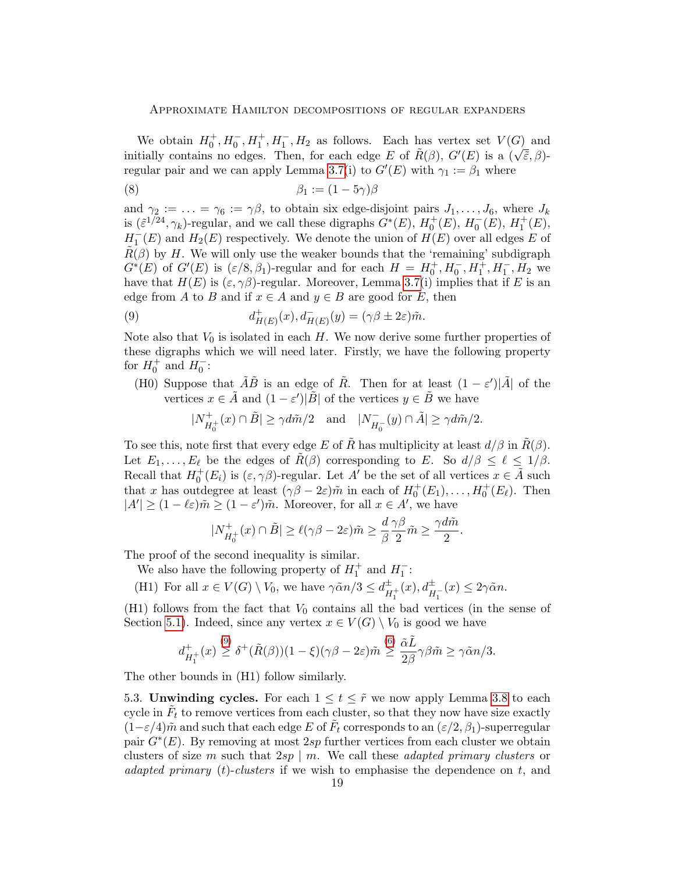### <span id="page-18-2"></span>Approximate Hamilton decompositions of regular expanders

We obtain  $H_0^+, H_0^-, H_1^+, H_1^-, H_2$  as follows. Each has vertex set  $V(G)$  and we obtain  $H_0$ ,  $H_0$ ,  $H_1$ ,  $H_1$ ,  $H_2$  as follows. Each has vertex set  $V(G)$  and<br>initially contains no edges. Then, for each edge E of  $\tilde{R}(\beta)$ ,  $G'(E)$  is a  $(\sqrt{\tilde{\varepsilon}}, \beta)$ -regular pair and we can apply Lemma [3.7\(](#page-9-0)i) to  $G'(E)$  with  $\gamma_1 := \beta_1$  where

$$
\beta_1 := (1 - 5\gamma)\beta
$$

and  $\gamma_2 := \ldots = \gamma_6 := \gamma \beta$ , to obtain six edge-disjoint pairs  $J_1, \ldots, J_6$ , where  $J_k$ is  $(\tilde{\varepsilon}^{1/24}, \gamma_k)$ -regular, and we call these digraphs  $G^*(E)$ ,  $H_0^+(E)$ ,  $H_0^-(E)$ ,  $H_1^+(E)$ ,  $H_1^-(E)$  and  $H_2(E)$  respectively. We denote the union of  $H(E)$  over all edges E of  $\tilde{R}(\beta)$  by H. We will only use the weaker bounds that the 'remaining' subdigraph  $G^{*}(E)$  of  $G'(E)$  is  $(\varepsilon/8, \beta_1)$ -regular and for each  $H = H_0^+, H_0^-, H_1^+, H_1^-, H_2$  we have that  $H(E)$  is  $(\varepsilon, \gamma\beta)$ -regular. Moreover, Lemma [3.7\(](#page-9-0)i) implies that if E is an edge from A to B and if  $x \in A$  and  $y \in B$  are good for E, then

(9) 
$$
d^+_{H(E)}(x), d^-_{H(E)}(y) = (\gamma \beta \pm 2\varepsilon) \tilde{m}.
$$

Note also that  $V_0$  is isolated in each  $H$ . We now derive some further properties of these digraphs which we will need later. Firstly, we have the following property for  $H_0^+$  and  $H_0^-$ :

(H0) Suppose that  $\tilde{A}\tilde{B}$  is an edge of  $\tilde{R}$ . Then for at least  $(1 - \varepsilon')|\tilde{A}|$  of the vertices  $x \in \tilde{A}$  and  $(1 - \varepsilon')|\tilde{B}|$  of the vertices  $y \in \tilde{B}$  we have

<span id="page-18-1"></span>
$$
|N^+_{H_0^+}(x)\cap \tilde{B}|\geq \gamma d\tilde{m}/2\quad \text{and}\quad |N^-_{H_0^-}(y)\cap \tilde{A}|\geq \gamma d\tilde{m}/2.
$$

To see this, note first that every edge E of R has multiplicity at least  $d/\beta$  in  $R(\beta)$ . Let  $E_1, \ldots, E_\ell$  be the edges of  $\tilde{R}(\beta)$  corresponding to E. So  $d/\beta \leq \ell \leq 1/\beta$ . Recall that  $H_0^+(E_i)$  is  $(\varepsilon, \gamma \beta)$ -regular. Let A' be the set of all vertices  $x \in \tilde{A}$  such that x has outdegree at least  $(\gamma \beta - 2\varepsilon) \tilde{m}$  in each of  $H_0^+(E_1), \ldots, H_0^+(E_\ell)$ . Then  $|A'| \geq (1 - \ell \varepsilon) \tilde{m} \geq (1 - \varepsilon') \tilde{m}$ . Moreover, for all  $x \in A'$ , we have

$$
|N_{H_0^+}^+(x) \cap \tilde{B}| \ge \ell(\gamma \beta - 2\varepsilon) \tilde{m} \ge \frac{d}{\beta} \frac{\gamma \beta}{2} \tilde{m} \ge \frac{\gamma d \tilde{m}}{2}.
$$

The proof of the second inequality is similar.

We also have the following property of  $H_1^+$  and  $H_1^-$ :

(H1) For all  $x \in V(G) \setminus V_0$ , we have  $\gamma \tilde{\alpha} n/3 \leq d^{\pm}$  $\frac{d^{\pm}}{H_1^+}(x), d^{\pm}_{H_1^-}(x) \leq 2\gamma \tilde{\alpha} n.$ 

 $(H1)$  follows from the fact that  $V_0$  contains all the bad vertices (in the sense of Section [5.1\)](#page-15-1). Indeed, since any vertex  $x \in V(G) \setminus V_0$  is good we have

$$
d^+_{H_1^+}(x) \overset{(9)}{\geq} \delta^+ (\tilde R(\beta))(1-\xi)(\gamma\beta-2\varepsilon) \tilde m \overset{(6)}{\geq} \frac{\tilde \alpha \tilde L}{2\beta} \gamma\beta \tilde m \geq \gamma \tilde \alpha n/3.
$$

The other bounds in (H1) follow similarly.

<span id="page-18-0"></span>5.3. Unwinding cycles. For each  $1 \le t \le \tilde{r}$  we now apply Lemma [3.8](#page-9-2) to each cycle in  $\tilde{F}_t$  to remove vertices from each cluster, so that they now have size exactly  $(1 - \varepsilon/4)\tilde{m}$  and such that each edge E of  $\tilde{F}_t$  corresponds to an  $(\varepsilon/2, \beta_1)$ -superregular pair  $G^*(E)$ . By removing at most  $2sp$  further vertices from each cluster we obtain clusters of size m such that  $2sp \mid m$ . We call these *adapted primary clusters* or adapted primary (t)-clusters if we wish to emphasise the dependence on t, and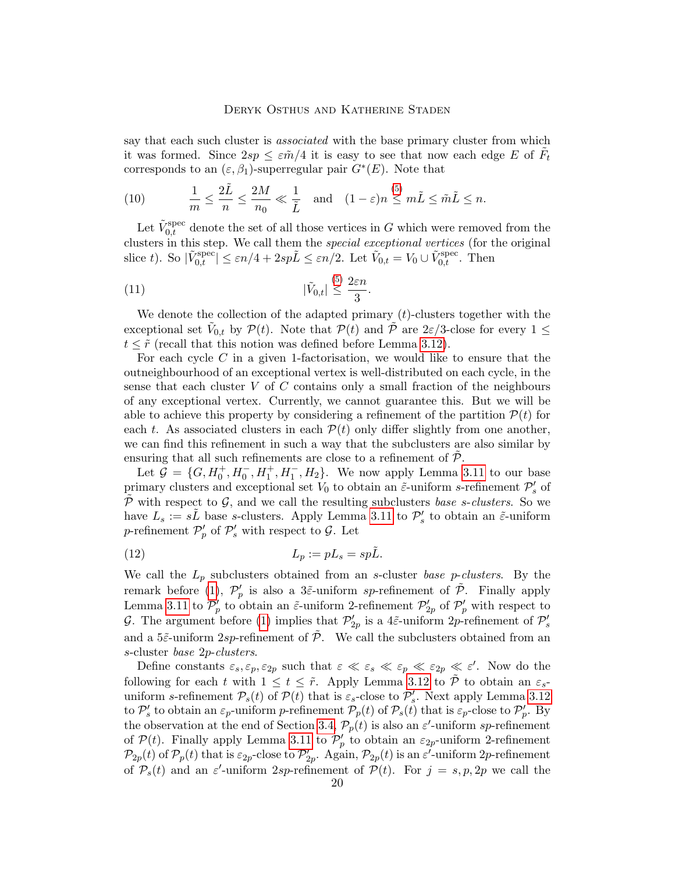say that each such cluster is *associated* with the base primary cluster from which it was formed. Since  $2sp \leq \varepsilon \tilde{m}/4$  it is easy to see that now each edge E of  $\tilde{F}_t$ corresponds to an  $(\varepsilon, \beta_1)$ -superregular pair  $G^*(E)$ . Note that

<span id="page-19-1"></span>(10) 
$$
\frac{1}{m} \le \frac{2\tilde{L}}{n} \le \frac{2M}{n_0} \ll \frac{1}{\tilde{L}} \quad \text{and} \quad (1 - \varepsilon)n \le m\tilde{L} \le \tilde{m}\tilde{L} \le n.
$$

Let  $\tilde{V}_{0,t}^{\text{spec}}$  denote the set of all those vertices in G which were removed from the clusters in this step. We call them the special exceptional vertices (for the original slice t). So  $|\tilde{V}_{0,t}^{\text{spec}}| \leq \varepsilon n/4 + 2sp\tilde{L} \leq \varepsilon n/2$ . Let  $\tilde{V}_{0,t} = V_0 \cup \tilde{V}_{0,t}^{\text{spec}}$ . Then

$$
|\tilde{V}_{0,t}| \stackrel{(5)}{\leq} \frac{2\varepsilon n}{3}
$$

We denote the collection of the adapted primary  $(t)$ -clusters together with the exceptional set  $\tilde{V}_{0,t}$  by  $\mathcal{P}(t)$ . Note that  $\mathcal{P}(t)$  and  $\tilde{\mathcal{P}}$  are  $2\varepsilon/3$ -close for every  $1 \leq$  $t \leq \tilde{r}$  (recall that this notion was defined before Lemma [3.12\)](#page-11-0).

<span id="page-19-2"></span>.

For each cycle  $C$  in a given 1-factorisation, we would like to ensure that the outneighbourhood of an exceptional vertex is well-distributed on each cycle, in the sense that each cluster  $V$  of  $C$  contains only a small fraction of the neighbours of any exceptional vertex. Currently, we cannot guarantee this. But we will be able to achieve this property by considering a refinement of the partition  $\mathcal{P}(t)$  for each t. As associated clusters in each  $\mathcal{P}(t)$  only differ slightly from one another, we can find this refinement in such a way that the subclusters are also similar by ensuring that all such refinements are close to a refinement of  $P$ .

Let  $\mathcal{G} = \{G, H_0^+, H_0^-, H_1^+, H_1^-, H_2\}$ . We now apply Lemma [3.11](#page-10-0) to our base primary clusters and exceptional set  $V_0$  to obtain an  $\tilde{\varepsilon}$ -uniform s-refinement  $\mathcal{P}'_s$  of  $\tilde{\mathcal{P}}$  with respect to  $\mathcal{G}$ , and we call the resulting subclusters base s-clusters. So we have  $L_s := s\tilde{L}$  base s-clusters. Apply Lemma [3.11](#page-10-0) to  $\mathcal{P}'_s$  to obtain an  $\tilde{\varepsilon}$ -uniform p-refinement  $\mathcal{P}'_p$  of  $\mathcal{P}'_s$  with respect to  $\mathcal{G}$ . Let

<span id="page-19-0"></span>(12) 
$$
L_p := pL_s = sp\tilde{L}.
$$

We call the  $L_p$  subclusters obtained from an *s*-cluster *base p-clusters*. By the remark before [\(1\)](#page-11-1),  $\mathcal{P}'_p$  is also a 3 $\tilde{\varepsilon}$ -uniform sp-refinement of  $\tilde{\mathcal{P}}$ . Finally apply Lemma [3.11](#page-10-0) to  $\mathcal{P}'_p$  to obtain an  $\tilde{\varepsilon}$ -uniform 2-refinement  $\mathcal{P}'_{2p}$  of  $\mathcal{P}'_p$  with respect to G. The argument before [\(1\)](#page-11-1) implies that  $\mathcal{P}'_{2p}$  is a 4 $\tilde{\epsilon}$ -uniform 2p-refinement of  $\mathcal{P}'_s$ and a 5 $\tilde{\varepsilon}$ -uniform 2sp-refinement of  $\tilde{\mathcal{P}}$ . We call the subclusters obtained from an s-cluster base 2p-clusters.

Define constants  $\varepsilon_s, \varepsilon_p, \varepsilon_{2p}$  such that  $\varepsilon \ll \varepsilon_s \ll \varepsilon_p \ll \varepsilon_{2p} \ll \varepsilon'$ . Now do the following for each t with  $1 \leq t \leq \tilde{r}$ . Apply Lemma [3.12](#page-11-0) to  $\tilde{\mathcal{P}}$  to obtain an  $\varepsilon_s$ uniform s-refinement  $P_s(t)$  of  $P(t)$  that is  $\varepsilon_s$ -close to  $P'_s$ . Next apply Lemma [3.12](#page-11-0) to  $\mathcal{P}'_s$  to obtain an  $\varepsilon_p$ -uniform p-refinement  $\mathcal{P}_p(t)$  of  $\mathcal{P}_s(t)$  that is  $\varepsilon_p$ -close to  $\mathcal{P}'_p$ . By the observation at the end of Section [3.4,](#page-10-1)  $\mathcal{P}_p(t)$  is also an  $\varepsilon'$ -uniform sp-refinement of  $\mathcal{P}(t)$ . Finally apply Lemma [3.11](#page-10-0) to  $\mathcal{P}'_p$  to obtain an  $\varepsilon_{2p}$ -uniform 2-refinement  $\mathcal{P}_{2p}(t)$  of  $\mathcal{P}_p(t)$  that is  $\varepsilon_{2p}$ -close to  $\mathcal{P}'_{2p}$ . Again,  $\mathcal{P}_{2p}(t)$  is an  $\varepsilon'$ -uniform 2p-refinement of  $\mathcal{P}_s(t)$  and an  $\varepsilon'$ -uniform 2sp-refinement of  $\mathcal{P}(t)$ . For  $j = s, p, 2p$  we call the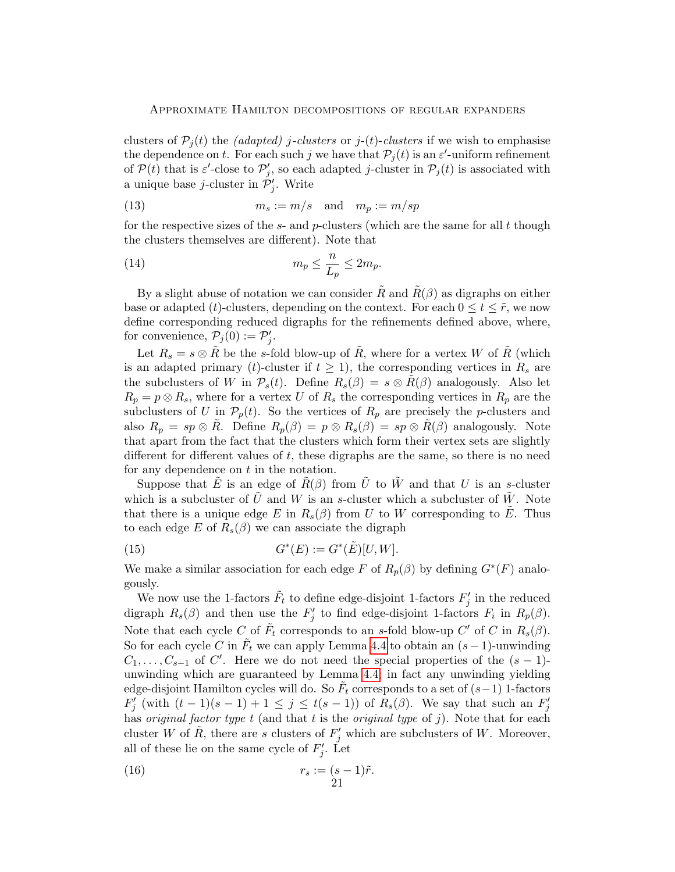clusters of  $\mathcal{P}_i(t)$  the *(adapted) j-clusters* or *j-*(*t*)-*clusters* if we wish to emphasise the dependence on t. For each such j we have that  $P_j(t)$  is an  $\varepsilon'$ -uniform refinement of  $\mathcal{P}(t)$  that is  $\varepsilon'$ -close to  $\mathcal{P}'_j$ , so each adapted j-cluster in  $\mathcal{P}_j(t)$  is associated with a unique base *j*-cluster in  $\mathcal{P}'_j$ . Write

<span id="page-20-2"></span>(13) 
$$
m_s := m/s \text{ and } m_p := m/sp
$$

for the respective sizes of the  $s$ - and  $p$ -clusters (which are the same for all  $t$  though the clusters themselves are different). Note that

<span id="page-20-1"></span>(14) 
$$
m_p \leq \frac{n}{L_p} \leq 2m_p.
$$

By a slight abuse of notation we can consider  $\tilde{R}$  and  $\tilde{R}(\beta)$  as digraphs on either base or adapted (t)-clusters, depending on the context. For each  $0 \leq t \leq \tilde{r}$ , we now define corresponding reduced digraphs for the refinements defined above, where, for convenience,  $\mathcal{P}_j(0) := \mathcal{P}'_j$ .

Let  $R_s = s \otimes R$  be the s-fold blow-up of  $R$ , where for a vertex W of  $R$ <sup></sup> (which is an adapted primary (t)-cluster if  $t \geq 1$ ), the corresponding vertices in  $R_s$  are the subclusters of W in  $P_s(t)$ . Define  $R_s(\beta) = s \otimes R(\beta)$  analogously. Also let  $R_p = p \otimes R_s$ , where for a vertex U of  $R_s$  the corresponding vertices in  $R_p$  are the subclusters of U in  $P_p(t)$ . So the vertices of  $R_p$  are precisely the p-clusters and also  $R_p = sp \otimes R$ . Define  $R_p(\beta) = p \otimes R_s(\beta) = sp \otimes R(\beta)$  analogously. Note that apart from the fact that the clusters which form their vertex sets are slightly different for different values of t, these digraphs are the same, so there is no need for any dependence on t in the notation.

Suppose that  $\tilde{E}$  is an edge of  $\tilde{R}(\beta)$  from  $\tilde{U}$  to  $\tilde{W}$  and that U is an s-cluster which is a subcluster of  $\tilde{U}$  and W is an s-cluster which a subcluster of  $\tilde{W}$ . Note that there is a unique edge E in  $R_s(\beta)$  from U to W corresponding to E. Thus to each edge E of  $R_s(\beta)$  we can associate the digraph

<span id="page-20-0"></span>(15) 
$$
G^*(E) := G^*(\tilde{E})[U, W].
$$

We make a similar association for each edge F of  $R_p(\beta)$  by defining  $G^*(F)$  analogously.

We now use the 1-factors  $\tilde{F}_t$  to define edge-disjoint 1-factors  $F'_j$  in the reduced digraph  $R_s(\beta)$  and then use the  $F'_j$  to find edge-disjoint 1-factors  $F_i$  in  $R_p(\beta)$ . Note that each cycle C of  $\tilde{F}_t$  corresponds to an s-fold blow-up C' of C in  $R_s(\beta)$ . So for each cycle C in  $\tilde{F}_t$  we can apply Lemma [4.4](#page-13-0) to obtain an  $(s-1)$ -unwinding  $C_1, \ldots, C_{s-1}$  of C'. Here we do not need the special properties of the  $(s-1)$ unwinding which are guaranteed by Lemma [4.4;](#page-13-0) in fact any unwinding yielding edge-disjoint Hamilton cycles will do. So  $\tilde{F}_t$  corresponds to a set of  $(s-1)$  1-factors  $F'_j$  (with  $(t-1)(s-1)+1 \leq j \leq t(s-1)$ ) of  $R_s(\beta)$ . We say that such an  $F'_j$ has *original factor type t* (and that t is the *original type* of j). Note that for each cluster W of  $R$ , there are s clusters of  $F'_{j}$  which are subclusters of W. Moreover, all of these lie on the same cycle of  $F'_j$ . Let

<span id="page-20-3"></span>
$$
(16) \t\t\t\t r_s := (s-1)\tilde{r}.
$$
  
21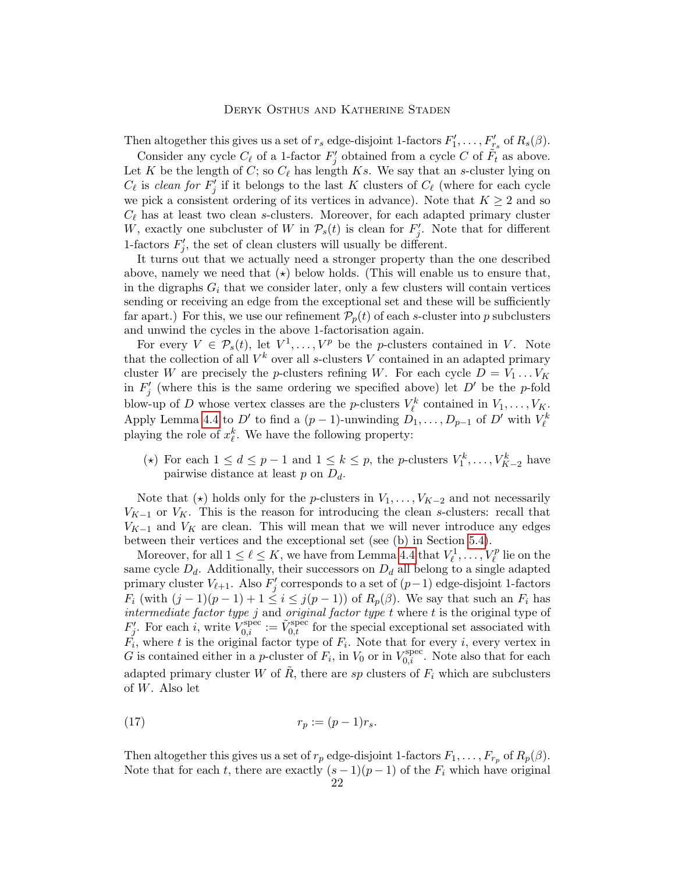Then altogether this gives us a set of  $r_s$  edge-disjoint 1-factors  $F'_1, \ldots, F'_{r_s}$  of  $R_s(\beta)$ .

Consider any cycle  $C_{\ell}$  of a 1-factor  $F'_{j}$  obtained from a cycle C of  $\tilde{F}_{t}$  as above. Let K be the length of C; so  $C_{\ell}$  has length Ks. We say that an s-cluster lying on  $C_{\ell}$  is clean for  $F'_{j}$  if it belongs to the last K clusters of  $C_{\ell}$  (where for each cycle we pick a consistent ordering of its vertices in advance). Note that  $K \geq 2$  and so  $C_{\ell}$  has at least two clean s-clusters. Moreover, for each adapted primary cluster W, exactly one subcluster of W in  $\mathcal{P}_s(t)$  is clean for  $F'_j$ . Note that for different 1-factors  $F'_{j}$ , the set of clean clusters will usually be different.

It turns out that we actually need a stronger property than the one described above, namely we need that  $(\star)$  below holds. (This will enable us to ensure that, in the digraphs  $G_i$  that we consider later, only a few clusters will contain vertices sending or receiving an edge from the exceptional set and these will be sufficiently far apart.) For this, we use our refinement  $\mathcal{P}_p(t)$  of each s-cluster into p subclusters and unwind the cycles in the above 1-factorisation again.

For every  $V \in \mathcal{P}_s(t)$ , let  $V^1, \ldots, V^p$  be the *p*-clusters contained in V. Note that the collection of all  $V^k$  over all s-clusters V contained in an adapted primary cluster W are precisely the p-clusters refining W. For each cycle  $D = V_1 \dots V_K$ in  $F'_{j}$  (where this is the same ordering we specified above) let  $D'$  be the p-fold blow-up of D whose vertex classes are the p-clusters  $V_{\ell}^{k}$  contained in  $V_1, \ldots, V_K$ . Apply Lemma [4.4](#page-13-0) to  $D'$  to find a  $(p-1)$ -unwinding  $D_1, \ldots, D_{p-1}$  of  $D'$  with  $V_{\ell}^k$ playing the role of  $x_{\ell}^k$ . We have the following property:

(\*) For each  $1 \leq d \leq p-1$  and  $1 \leq k \leq p$ , the *p*-clusters  $V_1^k, \ldots, V_{K-2}^k$  have pairwise distance at least  $p$  on  $D_d$ .

Note that  $(\star)$  holds only for the p-clusters in  $V_1, \ldots, V_{K-2}$  and not necessarily  $V_{K-1}$  or  $V_K$ . This is the reason for introducing the clean s-clusters: recall that  $V_{K-1}$  and  $V_K$  are clean. This will mean that we will never introduce any edges between their vertices and the exceptional set (see (b) in Section [5.4\)](#page-22-0).

Moreover, for all  $1 \leq \ell \leq K$ , we have from Lemma [4.4](#page-13-0) that  $V_{\ell}^1, \ldots, V_{\ell}^p$  lie on the same cycle  $D_d$ . Additionally, their successors on  $D_d$  all belong to a single adapted primary cluster  $V_{\ell+1}$ . Also  $F'_j$  corresponds to a set of  $(p-1)$  edge-disjoint 1-factors  $F_i$  (with  $(j-1)(p-1)+1 \leq i \leq j(p-1)$ ) of  $R_p(\beta)$ . We say that such an  $F_i$  has intermediate factor type  $j$  and original factor type  $t$  where  $t$  is the original type of  $F'_j$ . For each i, write  $V_{0,i}^{\text{spec}} := \tilde{V}_{0,t}^{\text{spec}}$  for the special exceptional set associated with  $F_i$ , where t is the original factor type of  $F_i$ . Note that for every i, every vertex in G is contained either in a p-cluster of  $F_i$ , in  $V_0$  or in  $V_{0,i}^{\text{spec}}$ . Note also that for each adapted primary cluster W of  $\tilde{R}$ , there are sp clusters of  $F_i$  which are subclusters of W. Also let

<span id="page-21-0"></span>
$$
(17) \t\t\t r_p := (p-1)r_s.
$$

Then altogether this gives us a set of  $r_p$  edge-disjoint 1-factors  $F_1, \ldots, F_{r_p}$  of  $R_p(\beta)$ . Note that for each t, there are exactly  $(s-1)(p-1)$  of the  $F_i$  which have original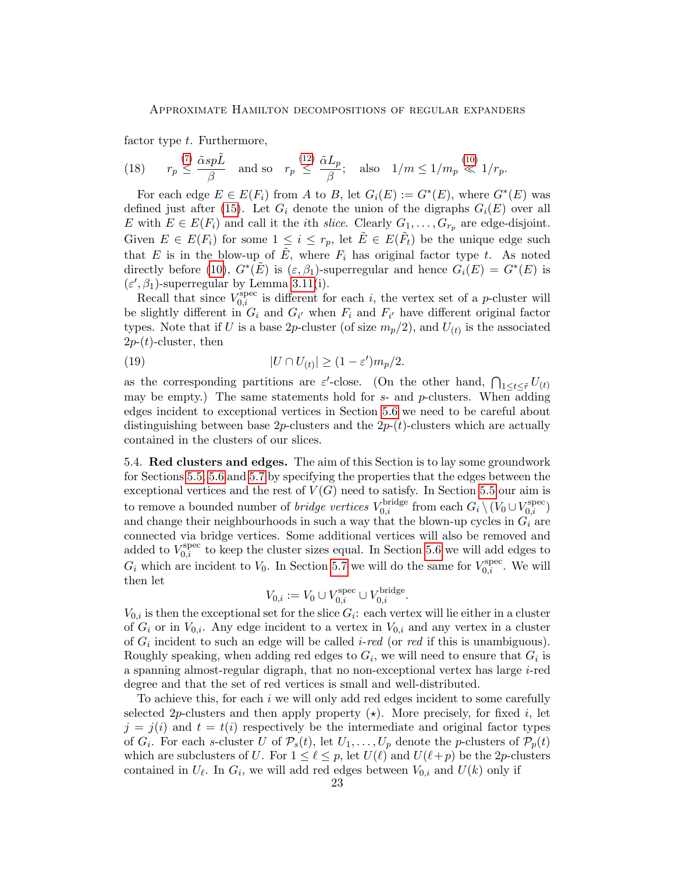factor type t. Furthermore,

<span id="page-22-1"></span>(18) 
$$
r_p \leq \frac{\tilde{\alpha}sp\tilde{L}}{\beta}
$$
 and so  $r_p \leq \frac{(12)}{\beta}$ ; also  $1/m \leq 1/m_p \ll 1/r_p$ .

For each edge  $E \in E(F_i)$  from A to B, let  $G_i(E) := G^*(E)$ , where  $G^*(E)$  was defined just after [\(15\)](#page-20-0). Let  $G_i$  denote the union of the digraphs  $G_i(E)$  over all E with  $E \in E(F_i)$  and call it the *i*th *slice*. Clearly  $G_1, \ldots, G_{r_p}$  are edge-disjoint. Given  $E \in E(F_i)$  for some  $1 \leq i \leq r_p$ , let  $\tilde{E} \in E(\tilde{F}_t)$  be the unique edge such that E is in the blow-up of  $\tilde{E}$ , where  $F_i$  has original factor type t. As noted directly before [\(10\)](#page-19-1),  $G^*(\tilde{E})$  is  $(\varepsilon, \beta_1)$ -superregular and hence  $G_i(E) = G^*(E)$  is  $(\varepsilon', \beta_1)$ -superregular by Lemma [3.11\(](#page-10-0)i).

Recall that since  $V_{0,i}^{spec}$  is different for each i, the vertex set of a p-cluster will be slightly different in  $G_i$  and  $G_{i'}$  when  $F_i$  and  $F_{i'}$  have different original factor types. Note that if U is a base 2p-cluster (of size  $m_p/2$ ), and  $U_{(t)}$  is the associated  $2p-(t)$ -cluster, then

<span id="page-22-2"></span>(19) 
$$
|U \cap U_{(t)}| \ge (1 - \varepsilon')m_p/2.
$$

as the corresponding partitions are  $\varepsilon'$ -close. (On the other hand,  $\bigcap_{1 \leq t \leq \tilde{r}} U_{(t)}$ may be empty.) The same statements hold for  $s$ - and  $p$ -clusters. When adding edges incident to exceptional vertices in Section [5.6](#page-27-0) we need to be careful about distinguishing between base 2p-clusters and the  $2p-(t)$ -clusters which are actually contained in the clusters of our slices.

<span id="page-22-0"></span>5.4. Red clusters and edges. The aim of this Section is to lay some groundwork for Sections [5.5,](#page-24-0) [5.6](#page-27-0) and [5.7](#page-30-0) by specifying the properties that the edges between the exceptional vertices and the rest of  $V(G)$  need to satisfy. In Section [5.5](#page-24-0) our aim is to remove a bounded number of *bridge vertices*  $V_{0,i}^{\text{bridge}}$  from each  $G_i \setminus (V_0 \cup V_{0,i}^{\text{spec}})$ and change their neighbourhoods in such a way that the blown-up cycles in  $G_i$  are connected via bridge vertices. Some additional vertices will also be removed and added to  $V_{0,i}^{\text{spec}}$  to keep the cluster sizes equal. In Section [5.6](#page-27-0) we will add edges to  $G_i$  which are incident to  $V_0$ . In Section [5.7](#page-30-0) we will do the same for  $V_{0,i}^{\text{spec}}$ . We will then let

$$
V_{0,i} := V_0 \cup V_{0,i}^{\text{spec}} \cup V_{0,i}^{\text{bridge}}.
$$

 $V_{0,i}$  is then the exceptional set for the slice  $G_i$ : each vertex will lie either in a cluster of  $G_i$  or in  $V_{0,i}$ . Any edge incident to a vertex in  $V_{0,i}$  and any vertex in a cluster of  $G_i$  incident to such an edge will be called *i-red* (or *red* if this is unambiguous). Roughly speaking, when adding red edges to  $G_i$ , we will need to ensure that  $G_i$  is a spanning almost-regular digraph, that no non-exceptional vertex has large i-red degree and that the set of red vertices is small and well-distributed.

To achieve this, for each  $i$  we will only add red edges incident to some carefully selected 2p-clusters and then apply property  $(\star)$ . More precisely, for fixed i, let  $j = j(i)$  and  $t = t(i)$  respectively be the intermediate and original factor types of  $G_i$ . For each s-cluster U of  $\mathcal{P}_s(t)$ , let  $U_1, \ldots, U_p$  denote the p-clusters of  $\mathcal{P}_p(t)$ which are subclusters of U. For  $1 \leq \ell \leq p$ , let  $U(\ell)$  and  $U(\ell+p)$  be the 2p-clusters contained in  $U_{\ell}$ . In  $G_i$ , we will add red edges between  $V_{0,i}$  and  $U(k)$  only if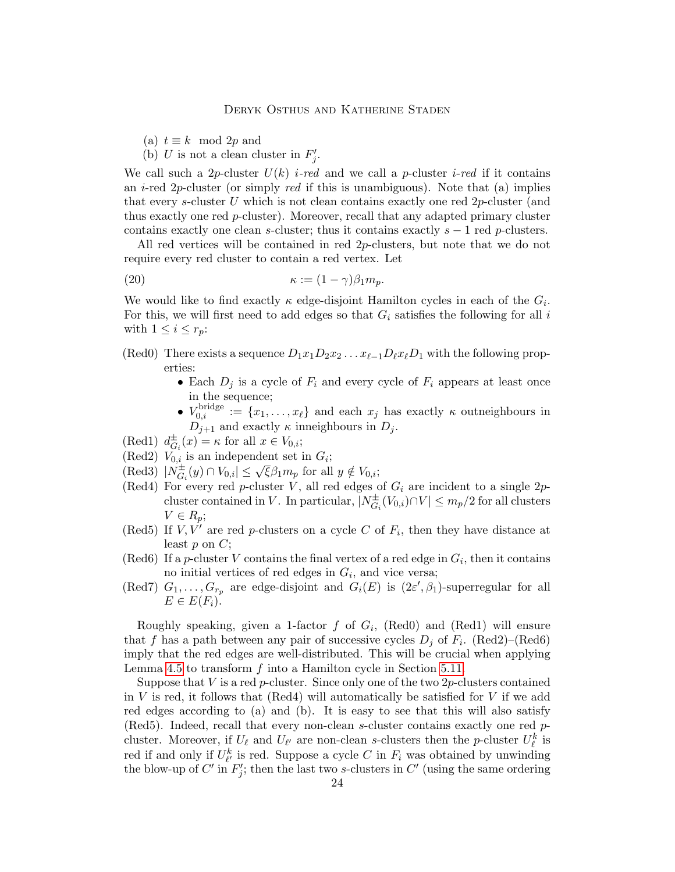- (a)  $t \equiv k \mod 2p$  and
- (b) U is not a clean cluster in  $F'_j$ .

We call such a 2p-cluster  $U(k)$  *i-red* and we call a p-cluster *i-red* if it contains an *i*-red 2p-cluster (or simply *red* if this is unambiguous). Note that (a) implies that every s-cluster U which is not clean contains exactly one red 2p-cluster (and thus exactly one red p-cluster). Moreover, recall that any adapted primary cluster contains exactly one clean s-cluster; thus it contains exactly  $s - 1$  red p-clusters.

All red vertices will be contained in red 2p-clusters, but note that we do not require every red cluster to contain a red vertex. Let

<span id="page-23-0"></span>(20) 
$$
\kappa := (1 - \gamma)\beta_1 m_p.
$$

We would like to find exactly  $\kappa$  edge-disjoint Hamilton cycles in each of the  $G_i$ . For this, we will first need to add edges so that  $G_i$  satisfies the following for all i with  $1 \leq i \leq r_p$ :

- (Red0) There exists a sequence  $D_1x_1D_2x_2 \ldots x_{\ell-1}D_\ell x_\ell D_1$  with the following properties:
	- Each  $D_j$  is a cycle of  $F_i$  and every cycle of  $F_i$  appears at least once in the sequence;
	- $V_{0,i}^{bridge} := \{x_1, \ldots, x_\ell\}$  and each  $x_j$  has exactly  $\kappa$  outneighbours in  $D_{j+1}$  and exactly  $\kappa$  inneighbours in  $D_j$ .
- $(\text{Red}1) \, d_G^{\pm}$  $_{G_i}^{\pm}(x) = \kappa$  for all  $x \in V_{0,i}$ ;
- (Red2)  $V_{0,i}$  is an independent set in  $G_i$ ;
- $(Red3)$  | $N_G^{\pm}$  $\begin{aligned} \mathcal{L}_{i} &\text{is an independent set in } \mathbf{G}_{i},\\ \mathcal{L}_{i}^{+}(y) &\cap V_{0,i} \leq \sqrt{\xi} \beta_{1} m_{p} \text{ for all } y \notin V_{0,i}; \end{aligned}$
- (Red4) For every red p-cluster V, all red edges of  $G_i$  are incident to a single 2pcluster contained in V. In particular,  $|N_G^{\pm}|$  $\mathcal{L}_{G_i}^{\pm}(V_{0,i}) \cap V \leq m_p/2$  for all clusters  $V \in R_p$ ;
- (Red5) If  $V, V'$  are red p-clusters on a cycle C of  $F_i$ , then they have distance at least  $p$  on  $C$ ;
- (Red6) If a p-cluster V contains the final vertex of a red edge in  $G_i$ , then it contains no initial vertices of red edges in  $G_i$ , and vice versa;
- (Red7)  $G_1, \ldots, G_{r_p}$  are edge-disjoint and  $G_i(E)$  is  $(2\varepsilon', \beta_1)$ -superregular for all  $E \in E(F_i).$

Roughly speaking, given a 1-factor  $f$  of  $G_i$ , (Red0) and (Red1) will ensure that f has a path between any pair of successive cycles  $D_j$  of  $F_i$ . (Red2)–(Red6) imply that the red edges are well-distributed. This will be crucial when applying Lemma [4.5](#page-15-2) to transform  $f$  into a Hamilton cycle in Section [5.11.](#page-39-0)

Suppose that V is a red  $p$ -cluster. Since only one of the two  $2p$ -clusters contained in  $V$  is red, it follows that  $(\text{Red}4)$  will automatically be satisfied for  $V$  if we add red edges according to (a) and (b). It is easy to see that this will also satisfy (Red5). Indeed, recall that every non-clean s-cluster contains exactly one red pcluster. Moreover, if  $U_{\ell}$  and  $U_{\ell'}$  are non-clean s-clusters then the p-cluster  $U_{\ell}^{k}$  is red if and only if  $U_{\ell'}^k$  is red. Suppose a cycle C in  $F_i$  was obtained by unwinding the blow-up of  $C'$  in  $F'_j$ ; then the last two s-clusters in  $C'$  (using the same ordering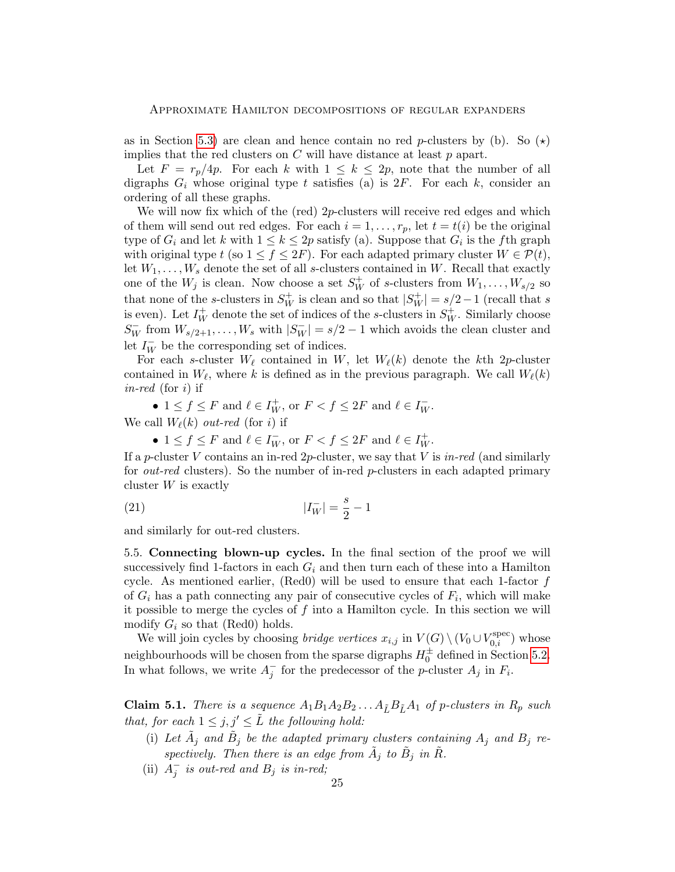as in Section [5.3\)](#page-18-0) are clean and hence contain no red p-clusters by (b). So  $(\star)$ implies that the red clusters on  $C$  will have distance at least  $p$  apart.

Let  $F = r_p/4p$ . For each k with  $1 \leq k \leq 2p$ , note that the number of all digraphs  $G_i$  whose original type t satisfies (a) is  $2F$ . For each k, consider an ordering of all these graphs.

We will now fix which of the (red) 2p-clusters will receive red edges and which of them will send out red edges. For each  $i = 1, \ldots, r_p$ , let  $t = t(i)$  be the original type of  $G_i$  and let k with  $1 \leq k \leq 2p$  satisfy (a). Suppose that  $G_i$  is the f<sup>th</sup> graph with original type  $t$  (so  $1 \le f \le 2F$ ). For each adapted primary cluster  $W \in \mathcal{P}(t)$ , let  $W_1, \ldots, W_s$  denote the set of all s-clusters contained in W. Recall that exactly one of the  $W_j$  is clean. Now choose a set  $S_W^+$  of s-clusters from  $W_1, \ldots, W_{s/2}$  so that none of the s-clusters in  $S_W^+$  is clean and so that  $|S_W^+| = s/2 - 1$  (recall that s is even). Let  $I_W^+$  denote the set of indices of the s-clusters in  $S_W^+$ . Similarly choose  $S_W^-$  from  $W_{s/2+1}, \ldots, W_s$  with  $|S_W^-| = s/2 - 1$  which avoids the clean cluster and let  $I_W^-$  be the corresponding set of indices.

For each s-cluster  $W_\ell$  contained in W, let  $W_\ell(k)$  denote the kth 2p-cluster contained in  $W_{\ell}$ , where k is defined as in the previous paragraph. We call  $W_{\ell}(k)$ *in-red* (for *i*) if

•  $1 \le f \le F$  and  $\ell \in I_W^+$ , or  $F < f \le 2F$  and  $\ell \in I_W^-$ .

We call  $W_{\ell}(k)$  *out-red* (for i) if

<span id="page-24-1"></span>•  $1 \le f \le F$  and  $\ell \in I_W^-$ , or  $F < f \le 2F$  and  $\ell \in I_W^+$ .

If a p-cluster V contains an in-red 2p-cluster, we say that V is  $in-red$  (and similarly for *out-red* clusters). So the number of in-red  $p$ -clusters in each adapted primary cluster  $W$  is exactly

(21) 
$$
|I_W^-| = \frac{s}{2} - 1
$$

and similarly for out-red clusters.

<span id="page-24-0"></span>5.5. Connecting blown-up cycles. In the final section of the proof we will successively find 1-factors in each  $G_i$  and then turn each of these into a Hamilton cycle. As mentioned earlier,  $(\text{Red}0)$  will be used to ensure that each 1-factor f of  $G_i$  has a path connecting any pair of consecutive cycles of  $F_i$ , which will make it possible to merge the cycles of  $f$  into a Hamilton cycle. In this section we will modify  $G_i$  so that (Red0) holds.

We will join cycles by choosing *bridge vertices*  $x_{i,j}$  in  $V(G) \setminus (V_0 \cup V_{0,i}^{\text{spec}})$  whose neighbourhoods will be chosen from the sparse digraphs  $H_0^{\pm}$  defined in Section [5.2.](#page-17-0) In what follows, we write  $A_j^-$  for the predecessor of the p-cluster  $A_j$  in  $F_i$ .

<span id="page-24-2"></span>**Claim 5.1.** There is a sequence  $A_1B_1A_2B_2...A_{\tilde{L}}B_{\tilde{L}}A_1$  of p-clusters in  $R_p$  such that, for each  $1 \leq j, j' \leq \tilde{L}$  the following hold:

- (i) Let  $\tilde{A}_j$  and  $\tilde{B}_j$  be the adapted primary clusters containing  $A_j$  and  $B_j$  respectively. Then there is an edge from  $\tilde{A}_j$  to  $\tilde{B}_j$  in  $\tilde{R}$ .
- (ii)  $A_j^-$  is out-red and  $B_j$  is in-red;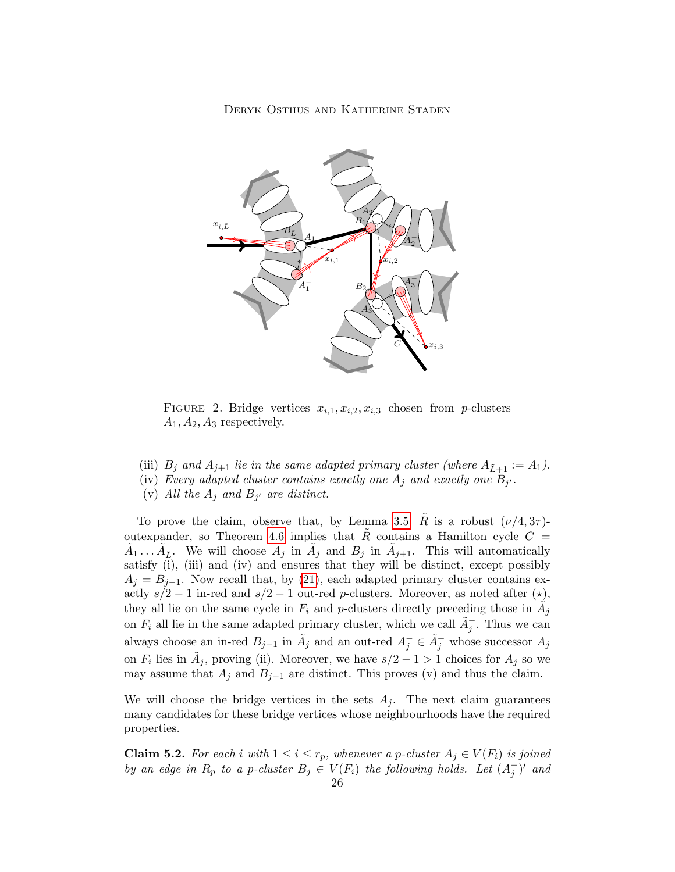

<span id="page-25-1"></span>FIGURE 2. Bridge vertices  $x_{i,1}, x_{i,2}, x_{i,3}$  chosen from p-clusters  $A_1, A_2, A_3$  respectively.

- (iii)  $B_j$  and  $A_{j+1}$  lie in the same adapted primary cluster (where  $A_{\tilde{L}+1} := A_1$ ).
- (iv) Every adapted cluster contains exactly one  $A_j$  and exactly one  $B_{j'}$ .
- (v) All the  $A_j$  and  $B_{j'}$  are distinct.

To prove the claim, observe that, by Lemma [3.5,](#page-8-0)  $\tilde{R}$  is a robust  $(\nu/4, 3\tau)$ -outexpander, so Theorem [4.6](#page-15-3) implies that  $\tilde{R}$  contains a Hamilton cycle  $C =$  $\tilde{A}_1 \ldots \tilde{A}_{\tilde{L}}$ . We will choose  $A_j$  in  $\tilde{A}_j$  and  $B_j$  in  $\tilde{A}_{j+1}$ . This will automatically satisfy (i), (iii) and (iv) and ensures that they will be distinct, except possibly  $A_j = B_{j-1}$ . Now recall that, by [\(21\)](#page-24-1), each adapted primary cluster contains exactly  $s/2 - 1$  in-red and  $s/2 - 1$  out-red p-clusters. Moreover, as noted after  $(\star)$ , they all lie on the same cycle in  $F_i$  and p-clusters directly preceding those in  $\tilde{A}_j$ on  $F_i$  all lie in the same adapted primary cluster, which we call  $\tilde{A}^-_j$ . Thus we can always choose an in-red  $B_{j-1}$  in  $\tilde{A}_j$  and an out-red  $A_j^- \in \tilde{A}_j^-$  whose successor  $A_j$ on  $F_i$  lies in  $\tilde{A}_j$ , proving (ii). Moreover, we have  $s/2 - 1 > 1$  choices for  $A_j$  so we may assume that  $A_j$  and  $B_{j-1}$  are distinct. This proves (v) and thus the claim.

We will choose the bridge vertices in the sets  $A_j$ . The next claim guarantees many candidates for these bridge vertices whose neighbourhoods have the required properties.

<span id="page-25-0"></span>**Claim 5.2.** For each i with  $1 \leq i \leq r_p$ , whenever a p-cluster  $A_j \in V(F_i)$  is joined by an edge in  $R_p$  to a p-cluster  $B_j \in V(F_i)$  the following holds. Let  $(A_j^-)'$  and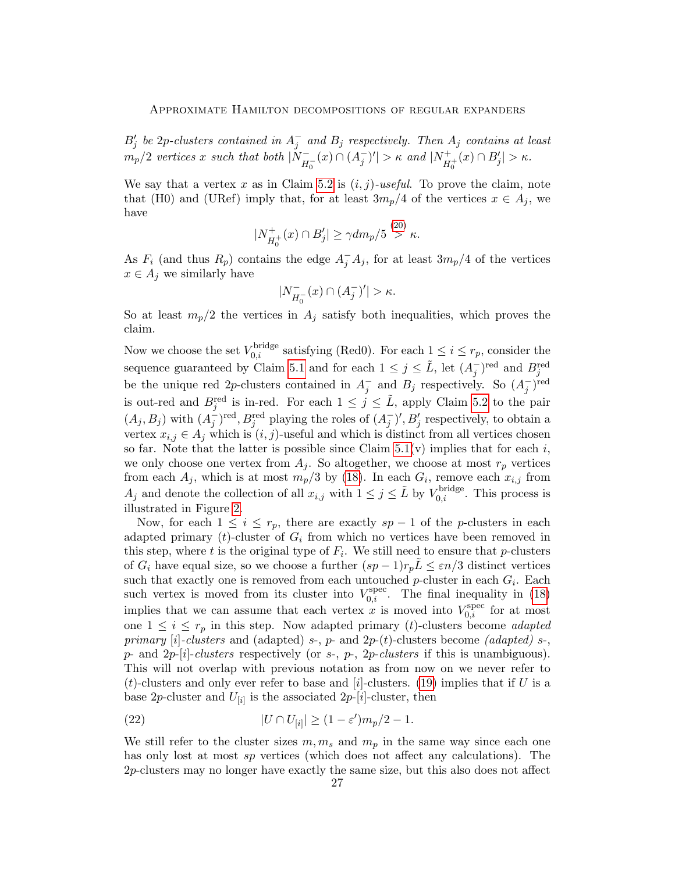$B'_j$  be 2p-clusters contained in  $A_j^-$  and  $B_j$  respectively. Then  $A_j$  contains at least  $m_p/2$  vertices x such that both  $\dot{N}_{H}^{-1}$  $H_0^{-}(x) \cap (A_j^{-})'$  >  $\kappa$  and  $|N_{H_0}^{+}|$  $H_0^+(x) \cap B'_j | > \kappa.$ 

We say that a vertex x as in Claim [5.2](#page-25-0) is  $(i, j)$ -useful. To prove the claim, note that (H0) and (URef) imply that, for at least  $3m_p/4$  of the vertices  $x \in A_i$ , we have

$$
|N_{H_0^+}^+(x) \cap B'_j| \ge \gamma dm_p/5 \stackrel{(20)}{>} \kappa.
$$

As  $F_i$  (and thus  $R_p$ ) contains the edge  $A_j^- A_j$ , for at least  $3m_p/4$  of the vertices  $x \in A_j$  we similarly have

$$
|N_{H_0^-}^-(x) \cap (A_j^-)'| > \kappa.
$$

So at least  $m_p/2$  the vertices in  $A_j$  satisfy both inequalities, which proves the claim.

Now we choose the set  $V_{0,i}^{\text{bridge}}$  satisfying (Red0). For each  $1 \leq i \leq r_p$ , consider the sequence guaranteed by Claim [5.1](#page-24-2) and for each  $1 \leq j \leq \tilde{L}$ , let  $(A_j^-)$ <sup>red</sup> and  $B_j^{\text{red}}$ be the unique red 2p-clusters contained in  $A_j^-$  and  $B_j$  respectively. So  $(A_j^-)$ <sup>red</sup> is out-red and  $B_j^{\text{red}}$  is in-red. For each  $1 \leq j \leq \tilde{L}$ , apply Claim [5.2](#page-25-0) to the pair  $(A_j, B_j)$  with  $(A_j^{\dagger})^{\text{red}}, B_j^{\text{red}}$  playing the roles of  $(A_j^{\dagger})'$ ,  $B_j'$  respectively, to obtain a vertex  $x_{i,j} \in A_j$  which is  $(i, j)$ -useful and which is distinct from all vertices chosen so far. Note that the latter is possible since Claim  $5.1(v)$  implies that for each i, we only choose one vertex from  $A_i$ . So altogether, we choose at most  $r_p$  vertices from each  $A_j$ , which is at most  $m_p/3$  by [\(18\)](#page-22-1). In each  $G_i$ , remove each  $x_{i,j}$  from  $A_j$  and denote the collection of all  $x_{i,j}$  with  $1 \leq j \leq \tilde{L}$  by  $V_{0,i}^{\text{bridge}}$ . This process is illustrated in Figure [2.](#page-25-1)

Now, for each  $1 \leq i \leq r_p$ , there are exactly  $sp-1$  of the p-clusters in each adapted primary (t)-cluster of  $G_i$  from which no vertices have been removed in this step, where t is the original type of  $F_i$ . We still need to ensure that p-clusters of  $G_i$  have equal size, so we choose a further  $(sp-1)r_pL \leq \varepsilon n/3$  distinct vertices such that exactly one is removed from each untouched  $p$ -cluster in each  $G_i$ . Each such vertex is moved from its cluster into  $V_{0,i}^{\text{spec}}$ . The final inequality in [\(18\)](#page-22-1) implies that we can assume that each vertex x is moved into  $V_{0,i}^{\text{spec}}$  for at most one  $1 \leq i \leq r_p$  in this step. Now adapted primary (*t*)-clusters become *adapted* primary [i]-clusters and (adapted) s-, p- and  $2p-(t)$ -clusters become *(adapted)* s-,  $p$ - and  $2p$ -[i]-clusters respectively (or s-, p-, 2p-clusters if this is unambiguous). This will not overlap with previous notation as from now on we never refer to  $(t)$ -clusters and only ever refer to base and [i]-clusters. [\(19\)](#page-22-2) implies that if U is a base 2p-cluster and  $U_{[i]}$  is the associated 2p-[i]-cluster, then

<span id="page-26-0"></span>(22) 
$$
|U \cap U_{[i]}| \ge (1 - \varepsilon')m_p/2 - 1.
$$

We still refer to the cluster sizes  $m, m_s$  and  $m_p$  in the same way since each one has only lost at most sp vertices (which does not affect any calculations). The 2p-clusters may no longer have exactly the same size, but this also does not affect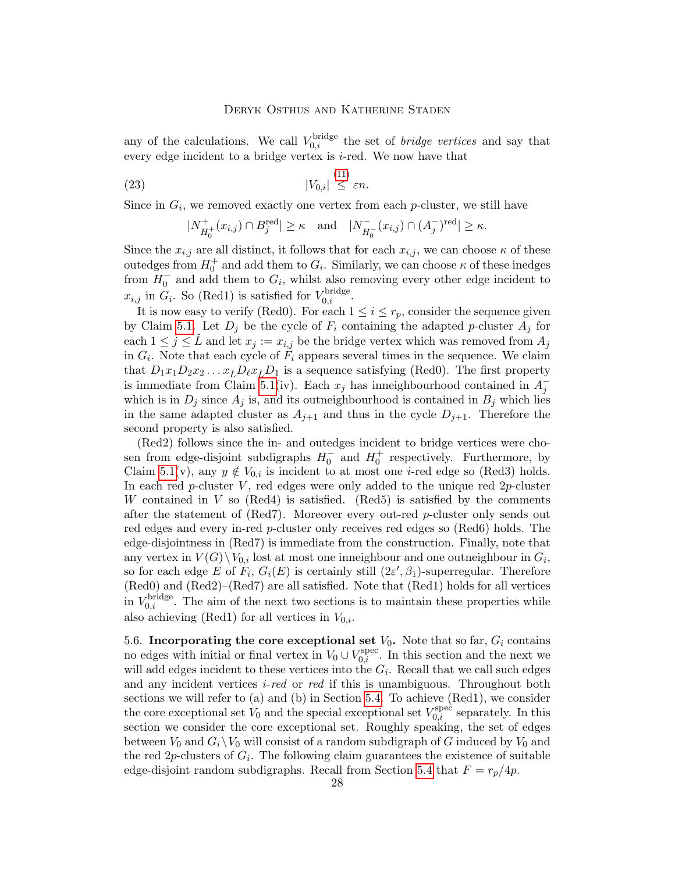any of the calculations. We call  $V_{0,i}^{\text{bridge}}$  the set of *bridge vertices* and say that every edge incident to a bridge vertex is  $i$ -red. We now have that

$$
|V_{0,i}| \stackrel{(11)}{\leq} \varepsilon n.
$$

Since in  $G_i$ , we removed exactly one vertex from each  $p$ -cluster, we still have

<span id="page-27-1"></span>
$$
|N^+_{H_0^+}(x_{i,j}) \cap B_j^{\text{red}}| \ge \kappa \quad \text{and} \quad |N^-_{H_0^-}(x_{i,j}) \cap (A_j^-)^{\text{red}}| \ge \kappa.
$$

Since the  $x_{i,j}$  are all distinct, it follows that for each  $x_{i,j}$ , we can choose  $\kappa$  of these outedges from  $H_0^+$  and add them to  $G_i$ . Similarly, we can choose  $\kappa$  of these inedges from  $H_0^-$  and add them to  $G_i$ , whilst also removing every other edge incident to  $x_{i,j}$  in  $G_i$ . So (Red1) is satisfied for  $V_{0,i}^{\text{bridge}}$ .

It is now easy to verify (Red0). For each  $1 \leq i \leq r_p$ , consider the sequence given by Claim [5.1.](#page-24-2) Let  $D_j$  be the cycle of  $F_i$  containing the adapted p-cluster  $A_j$  for each  $1 \leq j \leq L$  and let  $x_j := x_{i,j}$  be the bridge vertex which was removed from  $A_j$ in  $G_i$ . Note that each cycle of  $F_i$  appears several times in the sequence. We claim that  $D_1x_1D_2x_2...x_{\tilde{I}}D_\ell x_{\tilde{I}}D_1$  is a sequence satisfying (Red0). The first property is immediate from Claim [5.1\(](#page-24-2)iv). Each  $x_j$  has inneighbourhood contained in  $A_j^$ which is in  $D_j$  since  $A_j$  is, and its outneighbourhood is contained in  $B_j$  which lies in the same adapted cluster as  $A_{j+1}$  and thus in the cycle  $D_{j+1}$ . Therefore the second property is also satisfied.

(Red2) follows since the in- and outedges incident to bridge vertices were chosen from edge-disjoint subdigraphs  $H_0^-$  and  $H_0^+$  respectively. Furthermore, by Claim [5.1\(](#page-24-2)v), any  $y \notin V_{0,i}$  is incident to at most one *i*-red edge so (Red3) holds. In each red  $p$ -cluster V, red edges were only added to the unique red 2 $p$ -cluster W contained in  $V$  so (Red4) is satisfied. (Red5) is satisfied by the comments after the statement of (Red7). Moreover every out-red  $p$ -cluster only sends out red edges and every in-red p-cluster only receives red edges so (Red6) holds. The edge-disjointness in (Red7) is immediate from the construction. Finally, note that any vertex in  $V(G) \setminus V_{0,i}$  lost at most one inneighbour and one outneighbour in  $G_i$ , so for each edge E of  $F_i$ ,  $G_i(E)$  is certainly still  $(2\varepsilon', \beta_1)$ -superregular. Therefore (Red0) and (Red2)–(Red7) are all satisfied. Note that (Red1) holds for all vertices in  $V_{0,i}^{\text{bridge}}$ . The aim of the next two sections is to maintain these properties while also achieving (Red1) for all vertices in  $V_{0,i}$ .

<span id="page-27-0"></span>5.6. Incorporating the core exceptional set  $V_0$ . Note that so far,  $G_i$  contains no edges with initial or final vertex in  $V_0 \cup V_{0,i}^{\text{spec}}$ . In this section and the next we will add edges incident to these vertices into the  $G_i$ . Recall that we call such edges and any incident vertices  $i$ -red or red if this is unambiguous. Throughout both sections we will refer to (a) and (b) in Section [5.4.](#page-22-0) To achieve (Red1), we consider the core exceptional set  $V_0$  and the special exceptional set  $V_{0,i}^{\text{spec}}$  separately. In this section we consider the core exceptional set. Roughly speaking, the set of edges between  $V_0$  and  $G_i\setminus V_0$  will consist of a random subdigraph of G induced by  $V_0$  and the red 2p-clusters of  $G_i$ . The following claim guarantees the existence of suitable edge-disjoint random subdigraphs. Recall from Section [5.4](#page-22-0) that  $F = r_p/4p$ .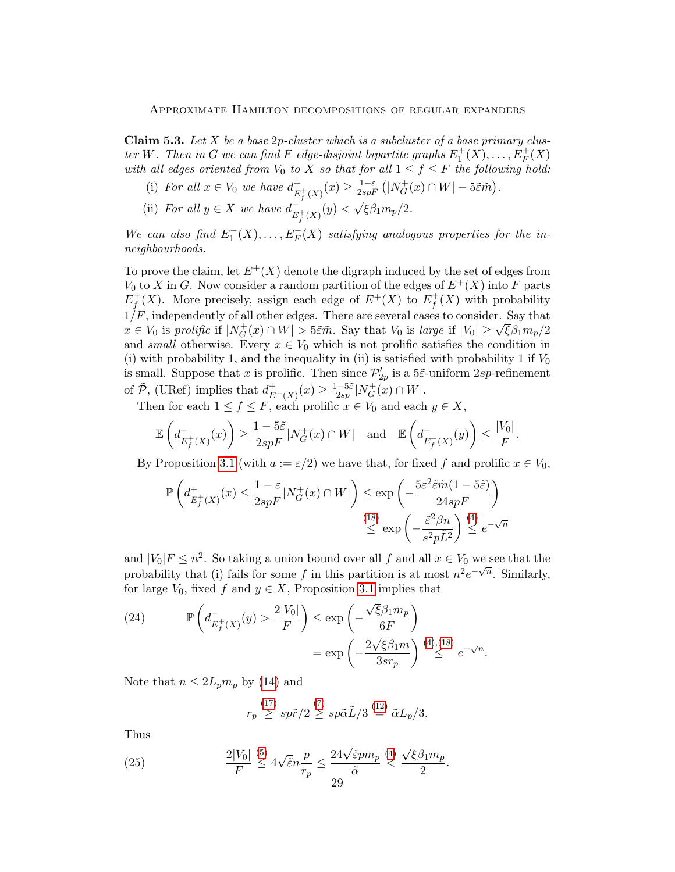<span id="page-28-0"></span>**Claim 5.3.** Let X be a base 2p-cluster which is a subcluster of a base primary cluster W. Then in G we can find F edge-disjoint bipartite graphs  $E_1^+(X), \ldots, E_F^+(X)$ with all edges oriented from  $V_0$  to X so that for all  $1 \le f \le F$  the following hold:

- (i) For all  $x \in V_0$  we have  $d_F^+$  $\frac{f^+}{E_f^+(X)}(x) \geq \frac{1-\varepsilon}{2spF}$   $\left(|N^+_G\right)$  $G^+(x) \cap W$ | –  $5\tilde{\varepsilon}\tilde{m}$ ).
- (ii) For all  $y \in X$  we have  $d_{\mathbf{r}}^ \frac{1}{E_f^+(X)}(y) <$ √  $\overline{\xi} \beta_1 m_p/2.$

We can also find  $E_1^-(X), \ldots, E_F^-(X)$  satisfying analogous properties for the inneighbourhoods.

To prove the claim, let  $E^+(X)$  denote the digraph induced by the set of edges from  $V_0$  to X in G. Now consider a random partition of the edges of  $E^+(X)$  into F parts  $E_f^+$  $f^+(X)$ . More precisely, assign each edge of  $E^+(X)$  to  $E^+_f$  $f^+(X)$  with probability  $1/F$ , independently of all other edges. There are several cases to consider. Say that  $x \in V_0$  is prolific if  $|N_G^+|$ an other edges. There are several cases to consider. Say that  $\chi_G^+(x) \cap W$  > 5 $\tilde{\varepsilon}$ m̃. Say that  $V_0$  is *large* if  $|V_0| \geq \sqrt{\xi} \beta_1 m_p/2$ and small otherwise. Every  $x \in V_0$  which is not prolific satisfies the condition in (i) with probability 1, and the inequality in (ii) is satisfied with probability 1 if  $V_0$ is small. Suppose that x is prolific. Then since  $\mathcal{P}'_{2p}$  is a 5 $\tilde{\varepsilon}$ -uniform 2sp-refinement of  $\tilde{\mathcal{P}}$ , (URef) implies that  $d_{E^+(X)}^+(x) \geq \frac{1-5\tilde{\varepsilon}}{2sp}$  $\frac{-5\tilde{\varepsilon}}{2sp}|N^+_G$  $\mathop{G}\limits^+(x)\cap W$ .

Then for each  $1 \le f \le F$ , each prolific  $x \in V_0$  and each  $y \in X$ ,

$$
\mathbb{E}\left(d_{E_f^+(X)}^+(x)\right) \ge \frac{1-5\tilde{\varepsilon}}{2spF}|N_G^+(x) \cap W| \text{ and } \mathbb{E}\left(d_{E_f^+(X)}^-(y)\right) \le \frac{|V_0|}{F}.
$$

By Proposition [3.1](#page-6-0) (with  $a := \varepsilon/2$ ) we have that, for fixed f and prolific  $x \in V_0$ ,

$$
\mathbb{P}\left(d_{E_f^+(X)}^+(x) \leq \frac{1-\varepsilon}{2spF} |N_G^+(x) \cap W|\right) \leq \exp\left(-\frac{5\varepsilon^2 \tilde{\varepsilon} \tilde{m}(1-5\tilde{\varepsilon})}{24spF}\right) \leq \exp\left(-\frac{\tilde{\varepsilon}^2 \beta n}{s^2p\tilde{L}^2}\right) \overset{(4)}{\leq} e^{-\sqrt{n}}.
$$

and  $|V_0|F \leq n^2$ . So taking a union bound over all f and all  $x \in V_0$  we see that the probability that (i) fails for some f in this partition is at most  $n^2e^{-\sqrt{n}}$ . Similarly, for large  $V_0$ , fixed f and  $y \in X$ , Proposition [3.1](#page-6-0) implies that

<span id="page-28-1"></span>(24) 
$$
\mathbb{P}\left(d_{E_f^+(X)}^-(y) > \frac{2|V_0|}{F}\right) \le \exp\left(-\frac{\sqrt{\xi}\beta_1 m_p}{6F}\right)
$$

$$
= \exp\left(-\frac{2\sqrt{\xi}\beta_1 m}{3sr_p}\right) \stackrel{(4),(18)}{\le} e^{-\sqrt{n}}.
$$

Note that  $n \leq 2L_p m_p$  by [\(14\)](#page-20-1) and

<span id="page-28-2"></span>
$$
r_p \stackrel{(17)}{\geq} sp\tilde{r}/2 \stackrel{(7)}{\geq} sp\tilde{\alpha}\tilde{L}/3 \stackrel{(12)}{=} \tilde{\alpha}L_p/3.
$$

.

Thus

(25) 
$$
\frac{2|V_0|}{F} \stackrel{(5)}{\leq} 4\sqrt{\tilde{\varepsilon}}n\frac{p}{r_p} \leq \frac{24\sqrt{\tilde{\varepsilon}}pm_p}{29} \stackrel{(4)}{\leq} \frac{\sqrt{\xi}\beta_1m_p}{2}
$$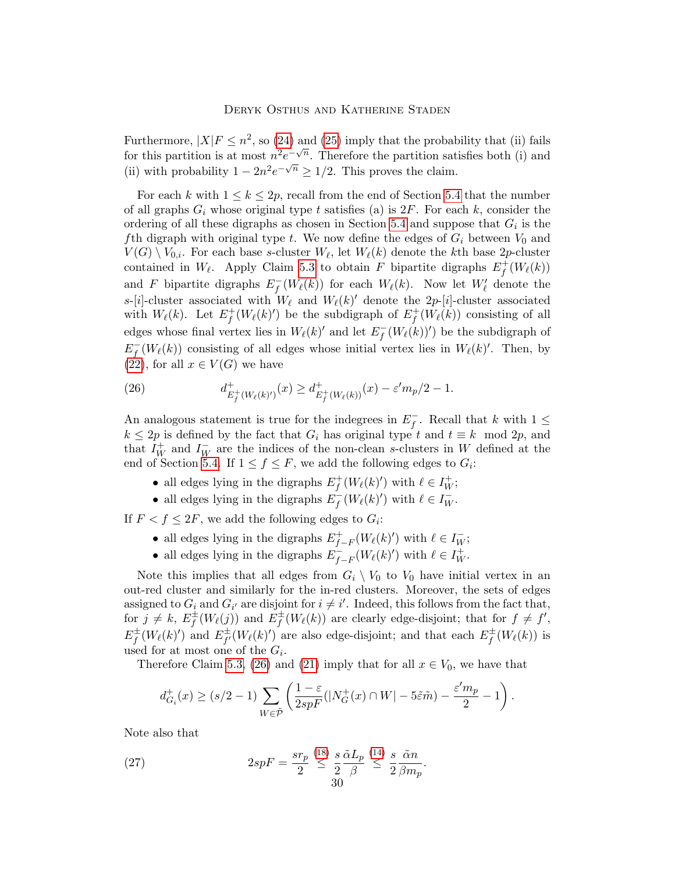Furthermore,  $|X|F \leq n^2$ , so [\(24\)](#page-28-1) and [\(25\)](#page-28-2) imply that the probability that (ii) fails for this partition is at most  $n^2e^{-\sqrt{n}}$ . Therefore the partition satisfies both (i) and (ii) with probability  $1 - 2n^2 e^{-\sqrt{n}} \ge 1/2$ . This proves the claim.

For each k with  $1 \leq k \leq 2p$ , recall from the end of Section [5.4](#page-22-0) that the number of all graphs  $G_i$  whose original type t satisfies (a) is  $2F$ . For each k, consider the ordering of all these digraphs as chosen in Section [5.4](#page-22-0) and suppose that  $G_i$  is the fth digraph with original type t. We now define the edges of  $G_i$  between  $V_0$  and  $V(G) \setminus V_{0,i}$ . For each base s-cluster  $W_{\ell}$ , let  $W_{\ell}(k)$  denote the kth base 2p-cluster contained in  $W_{\ell}$ . Apply Claim [5.3](#page-28-0) to obtain F bipartite digraphs  $E_f^+$  $f^+(W_\ell(k))$ and F bipartite digraphs  $E_f^$  $f(W_\ell(k))$  for each  $W_\ell(k)$ . Now let  $W'_\ell$  denote the s-[i]-cluster associated with  $W_{\ell}$  and  $W_{\ell}(k)'$  denote the 2p-[i]-cluster associated with  $W_{\ell}(k)$ . Let  $E_f^+$  $f_f^+(W_\ell(k)')$  be the subdigraph of  $E_f^+$  $f^+(W_\ell(k))$  consisting of all edges whose final vertex lies in  $W_{\ell}(k)$ ' and let  $E_f^$  $f_f^-(W_\ell(k))'$  be the subdigraph of  $E_f^$  $f(W_\ell(k))$  consisting of all edges whose initial vertex lies in  $W_\ell(k)'$ . Then, by [\(22\)](#page-26-0), for all  $x \in V(G)$  we have

<span id="page-29-0"></span>(26) 
$$
d^+_{E^+_f(W_\ell(k)')}(x) \geq d^+_{E^+_f(W_\ell(k))}(x) - \varepsilon' m_p/2 - 1.
$$

An analogous statement is true for the indegrees in  $E_f^$  $f^-$ . Recall that k with  $1 \leq$  $k \leq 2p$  is defined by the fact that  $G_i$  has original type t and  $t \equiv k \mod 2p$ , and that  $I_W^+$  and  $I_W^-$  are the indices of the non-clean s-clusters in W defined at the end of Section [5.4.](#page-22-0) If  $1 \le f \le F$ , we add the following edges to  $G_i$ :

- all edges lying in the digraphs  $E_f^+$  $f^+(W_\ell(k)')$  with  $\ell \in I_W^+$ ;
- all edges lying in the digraphs  $E_f^ \iint_f^{\mathcal{L}} (W_\ell(k)') \text{ with } \ell \in I_W^-.$

If  $F < f \leq 2F$ , we add the following edges to  $G_i$ :

- all edges lying in the digraphs  $E_f^+$  $f_{-F}^+(W_\ell(k)')$  with  $\ell \in I_W^-$ ;
- all edges lying in the digraphs  $E_{f}^{-}$  $\bar{f}_{-F}(W_{\ell}(k)')$  with  $\ell \in I_W^+$ .

Note this implies that all edges from  $G_i \setminus V_0$  to  $V_0$  have initial vertex in an out-red cluster and similarly for the in-red clusters. Moreover, the sets of edges assigned to  $G_i$  and  $G_{i'}$  are disjoint for  $i \neq i'$ . Indeed, this follows from the fact that, for  $j \neq k, E_{\tau}^{\pm}$  $f^{\pm}(W_{\ell}(j))$  and  $E^{\pm}_f$  $f^{\pm}(W_{\ell}(k))$  are clearly edge-disjoint; that for  $f \neq f'$ ,  $E_f^{\pm}$  $f^{\pm}(W_{\ell}(k)')$  and  $E_{f'}^{\pm}$  $\frac{d}{dt}(W_{\ell}(k)')$  are also edge-disjoint; and that each  $E^{\pm}_{f}$  $f_f^{\pm}(W_\ell(k))$  is used for at most one of the  $G_i$ .

Therefore Claim [5.3,](#page-28-0) [\(26\)](#page-29-0) and [\(21\)](#page-24-1) imply that for all  $x \in V_0$ , we have that

<span id="page-29-1"></span>
$$
d^+_{G_i}(x)\geq (s/2-1)\sum_{W\in \tilde{\mathcal{P}}}\left(\frac{1-\varepsilon}{2spF}(|N^+_G(x)\cap W|-5\tilde{\varepsilon}\tilde{m})-\frac{\varepsilon' m_p}{2}-1\right).
$$

Note also that

(27) 
$$
2spF = \frac{sr_p}{2} \stackrel{(18)}{\leq} \frac{s}{2} \frac{\tilde{\alpha}L_p}{\beta} \stackrel{(14)}{\leq} \frac{s}{2} \frac{\tilde{\alpha}n}{\beta m_p}.
$$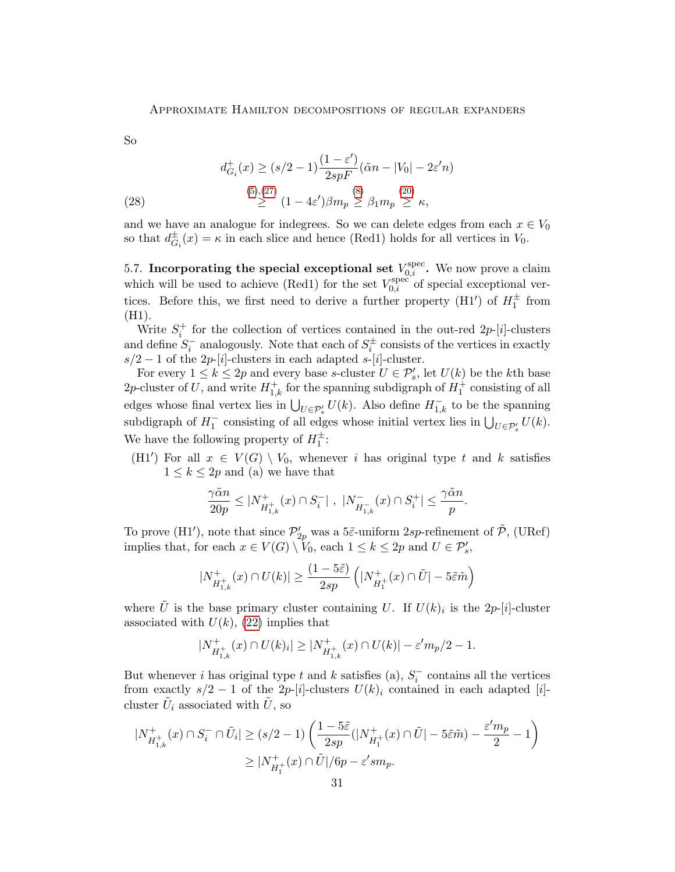So

(28) 
$$
d_{G_i}^+(x) \ge (s/2 - 1) \frac{(1 - \varepsilon')}{2spF} (\tilde{\alpha}n - |V_0| - 2\varepsilon'n)
$$

$$
\ge (5)(27) \ge (1 - 4\varepsilon')\beta m_p \ge \beta_1 m_p \ge \kappa,
$$

and we have an analogue for indegrees. So we can delete edges from each  $x \in V_0$ so that  $d_G^{\pm}$  $\tau_{G_i}^{\pm}(x) = \kappa$  in each slice and hence (Red1) holds for all vertices in  $V_0$ .

<span id="page-30-0"></span>5.7. Incorporating the special exceptional set  $V_{0,i}^{\text{spec}}$ . We now prove a claim which will be used to achieve (Red1) for the set  $V_{0,i}^{\text{spec}}$  of special exceptional vertices. Before this, we first need to derive a further property (H1') of  $H_1^{\pm}$  from (H1).

Write  $S_i^+$  for the collection of vertices contained in the out-red 2p-[i]-clusters and define  $S_i^-$  analogously. Note that each of  $S_i^{\pm}$  consists of the vertices in exactly  $s/2 - 1$  of the 2p-[i]-clusters in each adapted s-[i]-cluster.

For every  $1 \leq k \leq 2p$  and every base s-cluster  $U \in \mathcal{P}'_s$ , let  $U(k)$  be the kth base 2p-cluster of U, and write  $H_{1,k}^{+}$  for the spanning subdigraph of  $H_1^{+}$  consisting of all edges whose final vertex lies in  $\bigcup_{U \in \mathcal{P}'_s} U(k)$ . Also define  $H_{1,k}^-$  to be the spanning subdigraph of  $H_1^-$  consisting of all edges whose initial vertex lies in  $\bigcup_{U \in \mathcal{P}'_s} U(k)$ . We have the following property of  $H_1^{\pm}$ :

(H1') For all  $x \in V(G) \setminus V_0$ , whenever i has original type t and k satisfies  $1 \leq k \leq 2p$  and (a) we have that

$$
\frac{\gamma\tilde{\alpha}n}{20p} \leq |N_{H_{1,k}^+}^+(x) \cap S_i^-| \ , \ |N_{H_{1,k}^-}^-(x) \cap S_i^+| \leq \frac{\gamma\tilde{\alpha}n}{p}.
$$

To prove (H1'), note that since  $\mathcal{P}'_{2p}$  was a 5 $\tilde{\varepsilon}$ -uniform 2sp-refinement of  $\tilde{\mathcal{P}}$ , (URef) implies that, for each  $x \in V(G) \setminus V_0$ , each  $1 \leq k \leq 2p$  and  $U \in \mathcal{P}'_s$ ,

$$
|N^+_{H^+_{1,k}}(x) \cap U(k)| \ge \frac{(1-5\tilde{\varepsilon})}{2sp} \left( |N^+_{H^+_1}(x) \cap \tilde{U}| - 5\tilde{\varepsilon}\tilde{m} \right)
$$

where  $\tilde{U}$  is the base primary cluster containing U. If  $U(k)_i$  is the 2p-[i]-cluster associated with  $U(k)$ , [\(22\)](#page-26-0) implies that

$$
|N^+_{H^+_{1,k}}(x) \cap U(k)_i| \ge |N^+_{H^+_{1,k}}(x) \cap U(k)| - \varepsilon' m_p/2 - 1.
$$

But whenever *i* has original type *t* and *k* satisfies (a),  $S_i^-$  contains all the vertices from exactly  $s/2 - 1$  of the  $2p-[i]$ -clusters  $U(k)_i$  contained in each adapted [i]cluster  $\tilde{U}_i$  associated with  $\tilde{U}$ , so

$$
|N_{H_{1,k}^+}^+(x) \cap S_i^- \cap \tilde{U}_i| \ge (s/2 - 1) \left( \frac{1 - 5\tilde{\varepsilon}}{2sp} (|N_{H_1^+}^+(x) \cap \tilde{U}| - 5\tilde{\varepsilon}\tilde{m}) - \frac{\varepsilon' m_p}{2} - 1 \right)
$$
  

$$
\ge |N_{H_1^+}^+(x) \cap \tilde{U}|/6p - \varepsilon' sm_p.
$$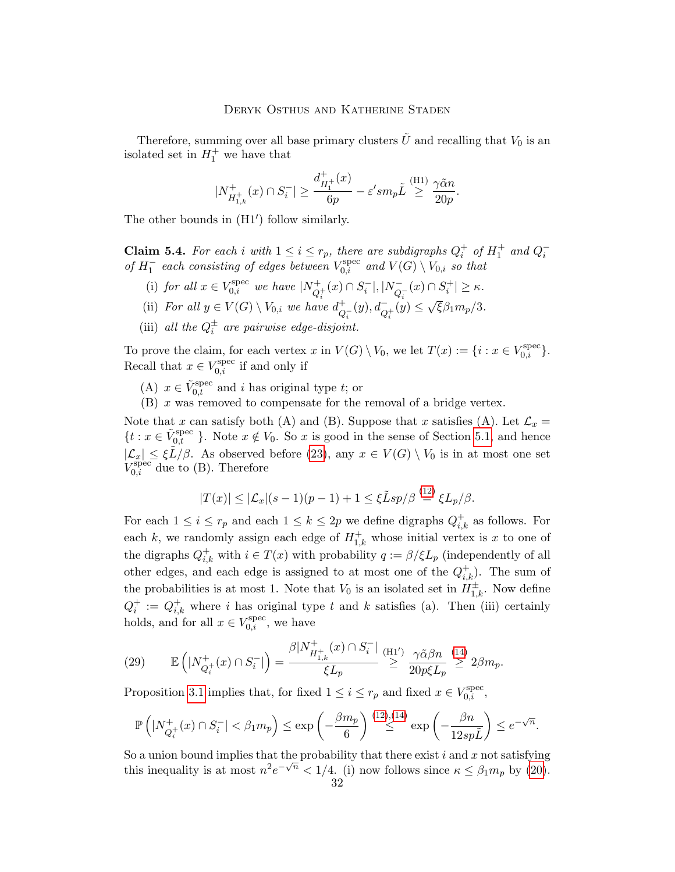Therefore, summing over all base primary clusters  $\tilde{U}$  and recalling that  $V_0$  is an isolated set in  $H_1^+$  we have that

$$
|N^+_{H^+_{1,k}}(x)\cap S^-_i|\geq \frac{d^+_{H^+_1}(x)}{6p}-\varepsilon' s m_p \tilde{L}\stackrel{\text{(H1)}}{\geq} \frac{\gamma\tilde{\alpha} n}{20p}.
$$

The other bounds in  $(H1')$  follow similarly.

<span id="page-31-0"></span>**Claim 5.4.** For each i with  $1 \leq i \leq r_p$ , there are subdigraphs  $Q_i^+$  of  $H_1^+$  and  $Q_i^$ of  $H_1^-$  each consisting of edges between  $V_{0,i}^{\text{spec}}$  and  $V(G) \setminus V_{0,i}$  so that

- (i) for all  $x \in V_{0,i}^{\text{spec}}$  we have  $|N_{\Omega}^+|$  $Q_i^+(x) \cap S_i^- |, |N_Q^-|$  $\overline{Q_i^{-}}(x) \cap S_i^{+} \geq \kappa.$ √
- (ii) For all  $y \in V(G) \setminus V_{0,i}$  we have  $d_{O^-}^+(y), d_{O^+}^-(y)$  $\frac{1}{Q_i}(y), d_{Q_i^+}^-(y) \le$  $\overline{\xi} \beta_1 m_p/3.$
- (iii) all the  $Q_i^{\pm}$  are pairwise edge-disjoint.

To prove the claim, for each vertex x in  $V(G) \setminus V_0$ , we let  $T(x) := \{i : x \in V_{0,i}^{\text{spec}}\}.$ Recall that  $x \in V_{0,i}^{\text{spec}}$  if and only if

- (A)  $x \in \tilde{V}_{0,t}^{\text{spec}}$  and i has original type t; or
- (B) x was removed to compensate for the removal of a bridge vertex.

Note that x can satisfy both (A) and (B). Suppose that x satisfies (A). Let  $\mathcal{L}_x$  =  $\{t : x \in V_{0,t}^{\text{spec}}\}\.$  Note  $x \notin V_0$ . So x is good in the sense of Section [5.1,](#page-15-1) and hence  $|\mathcal{L}_x| \leq \xi \tilde{L}/\beta$ . As observed before [\(23\)](#page-27-1), any  $x \in V(G) \setminus V_0$  is in at most one set  $V_{0,i}^{\text{spec}}$  due to (B). Therefore

$$
|T(x)| \leq |\mathcal{L}_x|(s-1)(p-1)+1 \leq \xi \tilde{L}sp/\beta \stackrel{(12)}{=} \xi L_p/\beta.
$$

For each  $1 \leq i \leq r_p$  and each  $1 \leq k \leq 2p$  we define digraphs  $Q_{i,k}^+$  as follows. For each k, we randomly assign each edge of  $H_{1,k}^{+}$  whose initial vertex is x to one of the digraphs  $Q_{i,k}^+$  with  $i \in T(x)$  with probability  $q := \beta / \xi L_p$  (independently of all other edges, and each edge is assigned to at most one of the  $Q_{i,k}^{\dagger}$ ). The sum of the probabilities is at most 1. Note that  $V_0$  is an isolated set in  $H_{1,k}^{\pm}$ . Now define  $Q_i^+ := Q_{i,k}^+$  where i has original type t and k satisfies (a). Then (iii) certainly holds, and for all  $x \in V_{0,i}^{\text{spec}}$ , we have

(29) 
$$
\mathbb{E}\left(|N_{Q_i^+}^+(x) \cap S_i^-|\right) = \frac{\beta|N_{H_{1,k}^+}^+(x) \cap S_i^-|}{\xi L_p} \stackrel{\text{(H1')}}{\geq} \frac{\gamma \tilde{\alpha} \beta n}{20p \xi L_p} \stackrel{\text{(14)}}{\geq} 2\beta m_p.
$$

Proposition [3.1](#page-6-0) implies that, for fixed  $1 \leq i \leq r_p$  and fixed  $x \in V_{0,i}^{\text{spec}}$ ,

$$
\mathbb{P}\left(\vert N^+_{Q_i^+}(x)\cap S_i^-\vert<\beta_1 m_p\right)\leq \exp\left(-\frac{\beta m_p}{6}\right)\stackrel{(12),(14)}{\leq}\exp\left(-\frac{\beta n}{12sp\tilde{L}}\right)\leq e^{-\sqrt{n}}.
$$

So a union bound implies that the probability that there exist i and x not satisfying this inequality is at most  $n^2 e^{-\sqrt{n}} < 1/4$ . (i) now follows since  $\kappa \leq \beta_1 m_p$  by [\(20\)](#page-23-0).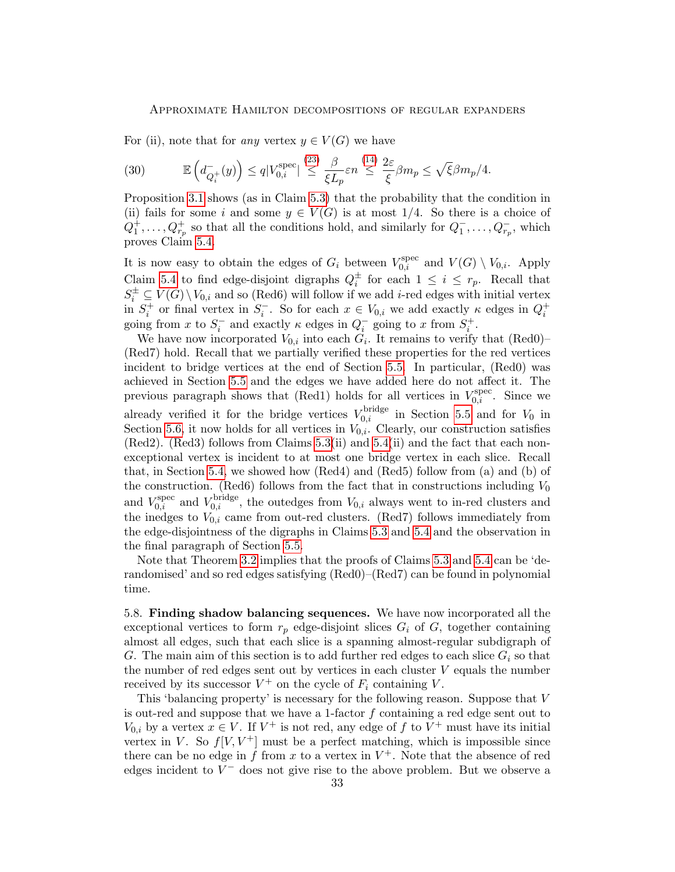### Approximate Hamilton decompositions of regular expanders

For (ii), note that for any vertex  $y \in V(G)$  we have

(30) 
$$
\mathbb{E}\left(d_{Q_i^+}^-(y)\right) \le q|V_{0,i}^{\text{spec}}| \stackrel{(23)}{\le} \frac{\beta}{\xi L_p} \varepsilon n \stackrel{(14)}{\leq} \frac{2\varepsilon}{\xi} \beta m_p \leq \sqrt{\xi} \beta m_p/4.
$$

Proposition [3.1](#page-6-0) shows (as in Claim [5.3\)](#page-28-0) that the probability that the condition in (ii) fails for some i and some  $y \in V(G)$  is at most 1/4. So there is a choice of  $Q_1^{\dagger}, \ldots, Q_{r_p}^{\dagger}$  so that all the conditions hold, and similarly for  $Q_1^{\dagger}, \ldots, Q_{r_p}^{\dagger}$ , which proves Claim [5.4.](#page-31-0)

It is now easy to obtain the edges of  $G_i$  between  $V_{0,i}^{\text{spec}}$  and  $V(G) \setminus V_{0,i}$ . Apply Claim [5.4](#page-31-0) to find edge-disjoint digraphs  $Q_i^{\pm}$  for each  $1 \leq i \leq r_p$ . Recall that  $S_i^{\pm} \subseteq V(G) \setminus V_{0,i}$  and so (Red6) will follow if we add *i*-red edges with initial vertex in  $S_i^+$  or final vertex in  $S_i^-$ . So for each  $x \in V_{0,i}$  we add exactly  $\kappa$  edges in  $Q_i^+$ going from x to  $S_i^-$  and exactly  $\kappa$  edges in  $Q_i^-$  going to x from  $S_i^+$ .

We have now incorporated  $V_{0,i}$  into each  $G_i$ . It remains to verify that (Red0)– (Red7) hold. Recall that we partially verified these properties for the red vertices incident to bridge vertices at the end of Section [5.5.](#page-24-0) In particular, (Red0) was achieved in Section [5.5](#page-24-0) and the edges we have added here do not affect it. The previous paragraph shows that (Red1) holds for all vertices in  $V_{0,i}^{\text{spec}}$ . Since we already verified it for the bridge vertices  $V_{0,i}^{\text{bridge}}$  in Section [5.5](#page-24-0) and for  $V_0$  in Section [5.6,](#page-27-0) it now holds for all vertices in  $V_{0,i}$ . Clearly, our construction satisfies (Red2). (Red3) follows from Claims [5.3\(](#page-28-0)ii) and [5.4\(](#page-31-0)ii) and the fact that each nonexceptional vertex is incident to at most one bridge vertex in each slice. Recall that, in Section [5.4,](#page-22-0) we showed how (Red4) and (Red5) follow from (a) and (b) of the construction. (Red6) follows from the fact that in constructions including  $V_0$ and  $V_{0,i}^{\text{spec}}$  and  $V_{0,i}^{\text{bridge}}$ , the outedges from  $V_{0,i}$  always went to in-red clusters and the inedges to  $V_{0,i}$  came from out-red clusters. (Red7) follows immediately from the edge-disjointness of the digraphs in Claims [5.3](#page-28-0) and [5.4](#page-31-0) and the observation in the final paragraph of Section [5.5.](#page-24-0)

Note that Theorem [3.2](#page-6-1) implies that the proofs of Claims [5.3](#page-28-0) and [5.4](#page-31-0) can be 'derandomised' and so red edges satisfying (Red0)–(Red7) can be found in polynomial time.

<span id="page-32-0"></span>5.8. Finding shadow balancing sequences. We have now incorporated all the exceptional vertices to form  $r_p$  edge-disjoint slices  $G_i$  of  $G$ , together containing almost all edges, such that each slice is a spanning almost-regular subdigraph of G. The main aim of this section is to add further red edges to each slice  $G_i$  so that the number of red edges sent out by vertices in each cluster  $V$  equals the number received by its successor  $V^+$  on the cycle of  $F_i$  containing V.

This 'balancing property' is necessary for the following reason. Suppose that V is out-red and suppose that we have a 1-factor  $f$  containing a red edge sent out to  $V_{0,i}$  by a vertex  $x \in V$ . If  $V^+$  is not red, any edge of f to  $V^+$  must have its initial vertex in V. So  $f[V, V^+]$  must be a perfect matching, which is impossible since there can be no edge in f from x to a vertex in  $V^+$ . Note that the absence of red edges incident to  $V^-$  does not give rise to the above problem. But we observe a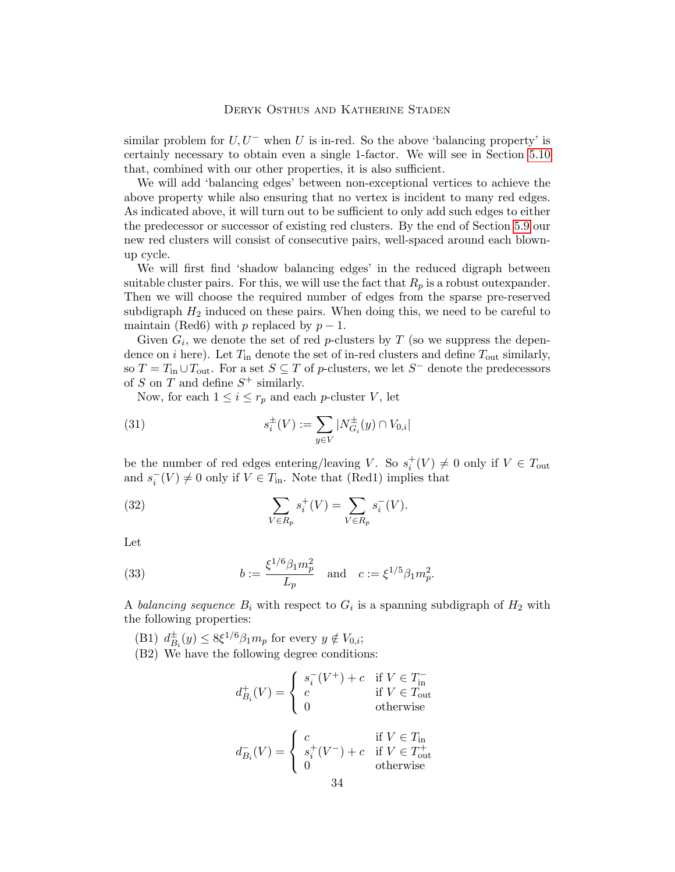similar problem for  $U, U^-$  when U is in-red. So the above 'balancing property' is certainly necessary to obtain even a single 1-factor. We will see in Section [5.10](#page-37-0) that, combined with our other properties, it is also sufficient.

We will add 'balancing edges' between non-exceptional vertices to achieve the above property while also ensuring that no vertex is incident to many red edges. As indicated above, it will turn out to be sufficient to only add such edges to either the predecessor or successor of existing red clusters. By the end of Section [5.9](#page-36-0) our new red clusters will consist of consecutive pairs, well-spaced around each blownup cycle.

We will first find 'shadow balancing edges' in the reduced digraph between suitable cluster pairs. For this, we will use the fact that  $R_p$  is a robust outexpander. Then we will choose the required number of edges from the sparse pre-reserved subdigraph  $H_2$  induced on these pairs. When doing this, we need to be careful to maintain (Red6) with p replaced by  $p-1$ .

Given  $G_i$ , we denote the set of red p-clusters by T (so we suppress the dependence on i here). Let  $T_{\text{in}}$  denote the set of in-red clusters and define  $T_{\text{out}}$  similarly, so  $T = T_{\text{in}} \cup T_{\text{out}}$ . For a set  $S \subseteq T$  of p-clusters, we let  $S^-$  denote the predecessors of S on T and define  $S^+$  similarly.

<span id="page-33-2"></span>Now, for each  $1 \leq i \leq r_p$  and each *p*-cluster *V*, let

(31) 
$$
s_i^{\pm}(V) := \sum_{y \in V} |N_{G_i}^{\pm}(y) \cap V_{0,i}|
$$

be the number of red edges entering/leaving V. So  $s_i^+(V) \neq 0$  only if  $V \in T_{\text{out}}$ and  $s_i^-(V) \neq 0$  only if  $V \in T_{\text{in}}$ . Note that (Red1) implies that

<span id="page-33-0"></span>(32) 
$$
\sum_{V \in R_p} s_i^+(V) = \sum_{V \in R_p} s_i^-(V).
$$

Let

(33) 
$$
b := \frac{\xi^{1/6} \beta_1 m_p^2}{L_p} \quad \text{and} \quad c := \xi^{1/5} \beta_1 m_p^2.
$$

A balancing sequence  $B_i$  with respect to  $G_i$  is a spanning subdigraph of  $H_2$  with the following properties:

- $(B1)$   $d_B^{\pm}$  $\frac{1}{B_i}(y) \leq 8\xi^{1/6}\beta_1 m_p$  for every  $y \notin V_{0,i}$ ;
- (B2) We have the following degree conditions:

<span id="page-33-1"></span>
$$
d_{B_i}^+(V) = \begin{cases} s_i^-(V^+) + c & \text{if } V \in T_{\text{in}}^-\\ c & \text{if } V \in T_{\text{out}}\\ 0 & \text{otherwise} \end{cases}
$$

$$
d_{B_i}^-(V) = \begin{cases} c & \text{if } V \in T_{\text{in}}\\ s_i^+(V^-) + c & \text{if } V \in T_{\text{out}}^+\\ 0 & \text{otherwise} \end{cases}
$$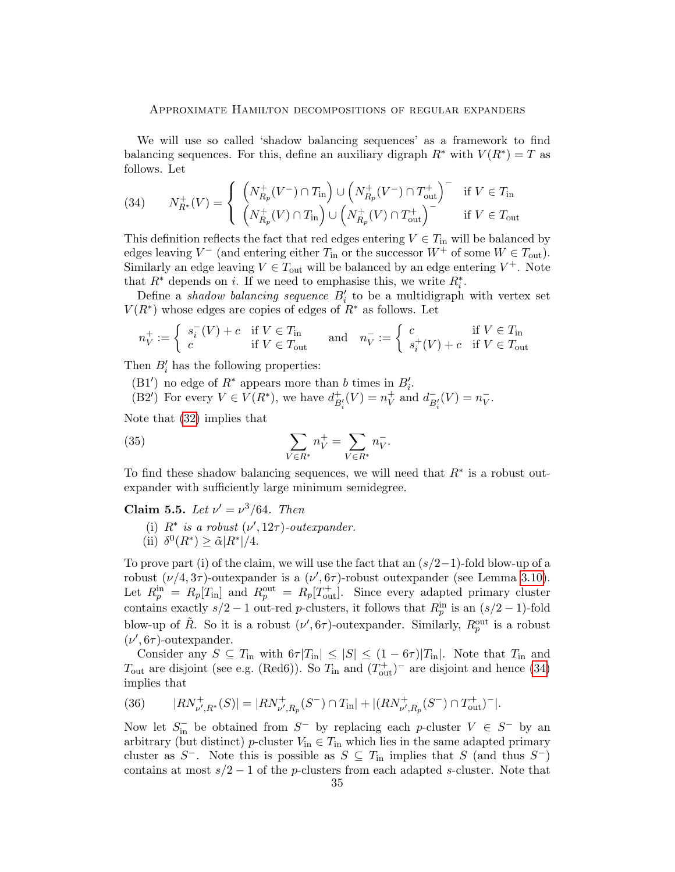We will use so called 'shadow balancing sequences' as a framework to find balancing sequences. For this, define an auxiliary digraph  $R^*$  with  $V(R^*) = T$  as follows. Let

<span id="page-34-0"></span>(34) 
$$
N_{R^*}^+(V) = \begin{cases} \left(N_{R_p}^+(V^-) \cap T_{\text{in}}\right) \cup \left(N_{R_p}^+(V^-) \cap T_{\text{out}}^+\right)^- & \text{if } V \in T_{\text{in}}\\ \left(N_{R_p}^+(V) \cap T_{\text{in}}\right) \cup \left(N_{R_p}^+(V) \cap T_{\text{out}}^+\right)^- & \text{if } V \in T_{\text{out}} \end{cases}
$$

This definition reflects the fact that red edges entering  $V \in T_{\text{in}}$  will be balanced by edges leaving  $V^-$  (and entering either  $T_{\text{in}}$  or the successor  $W^+$  of some  $W \in T_{\text{out}}$ ). Similarly an edge leaving  $V \in T_{\text{out}}$  will be balanced by an edge entering  $V^+$ . Note that  $R^*$  depends on *i*. If we need to emphasise this, we write  $R_i^*$ .

Define a shadow balancing sequence  $B_i'$  to be a multidigraph with vertex set  $V(R^*)$  whose edges are copies of edges of  $R^*$  as follows. Let

$$
n_V^+ := \begin{cases} s_i^-(V) + c & \text{if } V \in T_{\text{in}} \\ c & \text{if } V \in T_{\text{out}} \end{cases} \quad \text{and} \quad n_V^- := \begin{cases} c & \text{if } V \in T_{\text{in}} \\ s_i^+(V) + c & \text{if } V \in T_{\text{out}} \end{cases}
$$

Then  $B_i'$  has the following properties:

- (B1') no edge of  $R^*$  appears more than b times in  $B_i'$ .
- (B2') For every  $V \in V(R^*)$ , we have  $d_{B_i'}^+(V) = n_V^+$  $_{V}^{+}$  and  $d_{B'_{i}}^{-}(V) = n_{V}^{-}$  $\frac{1}{V}$ .

Note that [\(32\)](#page-33-0) implies that

(35) 
$$
\sum_{V \in R^*} n_V^+ = \sum_{V \in R^*} n_V^-
$$

To find these shadow balancing sequences, we will need that  $R^*$  is a robust outexpander with sufficiently large minimum semidegree.

.

<span id="page-34-1"></span>Claim 5.5. Let  $\nu' = \nu^3/64$ . Then

- (i)  $R^*$  is a robust  $(\nu', 12\tau)$ -outexpander.
- (ii)  $\delta^0(R^*) \geq \tilde{\alpha}|R^*|/4$ .

To prove part (i) of the claim, we will use the fact that an  $(s/2-1)$ -fold blow-up of a robust  $(\nu/4, 3\tau)$ -outexpander is a  $(\nu', 6\tau)$ -robust outexpander (see Lemma [3.10\)](#page-10-2). Let  $R_p^{\text{in}} = R_p[T_{\text{in}}]$  and  $R_p^{\text{out}} = R_p[T_{\text{out}}^+]$ . Since every adapted primary cluster contains exactly  $s/2 - 1$  out-red p-clusters, it follows that  $R_p^{\text{in}}$  is an  $(s/2 - 1)$ -fold blow-up of  $\tilde{R}$ . So it is a robust  $(\nu', 6\tau)$ -outexpander. Similarly,  $R_p^{\text{out}}$  is a robust  $(\nu', 6\tau)$ -outexpander.

Consider any  $S \subseteq T_{\text{in}}$  with  $6\tau |T_{\text{in}}| \leq |S| \leq (1 - 6\tau)|T_{\text{in}}|$ . Note that  $T_{\text{in}}$  and  $T_{\text{out}}$  are disjoint (see e.g. (Red6)). So  $T_{\text{in}}$  and  $(T_{\text{out}}^{+})^{-}$  are disjoint and hence [\(34\)](#page-34-0) implies that

(36) 
$$
|RN_{\nu',R^*}^+(S)| = |RN_{\nu',R_p}^+(S^-) \cap T_{\text{in}}| + |(RN_{\nu',R_p}^+(S^-) \cap T_{\text{out}}^+)^-|.
$$

Now let  $S_{\text{in}}^-$  be obtained from  $S^-$  by replacing each p-cluster  $V \in S^-$  by an arbitrary (but distinct) p-cluster  $V_{\text{in}} \in T_{\text{in}}$  which lies in the same adapted primary cluster as  $S^-$ . Note this is possible as  $S \subseteq T_{\text{in}}$  implies that S (and thus  $S^-$ ) contains at most  $s/2 - 1$  of the p-clusters from each adapted s-cluster. Note that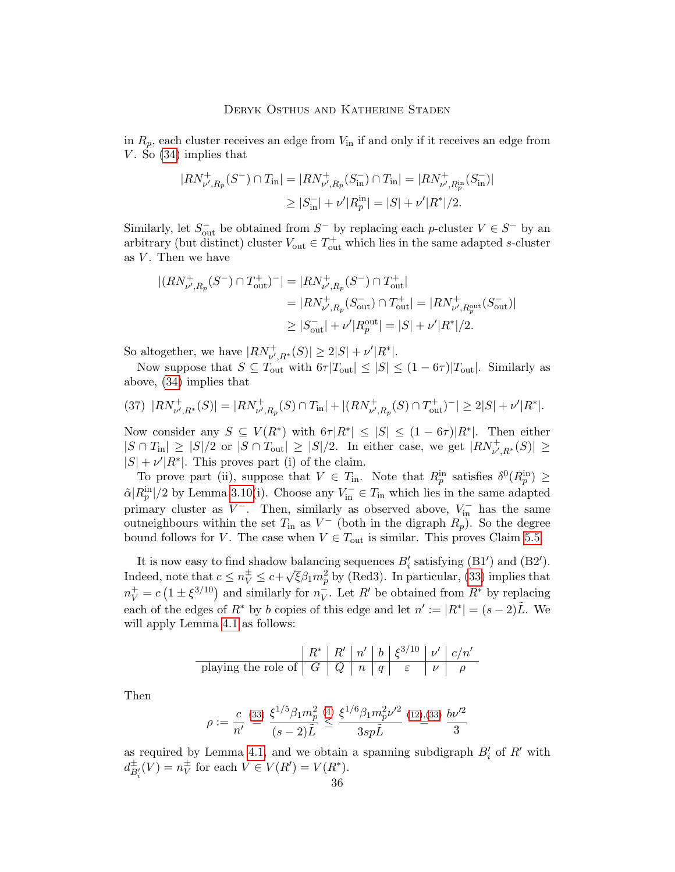in  $R_p$ , each cluster receives an edge from  $V_{\text{in}}$  if and only if it receives an edge from V. So  $(34)$  implies that

$$
\begin{aligned} |RN_{\nu',R_p}^+(S^-)\cap T_{\rm in}|&=|RN_{\nu',R_p}^+(S^-_{\rm in})\cap T_{\rm in}|=|RN_{\nu',R_p^{\rm in}}^+(S^-_{\rm in})|\\ &\geq |S^-_{\rm in}|+\nu'|R_p^{\rm in}|=|S|+\nu'|R^*|/2. \end{aligned}
$$

Similarly, let  $S_{\text{out}}^-$  be obtained from  $S^-$  by replacing each *p*-cluster  $V \in S^-$  by an arbitrary (but distinct) cluster  $V_{\text{out}} \in T_{\text{out}}^+$  which lies in the same adapted s-cluster as  $V$ . Then we have

$$
\begin{aligned} |(RN_{\nu',R_p}^+(S^-) \cap T_{\text{out}}^+)^-| &= |RN_{\nu',R_p}^+(S^-) \cap T_{\text{out}}^+| \\ &= |RN_{\nu',R_p}^+(S_{\text{out}}^-) \cap T_{\text{out}}^+| = |RN_{\nu',R_p^{\text{out}}}^+(S_{\text{out}}^-)| \\ &\geq |S_{\text{out}}^-| + \nu'|R_p^{\text{out}}| = |S| + \nu'|R^*|/2. \end{aligned}
$$

So altogether, we have  $|RN^+_{\nu',R^*}(S)| \geq 2|S| + \nu'|R^*|$ .

Now suppose that  $S \subseteq T_{\text{out}}$  with  $6\tau |T_{\text{out}}| \leq |S| \leq (1 - 6\tau)|T_{\text{out}}|$ . Similarly as above, [\(34\)](#page-34-0) implies that

$$
(37) \ |RN_{\nu',R^*}^+(S)| = |RN_{\nu',R_p}^+(S) \cap T_{\text{in}}| + |(RN_{\nu',R_p}^+(S) \cap T_{\text{out}}^*)^-| \geq 2|S| + \nu'|R^*|.
$$

Now consider any  $S \subseteq V(R^*)$  with  $6\tau |R^*| \leq |S| \leq (1 - 6\tau)|R^*|$ . Then either  $|S \cap T_{\text{in}}| \geq |S|/2$  or  $|S \cap T_{\text{out}}| \geq |S|/2$ . In either case, we get  $|RN^+_{\nu',R^*}(S)| \geq$  $|S| + \nu' |R^*|$ . This proves part (i) of the claim.

To prove part (ii), suppose that  $V \in T_{\text{in}}$ . Note that  $R_p^{\text{in}}$  satisfies  $\delta^0(R_p^{\text{in}}) \geq$  $\tilde{\alpha}|R_p^{\text{in}}|/2$  by Lemma [3.10\(](#page-10-2)i). Choose any  $V_{\text{in}}^- \in T_{\text{in}}$  which lies in the same adapted primary cluster as  $V^-$ . Then, similarly as observed above,  $V_{\text{in}}^-$  has the same outneighbours within the set  $T_{\text{in}}$  as  $V^-$  (both in the digraph  $R_p$ ). So the degree bound follows for V. The case when  $V \in T_{\text{out}}$  is similar. This proves Claim [5.5.](#page-34-1)

It is now easy to find shadow balancing sequences  $B'_i$  satisfying  $(B1')$  and  $(B2')$ . Indeed, note that  $c \leq n_V^{\pm} \leq c + \sqrt{\xi} \beta_1 m_p^2$  by (Red3). In particular, [\(33\)](#page-33-1) implies that  $n_V^+ = c \left(1 \pm \xi^{3/10}\right)$  and similarly for  $n_V^ \bar{V}$ . Let  $R'$  be obtained from  $R^*$  by replacing each of the edges of  $R^*$  by b copies of this edge and let  $n' := |R^*| = (s-2)\tilde{L}$ . We will apply Lemma [4.1](#page-12-1) as follows:

$$
\begin{array}{c|c|c|c|c|c|c|c|c} & R^* & R' & n' & b & \xi^{3/10} & \nu' & c/n' \\ \hline \text{ playing the role of} & G & Q & n & q & \varepsilon & \nu & \rho \end{array}
$$

Then

$$
\rho := \frac{c}{n'} \stackrel{(33)}{=} \frac{\xi^{1/5} \beta_1 m_p^2}{(s-2)\tilde{L}} \stackrel{(4)}{\leq} \frac{\xi^{1/6} \beta_1 m_p^2 \nu'^2}{3sp\tilde{L}} \stackrel{(12),(33)}{=} \frac{b\nu'^2}{3}
$$

as required by Lemma [4.1,](#page-12-1) and we obtain a spanning subdigraph  $B_i'$  of  $R'$  with  $d_{B_i'}^{\pm}(V) = n_V^{\pm}$  $\frac{1}{V}$  for each  $V \in V(R') = V(R^*)$ .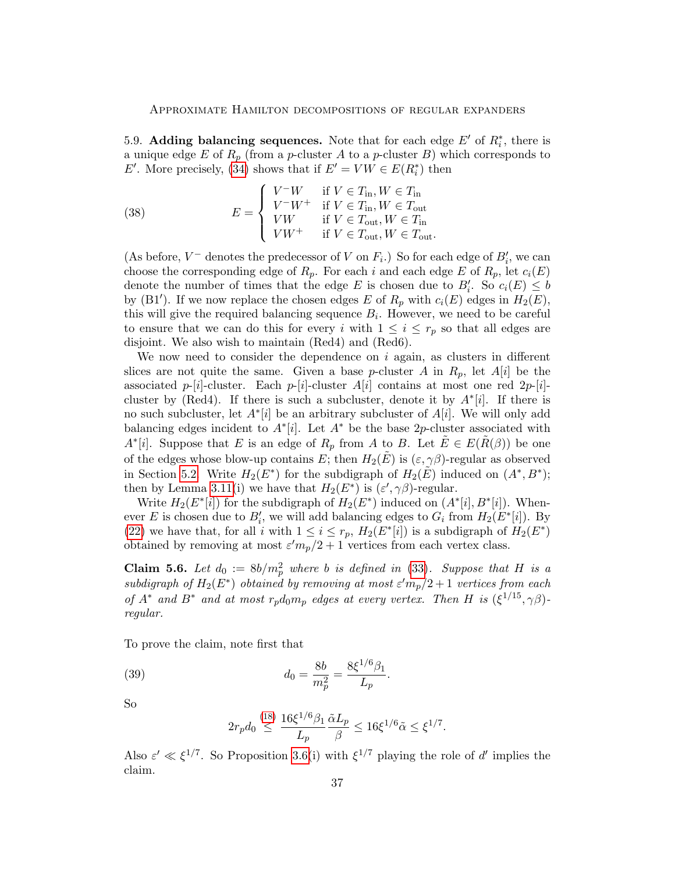<span id="page-36-0"></span>5.9. Adding balancing sequences. Note that for each edge  $E'$  of  $R_i^*$ , there is a unique edge E of  $R_p$  (from a p-cluster A to a p-cluster B) which corresponds to E'. More precisely, [\(34\)](#page-34-0) shows that if  $E' = VW \in E(R_i^*)$  then

<span id="page-36-3"></span>(38) 
$$
E = \begin{cases} V^-W & \text{if } V \in T_{\text{in}}, W \in T_{\text{in}} \\ V^-W^+ & \text{if } V \in T_{\text{in}}, W \in T_{\text{out}} \\ VW & \text{if } V \in T_{\text{out}}, W \in T_{\text{in}} \\ VW^+ & \text{if } V \in T_{\text{out}}, W \in T_{\text{out}}. \end{cases}
$$

(As before,  $V^-$  denotes the predecessor of V on  $F_i$ .) So for each edge of  $B'_i$ , we can choose the corresponding edge of  $R_p$ . For each i and each edge E of  $R_p$ , let  $c_i(E)$ denote the number of times that the edge E is chosen due to  $B_i'$ . So  $c_i(E) \leq b$ by (B1'). If we now replace the chosen edges E of  $R_p$  with  $c_i(E)$  edges in  $H_2(E)$ , this will give the required balancing sequence  $B_i$ . However, we need to be careful to ensure that we can do this for every i with  $1 \leq i \leq r_p$  so that all edges are disjoint. We also wish to maintain (Red4) and (Red6).

We now need to consider the dependence on  $i$  again, as clusters in different slices are not quite the same. Given a base p-cluster A in  $R_p$ , let  $A[i]$  be the associated p-[i]-cluster. Each p-[i]-cluster A[i] contains at most one red  $2p-[i]$ cluster by (Red4). If there is such a subcluster, denote it by  $A^*[i]$ . If there is no such subcluster, let  $A^*[i]$  be an arbitrary subcluster of  $A[i]$ . We will only add balancing edges incident to  $A^*[i]$ . Let  $A^*$  be the base 2p-cluster associated with  $A^*[i]$ . Suppose that E is an edge of  $R_p$  from A to B. Let  $\tilde{E} \in E(\tilde{R}(\beta))$  be one of the edges whose blow-up contains E; then  $H_2(E)$  is  $(\varepsilon, \gamma\beta)$ -regular as observed in Section [5.2.](#page-17-0) Write  $H_2(E^*)$  for the subdigraph of  $H_2(E)$  induced on  $(A^*, B^*)$ ; then by Lemma [3.11\(](#page-10-0)i) we have that  $H_2(E^*)$  is  $(\varepsilon', \gamma \beta)$ -regular.

Write  $H_2(E^*[i])$  for the subdigraph of  $H_2(E^*)$  induced on  $(A^*[i], B^*[i])$ . Whenever E is chosen due to  $B_i'$ , we will add balancing edges to  $G_i$  from  $H_2(E^*[i])$ . By [\(22\)](#page-26-0) we have that, for all i with  $1 \leq i \leq r_p$ ,  $H_2(E^*[i])$  is a subdigraph of  $H_2(E^*)$ obtained by removing at most  $\varepsilon' m_p/2 + 1$  vertices from each vertex class.

<span id="page-36-1"></span>**Claim 5.6.** Let  $d_0 := 8b/m_p^2$  where b is defined in [\(33\)](#page-33-1). Suppose that H is a subdigraph of  $H_2(E^*)$  obtained by removing at most  $\varepsilon' m_p/2+1$  vertices from each of  $A^*$  and  $B^*$  and at most  $r_p d_0 m_p$  edges at every vertex. Then H is  $(\xi^{1/15}, \gamma \beta)$ regular.

To prove the claim, note first that

(39) 
$$
d_0 = \frac{8b}{m_p^2} = \frac{8\xi^{1/6}\beta_1}{L_p}.
$$

So

<span id="page-36-2"></span>
$$
2r_p d_0 \overset{(18)}{\leq} \frac{16\xi^{1/6}\beta_1}{L_p} \frac{\tilde{\alpha}L_p}{\beta} \leq 16\xi^{1/6}\tilde{\alpha} \leq \xi^{1/7}.
$$

Also  $\varepsilon' \ll \xi^{1/7}$ . So Proposition [3.6\(](#page-9-1)i) with  $\xi^{1/7}$  playing the role of d' implies the claim.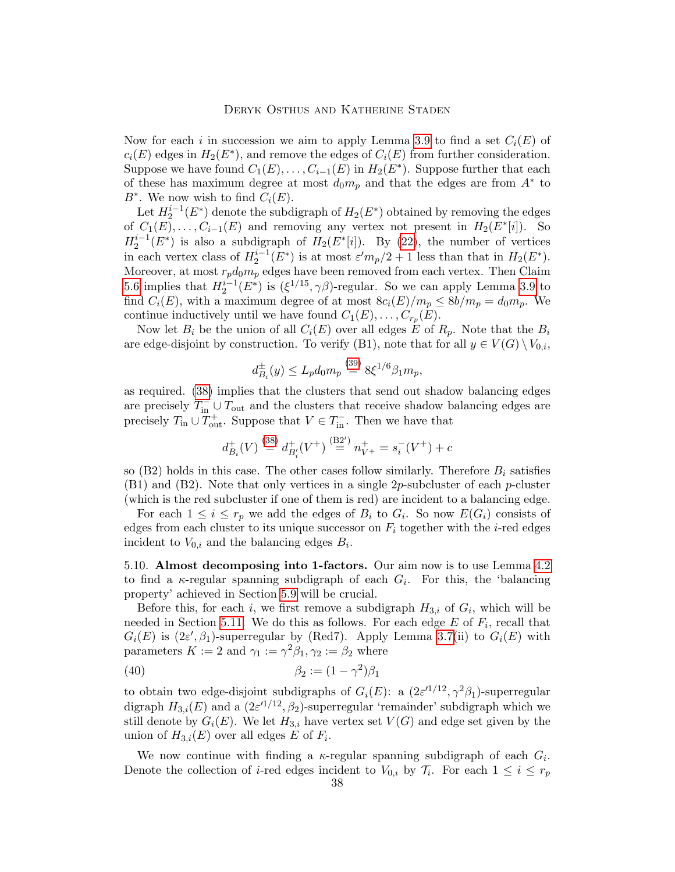Now for each i in succession we aim to apply Lemma [3.9](#page-10-3) to find a set  $C_i(E)$  of  $c_i(E)$  edges in  $H_2(E^*)$ , and remove the edges of  $C_i(E)$  from further consideration. Suppose we have found  $C_1(E), \ldots, C_{i-1}(E)$  in  $H_2(E^*)$ . Suppose further that each of these has maximum degree at most  $d_0m_p$  and that the edges are from  $A^*$  to B<sup>\*</sup>. We now wish to find  $C_i(E)$ .

Let  $H_2^{i-1}(E^*)$  denote the subdigraph of  $H_2(E^*)$  obtained by removing the edges of  $C_1(E), \ldots, C_{i-1}(E)$  and removing any vertex not present in  $H_2(E^*[i])$ . So  $H_2^{i-1}(E^*)$  is also a subdigraph of  $H_2(E^*[i])$ . By [\(22\)](#page-26-0), the number of vertices in each vertex class of  $H_2^{i-1}(E^*)$  is at most  $\varepsilon' m_p/2 + 1$  less than that in  $H_2(E^*)$ . Moreover, at most  $r_p d_0m_p$  edges have been removed from each vertex. Then Claim [5.6](#page-36-1) implies that  $H_2^{i-1}(E^*)$  is  $(\xi^{1/15}, \gamma \beta)$ -regular. So we can apply Lemma [3.9](#page-10-3) to find  $C_i(E)$ , with a maximum degree of at most  $8c_i(E)/m_p \leq 8b/m_p = d_0m_p$ . We continue inductively until we have found  $C_1(E), \ldots, C_{r_p}(E)$ .

Now let  $B_i$  be the union of all  $C_i(E)$  over all edges E of  $R_p$ . Note that the  $B_i$ are edge-disjoint by construction. To verify (B1), note that for all  $y \in V(G) \setminus V_{0,i}$ ,

$$
d_{B_i}^{\pm}(y) \le L_p d_0 m_p \stackrel{(39)}{=} 8\xi^{1/6} \beta_1 m_p,
$$

as required. [\(38\)](#page-36-3) implies that the clusters that send out shadow balancing edges are precisely  $T_{\text{in}}^- \cup T_{\text{out}}$  and the clusters that receive shadow balancing edges are precisely  $T_{\text{in}} \cup \tilde{T}_{\text{out}}^+$ . Suppose that  $V \in T_{\text{in}}^-$ . Then we have that

$$
d^+_{B_i}(V) \stackrel{\mathrm{(38)}}{=} d^+_{B'_i}(V^+) \stackrel{\mathrm{(B2')}}{=} n^+_{V^+} = s^-_i(V^+) + c
$$

so  $(B2)$  holds in this case. The other cases follow similarly. Therefore  $B<sub>i</sub>$  satisfies  $(B1)$  and  $(B2)$ . Note that only vertices in a single 2p-subcluster of each p-cluster (which is the red subcluster if one of them is red) are incident to a balancing edge.

For each  $1 \leq i \leq r_p$  we add the edges of  $B_i$  to  $G_i$ . So now  $E(G_i)$  consists of edges from each cluster to its unique successor on  $F_i$  together with the *i*-red edges incident to  $V_{0,i}$  and the balancing edges  $B_i$ .

<span id="page-37-0"></span>5.10. Almost decomposing into 1-factors. Our aim now is to use Lemma [4.2](#page-12-3) to find a  $\kappa$ -regular spanning subdigraph of each  $G_i$ . For this, the 'balancing property' achieved in Section [5.9](#page-36-0) will be crucial.

Before this, for each i, we first remove a subdigraph  $H_{3,i}$  of  $G_i$ , which will be needed in Section [5.11.](#page-39-0) We do this as follows. For each edge  $E$  of  $F_i$ , recall that  $G_i(E)$  is  $(2\varepsilon', \beta_1)$ -superregular by (Red7). Apply Lemma [3.7\(](#page-9-0)ii) to  $G_i(E)$  with parameters  $K := 2$  and  $\gamma_1 := \gamma^2 \beta_1, \gamma_2 := \beta_2$  where

<span id="page-37-1"></span>
$$
\beta_2 := (1 - \gamma^2)\beta_1
$$

to obtain two edge-disjoint subdigraphs of  $G_i(E)$ : a  $(2\varepsilon'^{1/12}, \gamma^2 \beta_1)$ -superregular digraph  $H_{3,i}(E)$  and a  $(2\varepsilon'^{1/12}, \beta_2)$ -superregular 'remainder' subdigraph which we still denote by  $G_i(E)$ . We let  $H_{3,i}$  have vertex set  $V(G)$  and edge set given by the union of  $H_{3,i}(E)$  over all edges E of  $F_i$ .

We now continue with finding a  $\kappa$ -regular spanning subdigraph of each  $G_i$ . Denote the collection of *i*-red edges incident to  $V_{0,i}$  by  $\mathcal{T}_i$ . For each  $1 \leq i \leq r_p$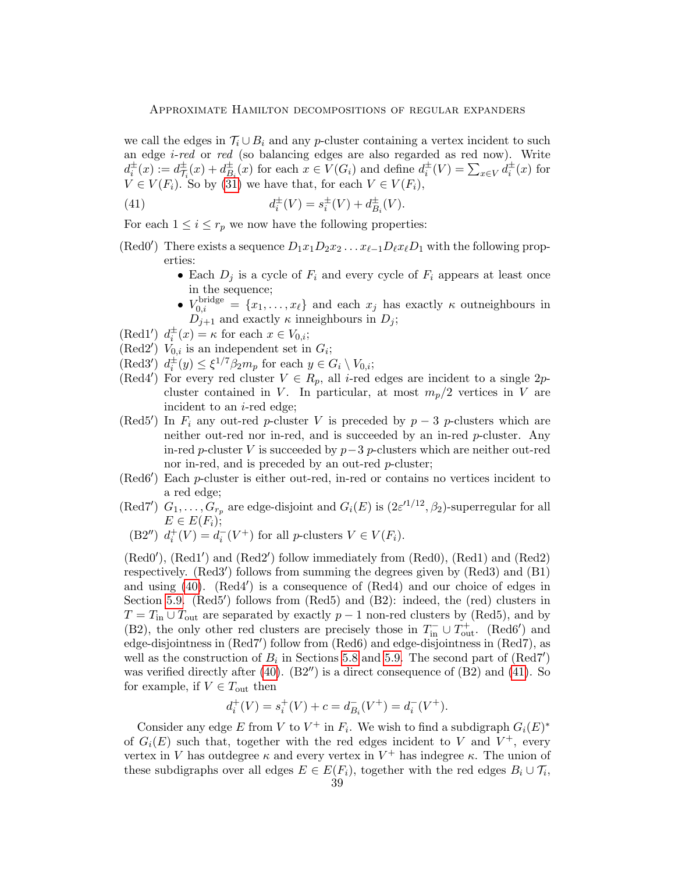we call the edges in  $\mathcal{T}_i \cup \mathcal{B}_i$  and any p-cluster containing a vertex incident to such an edge i-red or red (so balancing edges are also regarded as red now). Write  $d_i^{\pm}(x) := d_{\mathcal{T}_i}^{\pm}$  $\frac{1}{\mathcal{T}_i}(x) + d_B^{\pm}$  $\frac{1}{B_i}(x)$  for each  $x \in V(G_i)$  and define  $d_i^{\pm}(V) = \sum_{x \in V} d_i^{\pm}(x)$  for  $V \in V(F_i)$ . So by [\(31\)](#page-33-2) we have that, for each  $V \in V(F_i)$ ,

<span id="page-38-0"></span>(41) 
$$
d_i^{\pm}(V) = s_i^{\pm}(V) + d_{B_i}^{\pm}(V).
$$

For each  $1 \leq i \leq r_p$  we now have the following properties:

- (Red0') There exists a sequence  $D_1x_1D_2x_2 \ldots x_{\ell-1}D_\ell x_\ell D_1$  with the following properties:
	- Each  $D_i$  is a cycle of  $F_i$  and every cycle of  $F_i$  appears at least once in the sequence;
	- $V_{0,i}^{bridge} = \{x_1, \ldots, x_\ell\}$  and each  $x_j$  has exactly  $\kappa$  outneighbours in  $D_{j+1}$  and exactly  $\kappa$  inneighbours in  $D_j$ ;
- $(\text{Red}1')$   $d_i^{\pm}(x) = \kappa$  for each  $x \in V_{0,i}$ ;
- (Red2')  $V_{0,i}$  is an independent set in  $G_i$ ;
- (Red3')  $d_i^{\pm}(y) \leq \xi^{1/7} \beta_2 m_p$  for each  $y \in G_i \setminus V_{0,i}$ ;
- (Red4') For every red cluster  $V \in R_p$ , all *i*-red edges are incident to a single 2pcluster contained in V. In particular, at most  $m_p/2$  vertices in V are incident to an i-red edge;
- (Red5<sup>'</sup>) In  $F_i$  any out-red p-cluster V is preceded by  $p-3$  p-clusters which are neither out-red nor in-red, and is succeeded by an in-red p-cluster. Any in-red p-cluster V is succeeded by  $p-3$  p-clusters which are neither out-red nor in-red, and is preceded by an out-red *p*-cluster;
- (Red6') Each p-cluster is either out-red, in-red or contains no vertices incident to a red edge;
- (Red7')  $G_1, \ldots, G_{r_p}$  are edge-disjoint and  $G_i(E)$  is  $(2\varepsilon'^{1/12}, \beta_2)$ -superregular for all  $E \in E(F_i);$

(B2'') 
$$
d_i^+(V) = d_i^-(V^+)
$$
 for all p-clusters  $V \in V(F_i)$ .

(Red0'), (Red1') and (Red2') follow immediately from (Red0), (Red1) and (Red2) respectively. ( $\text{Red}3'$ ) follows from summing the degrees given by  $(\text{Red}3)$  and  $(\text{B1})$ and using  $(40)$ .  $(Red4')$  is a consequence of  $(Red4)$  and our choice of edges in Section [5.9.](#page-36-0) ( $Red5'$ ) follows from  $(Red5)$  and  $(B2)$ : indeed, the  $(red)$  clusters in  $T = T_{\text{in}} \cup T_{\text{out}}$  are separated by exactly  $p - 1$  non-red clusters by (Red5), and by (B2), the only other red clusters are precisely those in  $T_{\text{in}}^- \cup T_{\text{out}}^+$ . (Red6') and edge-disjointness in  $(\text{Red}7')$  follow from  $(\text{Red}6)$  and edge-disjointness in  $(\text{Red}7)$ , as well as the construction of  $B_i$  in Sections [5.8](#page-32-0) and [5.9.](#page-36-0) The second part of  $(\text{Red}7')$ was verified directly after  $(40)$ .  $(B2'')$  is a direct consequence of  $(B2)$  and  $(41)$ . So for example, if  $V \in T_{\text{out}}$  then

$$
d^+_i(V) = s^+_i(V) + c = d^-_{B_i}(V^+) = d^-_i(V^+).
$$

Consider any edge E from V to  $V^+$  in  $F_i$ . We wish to find a subdigraph  $G_i(E)^*$ of  $G_i(E)$  such that, together with the red edges incident to V and  $V^+$ , every vertex in V has outdegree  $\kappa$  and every vertex in  $V^+$  has indegree  $\kappa$ . The union of these subdigraphs over all edges  $E \in E(F_i)$ , together with the red edges  $B_i \cup \mathcal{T}_i$ ,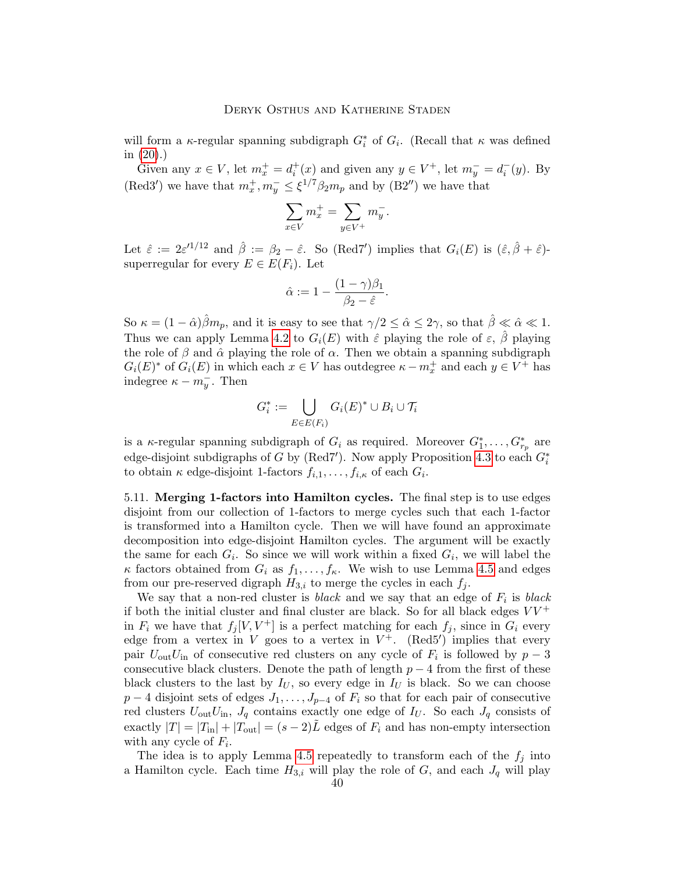will form a  $\kappa$ -regular spanning subdigraph  $G_i^*$  of  $G_i$ . (Recall that  $\kappa$  was defined in [\(20\)](#page-23-0).)

Given any  $x \in V$ , let  $m_x^+ = d_i^+(x)$  and given any  $y \in V^+$ , let  $m_y^- = d_i^-(y)$ . By (Red3') we have that  $m_x^+, m_y^- \leq \xi^{1/7} \beta_2 m_p$  and by (B2'') we have that

$$
\sum_{x \in V} m_x^+ = \sum_{y \in V^+} m_y^-.
$$

Let  $\hat{\varepsilon} := 2\varepsilon'^{1/12}$  and  $\hat{\beta} := \beta_2 - \hat{\varepsilon}$ . So (Red7') implies that  $G_i(E)$  is  $(\hat{\varepsilon}, \hat{\beta} + \hat{\varepsilon})$ superregular for every  $E \in E(F_i)$ . Let

$$
\hat{\alpha} := 1 - \frac{(1 - \gamma)\beta_1}{\beta_2 - \hat{\varepsilon}}.
$$

So  $\kappa = (1 - \hat{\alpha})\hat{\beta}m_p$ , and it is easy to see that  $\gamma/2 \leq \hat{\alpha} \leq 2\gamma$ , so that  $\hat{\beta} \ll \hat{\alpha} \ll 1$ . Thus we can apply Lemma [4.2](#page-12-3) to  $G_i(E)$  with  $\hat{\varepsilon}$  playing the role of  $\varepsilon$ ,  $\hat{\beta}$  playing the role of  $\beta$  and  $\hat{\alpha}$  playing the role of  $\alpha$ . Then we obtain a spanning subdigraph  $G_i(E)^*$  of  $G_i(E)$  in which each  $x \in V$  has outdegree  $\kappa - m_x^+$  and each  $y \in V^+$  has indegree  $\kappa - m_y^{\dagger}$ . Then

$$
G_i^* := \bigcup_{E \in E(F_i)} G_i(E)^* \cup B_i \cup \mathcal{T}_i
$$

is a  $\kappa$ -regular spanning subdigraph of  $G_i$  as required. Moreover  $G_1^*, \ldots, G_{r_p}^*$  are edge-disjoint subdigraphs of G by (Red7<sup>'</sup>). Now apply Proposition [4.3](#page-12-2) to each  $G_i^*$ to obtain  $\kappa$  edge-disjoint 1-factors  $f_{i,1}, \ldots, f_{i,\kappa}$  of each  $G_i$ .

<span id="page-39-0"></span>5.11. Merging 1-factors into Hamilton cycles. The final step is to use edges disjoint from our collection of 1-factors to merge cycles such that each 1-factor is transformed into a Hamilton cycle. Then we will have found an approximate decomposition into edge-disjoint Hamilton cycles. The argument will be exactly the same for each  $G_i$ . So since we will work within a fixed  $G_i$ , we will label the  $\kappa$  factors obtained from  $G_i$  as  $f_1, \ldots, f_\kappa$ . We wish to use Lemma [4.5](#page-15-2) and edges from our pre-reserved digraph  $H_{3,i}$  to merge the cycles in each  $f_i$ .

We say that a non-red cluster is *black* and we say that an edge of  $F_i$  is *black* if both the initial cluster and final cluster are black. So for all black edges  $VV^+$ in  $F_i$  we have that  $f_j[V, V^+]$  is a perfect matching for each  $f_j$ , since in  $G_i$  every edge from a vertex in V goes to a vertex in  $V^+$ . (Red5') implies that every pair  $U_{\text{out}}U_{\text{in}}$  of consecutive red clusters on any cycle of  $F_i$  is followed by  $p-3$ consecutive black clusters. Denote the path of length  $p-4$  from the first of these black clusters to the last by  $I_U$ , so every edge in  $I_U$  is black. So we can choose  $p-4$  disjoint sets of edges  $J_1, \ldots, J_{p-4}$  of  $F_i$  so that for each pair of consecutive red clusters  $U_{\text{out}}U_{\text{in}}$ ,  $J_q$  contains exactly one edge of  $I_U$ . So each  $J_q$  consists of exactly  $|T| = |T_{\text{in}}| + |T_{\text{out}}| = (s-2)L$  edges of  $F_i$  and has non-empty intersection with any cycle of  $F_i$ .

The idea is to apply Lemma [4.5](#page-15-2) repeatedly to transform each of the  $f_i$  into a Hamilton cycle. Each time  $H_{3,i}$  will play the role of G, and each  $J_q$  will play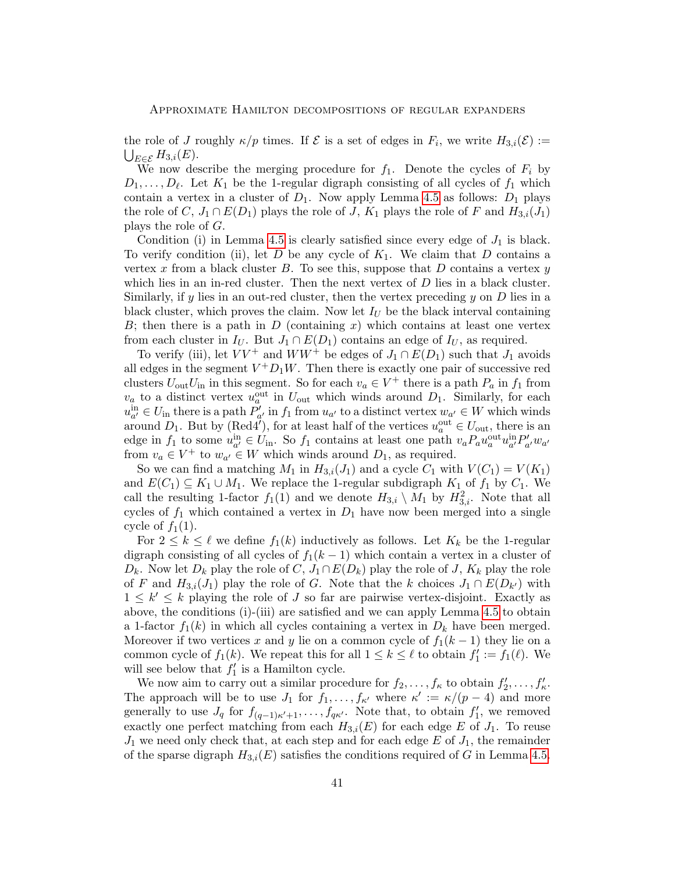the role of J roughly  $\kappa/p$  times. If  $\mathcal E$  is a set of edges in  $F_i$ , we write  $H_{3,i}(\mathcal E) :=$  $\bigcup_{E \in \mathcal{E}} H_{3,i}(E).$ 

We now describe the merging procedure for  $f_1$ . Denote the cycles of  $F_i$  by  $D_1, \ldots, D_\ell$ . Let  $K_1$  be the 1-regular digraph consisting of all cycles of  $f_1$  which contain a vertex in a cluster of  $D_1$ . Now apply Lemma [4.5](#page-15-2) as follows:  $D_1$  plays the role of C,  $J_1 \cap E(D_1)$  plays the role of J,  $K_1$  plays the role of F and  $H_{3,i}(J_1)$ plays the role of G.

Condition (i) in Lemma [4.5](#page-15-2) is clearly satisfied since every edge of  $J_1$  is black. To verify condition (ii), let D be any cycle of  $K_1$ . We claim that D contains a vertex x from a black cluster B. To see this, suppose that D contains a vertex  $y$ which lies in an in-red cluster. Then the next vertex of D lies in a black cluster. Similarly, if y lies in an out-red cluster, then the vertex preceding y on  $D$  lies in a black cluster, which proves the claim. Now let  $I_U$  be the black interval containing B; then there is a path in  $D$  (containing  $x$ ) which contains at least one vertex from each cluster in  $I_U$ . But  $J_1 \cap E(D_1)$  contains an edge of  $I_U$ , as required.

To verify (iii), let  $VV^+$  and  $WW^+$  be edges of  $J_1 \cap E(D_1)$  such that  $J_1$  avoids all edges in the segment  $V^+D_1W$ . Then there is exactly one pair of successive red clusters  $U_{\text{out}}U_{\text{in}}$  in this segment. So for each  $v_a \in V^+$  there is a path  $P_a$  in  $f_1$  from  $v_a$  to a distinct vertex  $u_a^{\text{out}}$  in  $U_{\text{out}}$  which winds around  $D_1$ . Similarly, for each  $u_{a'}^{\text{in}} \in U_{\text{in}}$  there is a path  $P'_{a'}$  in  $f_1$  from  $u_{a'}$  to a distinct vertex  $w_{a'} \in W$  which winds around  $D_1$ . But by (Red4<sup>*i*</sup>), for at least half of the vertices  $u_a^{\text{out}} \in U_{\text{out}}$ , there is an edge in  $f_1$  to some  $u_{a'}^{\text{in}} \in U_{\text{in}}$ . So  $f_1$  contains at least one path  $v_a P_a u_a^{\text{out}} u_{a'}^{\text{in}} P'_{a'} w_{a'}$ from  $v_a \in V^+$  to  $w_{a'} \in W$  which winds around  $D_1$ , as required.

So we can find a matching  $M_1$  in  $H_{3,i}(J_1)$  and a cycle  $C_1$  with  $V(C_1) = V(K_1)$ and  $E(C_1) \subseteq K_1 \cup M_1$ . We replace the 1-regular subdigraph  $K_1$  of  $f_1$  by  $C_1$ . We call the resulting 1-factor  $f_1(1)$  and we denote  $H_{3,i} \setminus M_1$  by  $H_{3,i}^2$ . Note that all cycles of  $f_1$  which contained a vertex in  $D_1$  have now been merged into a single cycle of  $f_1(1)$ .

For  $2 \leq k \leq \ell$  we define  $f_1(k)$  inductively as follows. Let  $K_k$  be the 1-regular digraph consisting of all cycles of  $f_1(k-1)$  which contain a vertex in a cluster of  $D_k$ . Now let  $D_k$  play the role of  $C, J_1 \cap E(D_k)$  play the role of J,  $K_k$  play the role of F and  $H_{3,i}(J_1)$  play the role of G. Note that the k choices  $J_1 \cap E(D_{k'})$  with  $1 \leq k' \leq k$  playing the role of J so far are pairwise vertex-disjoint. Exactly as above, the conditions (i)-(iii) are satisfied and we can apply Lemma [4.5](#page-15-2) to obtain a 1-factor  $f_1(k)$  in which all cycles containing a vertex in  $D_k$  have been merged. Moreover if two vertices x and y lie on a common cycle of  $f_1(k-1)$  they lie on a common cycle of  $f_1(k)$ . We repeat this for all  $1 \leq k \leq \ell$  to obtain  $f'_1 := f_1(\ell)$ . We will see below that  $f'_1$  is a Hamilton cycle.

We now aim to carry out a similar procedure for  $f_2, \ldots, f_\kappa$  to obtain  $f'_2, \ldots, f'_\kappa$ . The approach will be to use  $J_1$  for  $f_1, \ldots, f_{\kappa'}$  where  $\kappa' := \kappa/(p-4)$  and more generally to use  $J_q$  for  $f_{(q-1)\kappa'+1}, \ldots, f_{q\kappa'}$ . Note that, to obtain  $f'_1$ , we removed exactly one perfect matching from each  $H_{3,i}(E)$  for each edge E of  $J_1$ . To reuse  $J_1$  we need only check that, at each step and for each edge E of  $J_1$ , the remainder of the sparse digraph  $H_{3,i}(E)$  satisfies the conditions required of G in Lemma [4.5.](#page-15-2)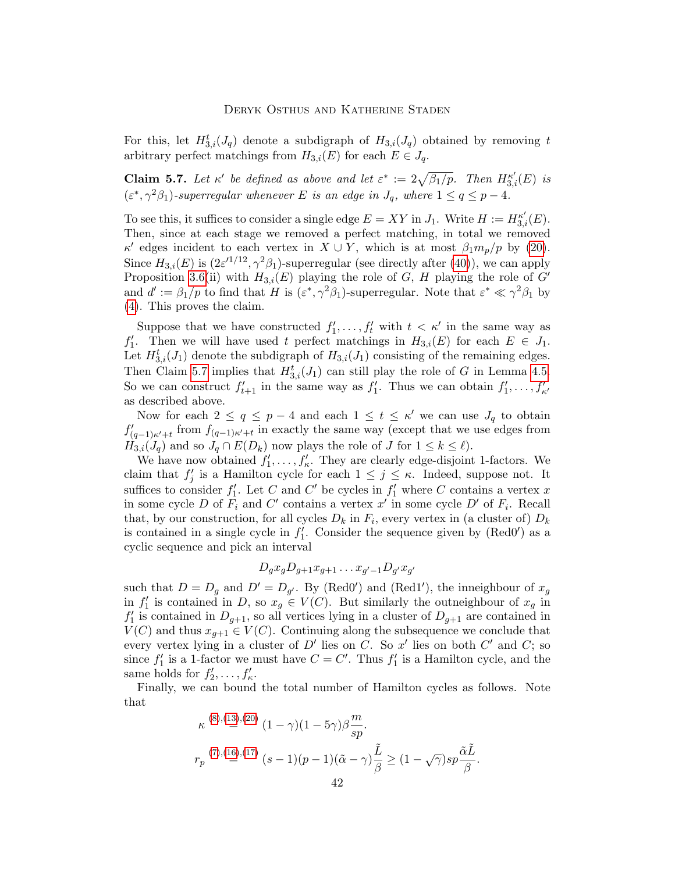For this, let  $H_{3,i}(J_q)$  denote a subdigraph of  $H_{3,i}(J_q)$  obtained by removing t arbitrary perfect matchings from  $H_{3,i}(E)$  for each  $E \in J_q$ .

<span id="page-41-0"></span>**Claim 5.7.** Let  $\kappa'$  be defined as above and let  $\varepsilon^* := 2\sqrt{\beta_1/p}$ . Then  $H_{3,i}^{\kappa'}(E)$  is  $(\varepsilon^*, \gamma^2 \beta_1)$ -superregular whenever E is an edge in  $J_q$ , where  $1 \le q \le p-4$ .

To see this, it suffices to consider a single edge  $E = XY$  in  $J_1$ . Write  $H := H_{3,i}^{\kappa'}(E)$ . Then, since at each stage we removed a perfect matching, in total we removed  $\kappa'$  edges incident to each vertex in  $X \cup Y$ , which is at most  $\beta_1 m_p/p$  by [\(20\)](#page-23-0). Since  $H_{3,i}(E)$  is  $(2\varepsilon'^{1/12}, \gamma^2 \beta_1)$ -superregular (see directly after [\(40\)](#page-37-1)), we can apply Proposition [3.6\(](#page-9-1)ii) with  $H_{3,i}(E)$  playing the role of G, H playing the role of G' and  $d' := \beta_1/p$  to find that H is  $(\varepsilon^*, \gamma^2 \beta_1)$ -superregular. Note that  $\varepsilon^* \ll \gamma^2 \beta_1$  by [\(4\)](#page-16-0). This proves the claim.

Suppose that we have constructed  $f'_1, \ldots, f'_t$  with  $t < \kappa'$  in the same way as  $f'_1$ . Then we will have used t perfect matchings in  $H_{3,i}(E)$  for each  $E \in J_1$ . Let  $H_{3,i}(J_1)$  denote the subdigraph of  $H_{3,i}(J_1)$  consisting of the remaining edges. Then Claim [5.7](#page-41-0) implies that  $H_{3,i}^t(J_1)$  can still play the role of G in Lemma [4.5.](#page-15-2) So we can construct  $f'_{t+1}$  in the same way as  $f'_1$ . Thus we can obtain  $f'_1, \ldots, f'_{\kappa'}$ as described above.

Now for each  $2 \le q \le p-4$  and each  $1 \le t \le \kappa'$  we can use  $J_q$  to obtain  $f'_{(q-1)\kappa'+t}$  from  $f_{(q-1)\kappa'+t}$  in exactly the same way (except that we use edges from  $H_{3,i}(J_q)$  and so  $J_q \cap E(D_k)$  now plays the role of J for  $1 \leq k \leq \ell$ .

We have now obtained  $f'_1, \ldots, f'_\kappa$ . They are clearly edge-disjoint 1-factors. We claim that  $f'_j$  is a Hamilton cycle for each  $1 \leq j \leq \kappa$ . Indeed, suppose not. It suffices to consider  $f'_1$ . Let C and C' be cycles in  $f'_1$  where C contains a vertex x in some cycle D of  $\overline{F}_i$  and C' contains a vertex  $x'$  in some cycle D' of  $F_i$ . Recall that, by our construction, for all cycles  $D_k$  in  $F_i$ , every vertex in (a cluster of)  $D_k$ is contained in a single cycle in  $f_1'$ . Consider the sequence given by (Red0') as a cyclic sequence and pick an interval

$$
D_g x_g D_{g+1} x_{g+1} \dots x_{g'-1} D_{g'} x_{g'}
$$

such that  $D = D_g$  and  $D' = D_{g'}$ . By (Red0') and (Red1'), the inneighbour of  $x_g$ in  $f'_1$  is contained in D, so  $x_g \in V(C)$ . But similarly the outneighbour of  $x_g$  in  $f'_1$  is contained in  $D_{g+1}$ , so all vertices lying in a cluster of  $D_{g+1}$  are contained in  $V(C)$  and thus  $x_{g+1} \in V(C)$ . Continuing along the subsequence we conclude that every vertex lying in a cluster of  $D'$  lies on  $C$ . So  $x'$  lies on both  $C'$  and  $C$ ; so since  $f'_1$  is a 1-factor we must have  $C = C'$ . Thus  $f'_1$  is a Hamilton cycle, and the same holds for  $f'_2, \ldots, f'_\kappa$ .

Finally, we can bound the total number of Hamilton cycles as follows. Note that

$$
\begin{aligned} &\kappa\overset{(8),(13),(20)}{=}&(1-\gamma)(1-5\gamma)\beta\frac{m}{sp}.\\ &r_p\overset{(7),(16),(17)}{=}&(s-1)(p-1)(\tilde{\alpha}-\gamma)\frac{\tilde{L}}{\beta}\geq(1-\sqrt{\gamma})sp\frac{\tilde{\alpha}\tilde{L}}{\beta}. \end{aligned}
$$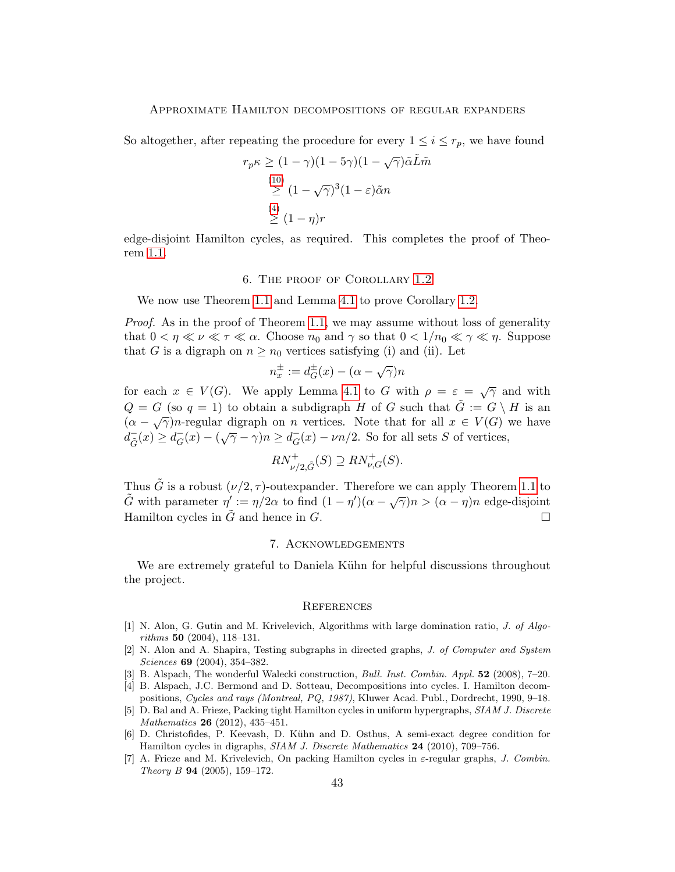So altogether, after repeating the procedure for every  $1 \leq i \leq r_p$ , we have found

$$
r_p \kappa \ge (1 - \gamma)(1 - 5\gamma)(1 - \sqrt{\gamma})\tilde{\alpha}\tilde{L}\tilde{m}
$$
  
\n
$$
\ge (1 - \sqrt{\gamma})^3(1 - \varepsilon)\tilde{\alpha}n
$$
  
\n
$$
\ge (1 - \eta)r
$$

edge-disjoint Hamilton cycles, as required. This completes the proof of Theorem [1.1.](#page-1-1)

### 6. The proof of Corollary [1.2](#page-1-0)

<span id="page-42-5"></span>We now use Theorem [1.1](#page-1-1) and Lemma [4.1](#page-12-1) to prove Corollary [1.2.](#page-1-0)

Proof. As in the proof of Theorem [1.1,](#page-1-1) we may assume without loss of generality that  $0 < \eta \ll \nu \ll \tau \ll \alpha$ . Choose  $n_0$  and  $\gamma$  so that  $0 < 1/n_0 \ll \gamma \ll \eta$ . Suppose that G is a digraph on  $n \geq n_0$  vertices satisfying (i) and (ii). Let

$$
n_x^{\pm} := d_G^{\pm}(x) - (\alpha - \sqrt{\gamma})n
$$

for each  $x \in V(G)$ . We apply Lemma [4.1](#page-12-1) to G with  $\rho = \varepsilon = \sqrt{\gamma}$  and with  $Q = G$  (so  $q = 1$ ) to obtain a subdigraph H of G such that  $\tilde{G} := G \setminus H$  is an  $(\alpha - \sqrt{\gamma})n$ -regular digraph on n vertices. Note that for all  $x \in V(G)$  we have  $d^-_{\tilde{C}}$  $\overline{\tilde{G}}(x) \geq d_G^ \overline{G}(x) - (\sqrt{\gamma} - \gamma)n \geq d_{G}^{-}$  $G(x) - \nu n/2$ . So for all sets S of vertices,

$$
RN^+_{\nu/2,\tilde{G}}(S) \supseteq RN^+_{\nu,G}(S).
$$

Thus  $\tilde{G}$  is a robust  $(\nu/2, \tau)$ -outexpander. Therefore we can apply Theorem [1.1](#page-1-1) to Thus G is a robuse  $(\nu/2, \nu)$  outerspander. Therefore we can apply Theorem 1:1 to  $\tilde{G}$  with parameter  $\eta' := \eta/2\alpha$  to find  $(1 - \eta')(\alpha - \sqrt{\gamma})n > (\alpha - \eta)n$  edge-disjoint Hamilton cycles in  $\tilde{G}$  and hence in G.

## 7. Acknowledgements

We are extremely grateful to Daniela Kühn for helpful discussions throughout the project.

#### **REFERENCES**

- <span id="page-42-4"></span>[1] N. Alon, G. Gutin and M. Krivelevich, Algorithms with large domination ratio, J. of Algorithms 50 (2004), 118–131.
- <span id="page-42-6"></span>[2] N. Alon and A. Shapira, Testing subgraphs in directed graphs, J. of Computer and System Sciences 69 (2004), 354–382.
- <span id="page-42-0"></span>[3] B. Alspach, The wonderful Walecki construction, *Bull. Inst. Combin. Appl.* **52** (2008), 7–20.
- <span id="page-42-1"></span>[4] B. Alspach, J.C. Bermond and D. Sotteau, Decompositions into cycles. I. Hamilton decompositions, Cycles and rays (Montreal, PQ, 1987), Kluwer Acad. Publ., Dordrecht, 1990, 9–18.
- <span id="page-42-3"></span>[5] D. Bal and A. Frieze, Packing tight Hamilton cycles in uniform hypergraphs, SIAM J. Discrete Mathematics **26** (2012), 435-451.
- <span id="page-42-7"></span>[6] D. Christofides, P. Keevash, D. K¨uhn and D. Osthus, A semi-exact degree condition for Hamilton cycles in digraphs, SIAM J. Discrete Mathematics 24 (2010), 709–756.
- <span id="page-42-2"></span>[7] A. Frieze and M. Krivelevich, On packing Hamilton cycles in  $\varepsilon$ -regular graphs, J. Combin. Theory B  $94$  (2005), 159-172.